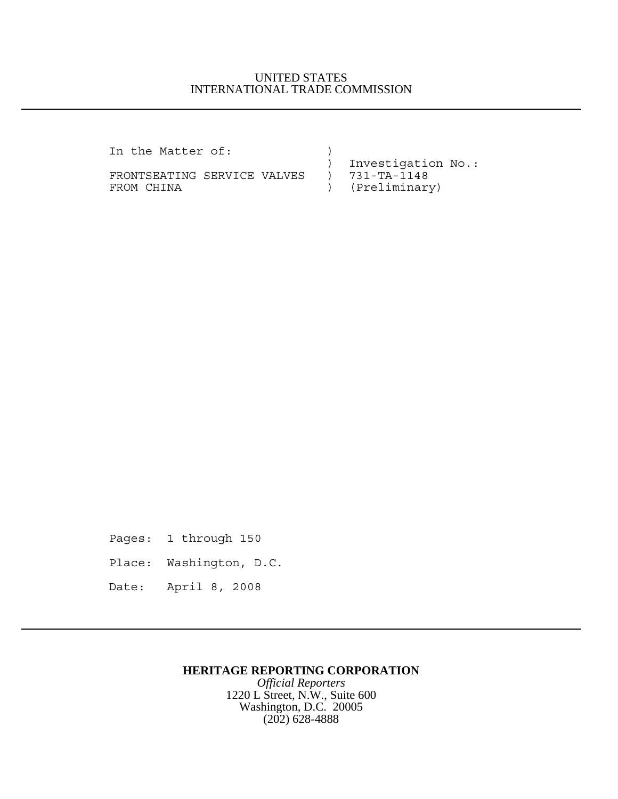## UNITED STATES INTERNATIONAL TRADE COMMISSION

In the Matter of:  $\qquad \qquad$  )

FRONTSEATING SERVICE VALVES ) FROM CHINA  $(Preliminary)$ 

) Investigation No.:<br>) 731-TA-1148

Pages: 1 through 150 Place: Washington, D.C. Date: April 8, 2008

## **HERITAGE REPORTING CORPORATION**

*Official Reporters* 1220 L Street, N.W., Suite 600 Washington, D.C. 20005 (202) 628-4888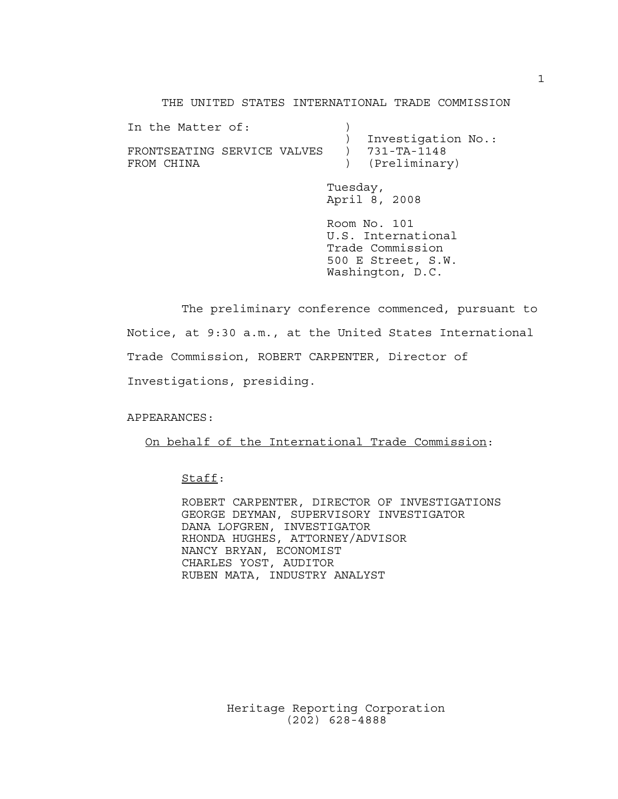THE UNITED STATES INTERNATIONAL TRADE COMMISSION

| In the Matter of:                         |          | Investigation No.:                     |
|-------------------------------------------|----------|----------------------------------------|
| FRONTSEATING SERVICE VALVES<br>FROM CHINA |          | $) 731 - TA - 1148$<br>) (Preliminary) |
|                                           | Tuesday, |                                        |

April 8, 2008 Room No. 101 U.S. International

Trade Commission 500 E Street, S.W. Washington, D.C.

The preliminary conference commenced, pursuant to Notice, at 9:30 a.m., at the United States International Trade Commission, ROBERT CARPENTER, Director of Investigations, presiding.

APPEARANCES:

On behalf of the International Trade Commission:

Staff:

ROBERT CARPENTER, DIRECTOR OF INVESTIGATIONS GEORGE DEYMAN, SUPERVISORY INVESTIGATOR DANA LOFGREN, INVESTIGATOR RHONDA HUGHES, ATTORNEY/ADVISOR NANCY BRYAN, ECONOMIST CHARLES YOST, AUDITOR RUBEN MATA, INDUSTRY ANALYST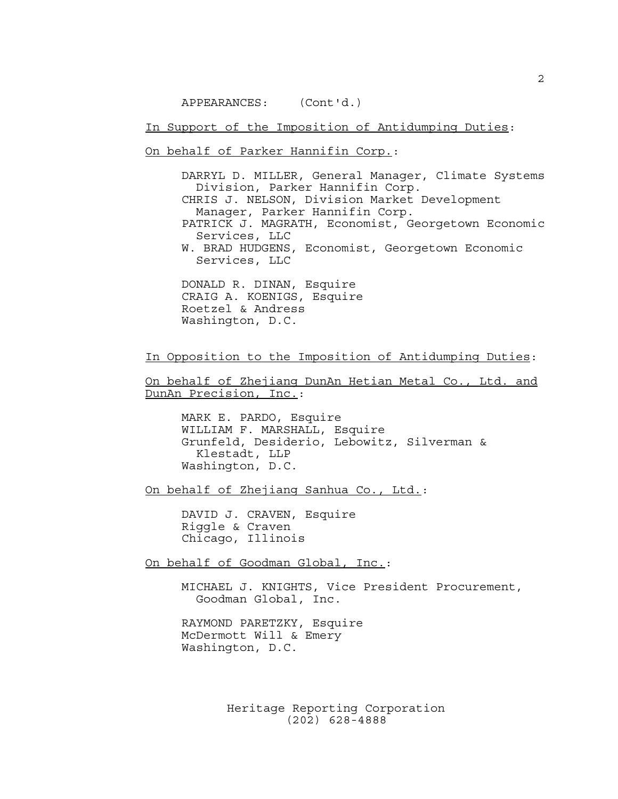APPEARANCES: (Cont'd.)

In Support of the Imposition of Antidumping Duties:

On behalf of Parker Hannifin Corp.:

DARRYL D. MILLER, General Manager, Climate Systems Division, Parker Hannifin Corp. CHRIS J. NELSON, Division Market Development Manager, Parker Hannifin Corp. PATRICK J. MAGRATH, Economist, Georgetown Economic Services, LLC W. BRAD HUDGENS, Economist, Georgetown Economic Services, LLC DONALD R. DINAN, Esquire

CRAIG A. KOENIGS, Esquire Roetzel & Andress Washington, D.C.

In Opposition to the Imposition of Antidumping Duties:

On behalf of Zhejiang DunAn Hetian Metal Co., Ltd. and DunAn Precision, Inc.:

MARK E. PARDO, Esquire WILLIAM F. MARSHALL, Esquire Grunfeld, Desiderio, Lebowitz, Silverman & Klestadt, LLP Washington, D.C.

On behalf of Zhejiang Sanhua Co., Ltd.:

DAVID J. CRAVEN, Esquire Riggle & Craven Chicago, Illinois

On behalf of Goodman Global, Inc.:

MICHAEL J. KNIGHTS, Vice President Procurement, Goodman Global, Inc.

RAYMOND PARETZKY, Esquire McDermott Will & Emery Washington, D.C.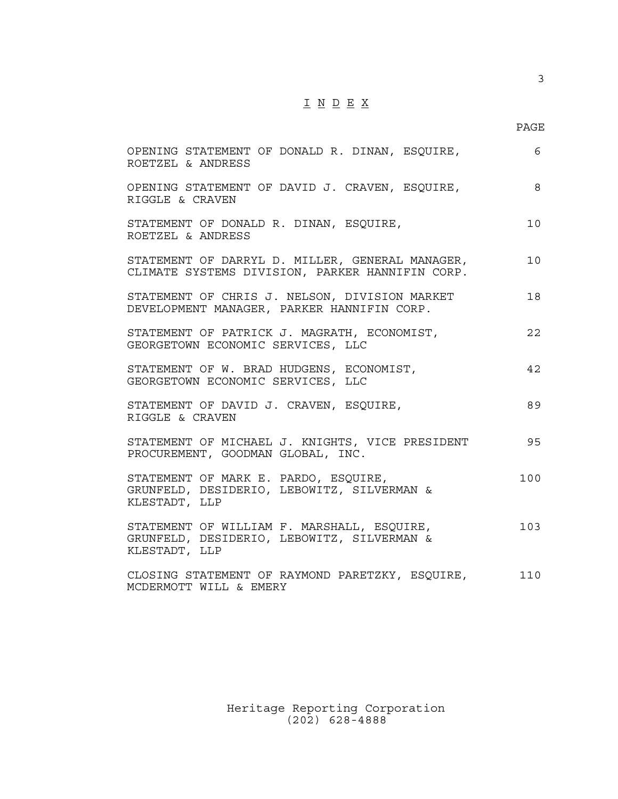## $\underline{\texttt{I}} \underline{\texttt{N}} \underline{\texttt{D}} \underline{\texttt{E}} \underline{\texttt{X}}$

3

| OPENING STATEMENT OF DONALD R. DINAN, ESQUIRE,<br>ROETZEL & ANDRESS                                       | 6               |
|-----------------------------------------------------------------------------------------------------------|-----------------|
| OPENING STATEMENT OF DAVID J. CRAVEN, ESQUIRE,<br>RIGGLE & CRAVEN                                         | 8               |
| STATEMENT OF DONALD R. DINAN, ESQUIRE,<br>ROETZEL & ANDRESS                                               | 10 <sub>o</sub> |
| STATEMENT OF DARRYL D. MILLER, GENERAL MANAGER,<br>CLIMATE SYSTEMS DIVISION, PARKER HANNIFIN CORP.        | 10              |
| STATEMENT OF CHRIS J. NELSON, DIVISION MARKET<br>DEVELOPMENT MANAGER, PARKER HANNIFIN CORP.               | 18              |
| STATEMENT OF PATRICK J. MAGRATH, ECONOMIST,<br>GEORGETOWN ECONOMIC SERVICES, LLC                          | 22              |
| STATEMENT OF W. BRAD HUDGENS, ECONOMIST,<br>GEORGETOWN ECONOMIC SERVICES, LLC                             | 42              |
| STATEMENT OF DAVID J. CRAVEN, ESQUIRE,<br>RIGGLE & CRAVEN                                                 | 89              |
| STATEMENT OF MICHAEL J. KNIGHTS, VICE PRESIDENT<br>PROCUREMENT, GOODMAN GLOBAL, INC.                      | 95              |
| STATEMENT OF MARK E. PARDO, ESQUIRE,<br>GRUNFELD, DESIDERIO, LEBOWITZ, SILVERMAN &<br>KLESTADT, LLP       | 100             |
| STATEMENT OF WILLIAM F. MARSHALL, ESQUIRE,<br>GRUNFELD, DESIDERIO, LEBOWITZ, SILVERMAN &<br>KLESTADT, LLP | 103             |
| CLOSING STATEMENT OF RAYMOND PARETZKY, ESQUIRE,<br>MCDERMOTT WILL & EMERY                                 | 110             |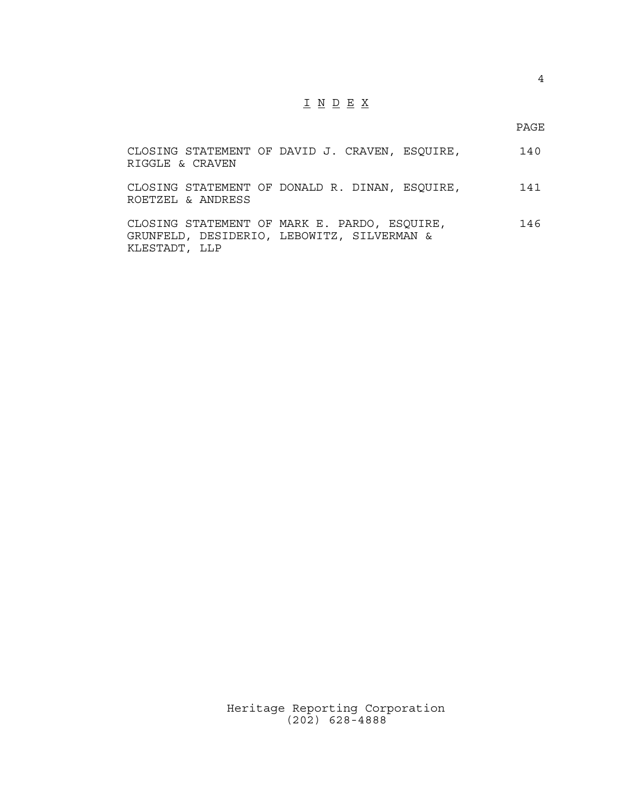## I N D E X

PAGE

| RIGGLE & CRAVEN   | CLOSING STATEMENT OF DAVID J. CRAVEN, ESQUIRE,                                             | 140 |
|-------------------|--------------------------------------------------------------------------------------------|-----|
| ROETZEL & ANDRESS | CLOSING STATEMENT OF DONALD R. DINAN, ESQUIRE,                                             | 141 |
| KLESTADT, LLP     | CLOSING STATEMENT OF MARK E. PARDO, ESQUIRE,<br>GRUNFELD, DESIDERIO, LEBOWITZ, SILVERMAN & | 146 |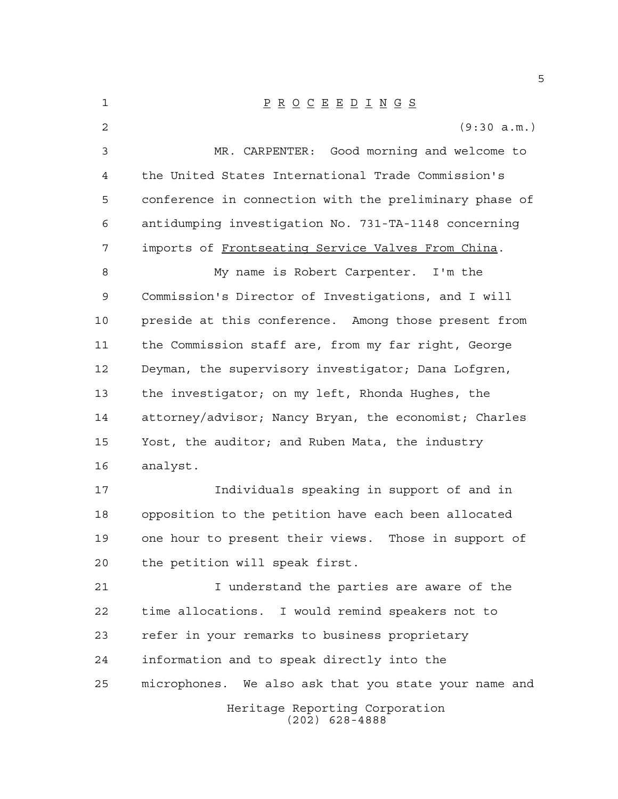Heritage Reporting Corporation (202) 628-4888 P R O C E E D I N G S (9:30 a.m.) MR. CARPENTER: Good morning and welcome to the United States International Trade Commission's conference in connection with the preliminary phase of antidumping investigation No. 731-TA-1148 concerning imports of Frontseating Service Valves From China. My name is Robert Carpenter. I'm the Commission's Director of Investigations, and I will preside at this conference. Among those present from the Commission staff are, from my far right, George Deyman, the supervisory investigator; Dana Lofgren, the investigator; on my left, Rhonda Hughes, the attorney/advisor; Nancy Bryan, the economist; Charles Yost, the auditor; and Ruben Mata, the industry analyst. Individuals speaking in support of and in opposition to the petition have each been allocated one hour to present their views. Those in support of the petition will speak first. I understand the parties are aware of the time allocations. I would remind speakers not to refer in your remarks to business proprietary information and to speak directly into the microphones. We also ask that you state your name and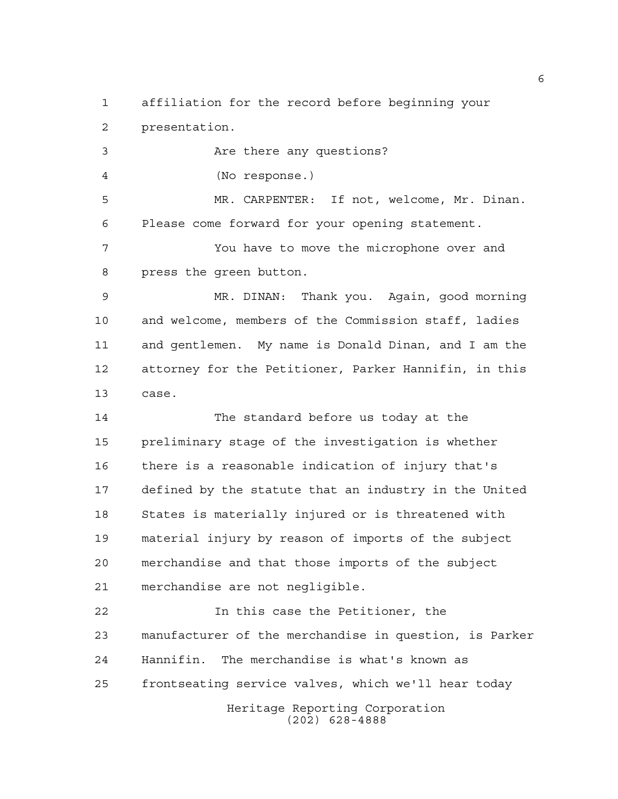affiliation for the record before beginning your presentation.

 Are there any questions? (No response.) MR. CARPENTER: If not, welcome, Mr. Dinan. Please come forward for your opening statement. You have to move the microphone over and press the green button.

 MR. DINAN: Thank you. Again, good morning and welcome, members of the Commission staff, ladies and gentlemen. My name is Donald Dinan, and I am the attorney for the Petitioner, Parker Hannifin, in this case.

 The standard before us today at the preliminary stage of the investigation is whether there is a reasonable indication of injury that's defined by the statute that an industry in the United States is materially injured or is threatened with material injury by reason of imports of the subject merchandise and that those imports of the subject merchandise are not negligible.

Heritage Reporting Corporation In this case the Petitioner, the manufacturer of the merchandise in question, is Parker Hannifin. The merchandise is what's known as frontseating service valves, which we'll hear today

(202) 628-4888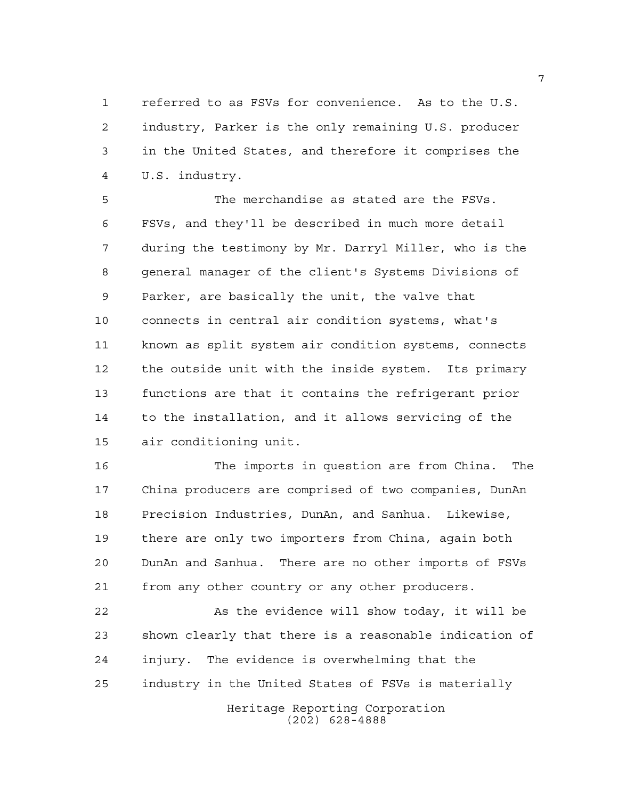referred to as FSVs for convenience. As to the U.S. industry, Parker is the only remaining U.S. producer in the United States, and therefore it comprises the U.S. industry.

 The merchandise as stated are the FSVs. FSVs, and they'll be described in much more detail during the testimony by Mr. Darryl Miller, who is the general manager of the client's Systems Divisions of Parker, are basically the unit, the valve that connects in central air condition systems, what's known as split system air condition systems, connects the outside unit with the inside system. Its primary functions are that it contains the refrigerant prior to the installation, and it allows servicing of the air conditioning unit.

 The imports in question are from China. The China producers are comprised of two companies, DunAn Precision Industries, DunAn, and Sanhua. Likewise, there are only two importers from China, again both DunAn and Sanhua. There are no other imports of FSVs from any other country or any other producers.

22 As the evidence will show today, it will be shown clearly that there is a reasonable indication of injury. The evidence is overwhelming that the industry in the United States of FSVs is materially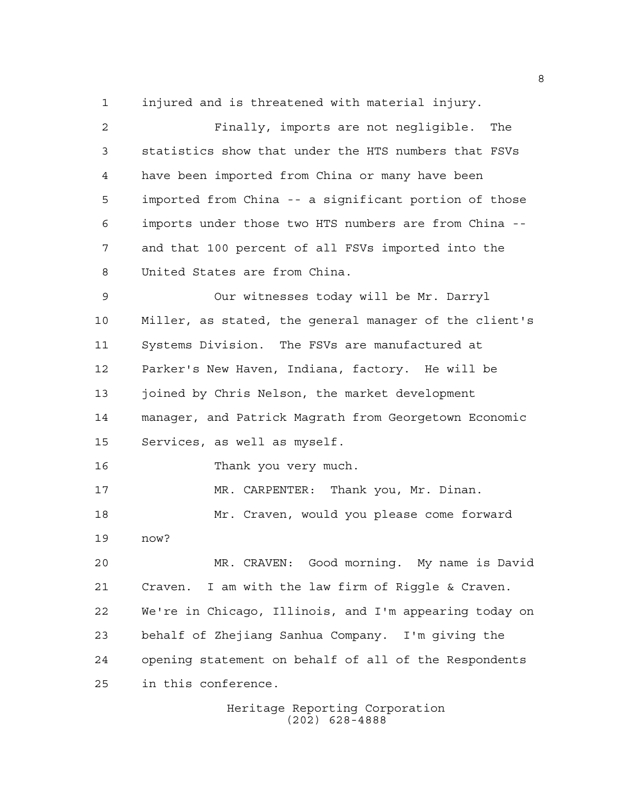injured and is threatened with material injury.

 Finally, imports are not negligible. The statistics show that under the HTS numbers that FSVs have been imported from China or many have been imported from China -- a significant portion of those imports under those two HTS numbers are from China -- and that 100 percent of all FSVs imported into the United States are from China. Our witnesses today will be Mr. Darryl Miller, as stated, the general manager of the client's Systems Division. The FSVs are manufactured at Parker's New Haven, Indiana, factory. He will be joined by Chris Nelson, the market development manager, and Patrick Magrath from Georgetown Economic Services, as well as myself. Thank you very much. MR. CARPENTER: Thank you, Mr. Dinan. Mr. Craven, would you please come forward now? MR. CRAVEN: Good morning. My name is David Craven. I am with the law firm of Riggle & Craven. We're in Chicago, Illinois, and I'm appearing today on behalf of Zhejiang Sanhua Company. I'm giving the opening statement on behalf of all of the Respondents in this conference.

> Heritage Reporting Corporation (202) 628-4888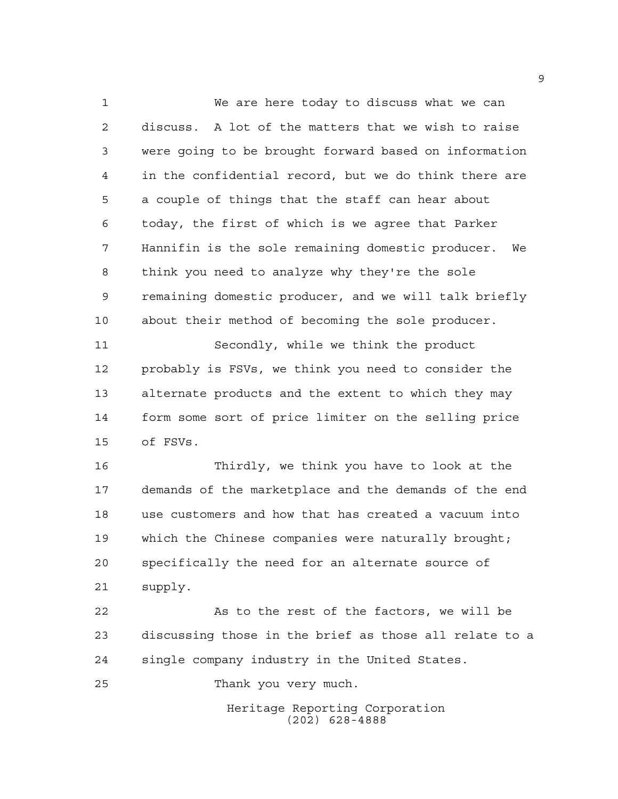We are here today to discuss what we can discuss. A lot of the matters that we wish to raise were going to be brought forward based on information in the confidential record, but we do think there are a couple of things that the staff can hear about today, the first of which is we agree that Parker Hannifin is the sole remaining domestic producer. We think you need to analyze why they're the sole remaining domestic producer, and we will talk briefly about their method of becoming the sole producer.

 Secondly, while we think the product probably is FSVs, we think you need to consider the alternate products and the extent to which they may form some sort of price limiter on the selling price of FSVs.

 Thirdly, we think you have to look at the demands of the marketplace and the demands of the end use customers and how that has created a vacuum into which the Chinese companies were naturally brought; specifically the need for an alternate source of supply.

 As to the rest of the factors, we will be discussing those in the brief as those all relate to a single company industry in the United States.

Thank you very much.

Heritage Reporting Corporation (202) 628-4888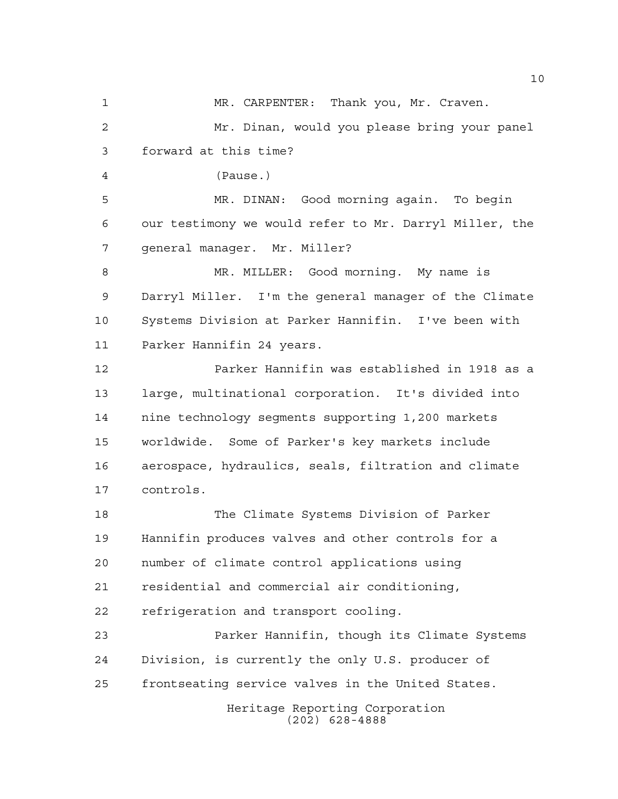Heritage Reporting Corporation (202) 628-4888 MR. CARPENTER: Thank you, Mr. Craven. Mr. Dinan, would you please bring your panel forward at this time? (Pause.) MR. DINAN: Good morning again. To begin our testimony we would refer to Mr. Darryl Miller, the general manager. Mr. Miller? MR. MILLER: Good morning. My name is Darryl Miller. I'm the general manager of the Climate Systems Division at Parker Hannifin. I've been with Parker Hannifin 24 years. Parker Hannifin was established in 1918 as a large, multinational corporation. It's divided into nine technology segments supporting 1,200 markets worldwide. Some of Parker's key markets include aerospace, hydraulics, seals, filtration and climate controls. The Climate Systems Division of Parker Hannifin produces valves and other controls for a number of climate control applications using residential and commercial air conditioning, refrigeration and transport cooling. Parker Hannifin, though its Climate Systems Division, is currently the only U.S. producer of frontseating service valves in the United States.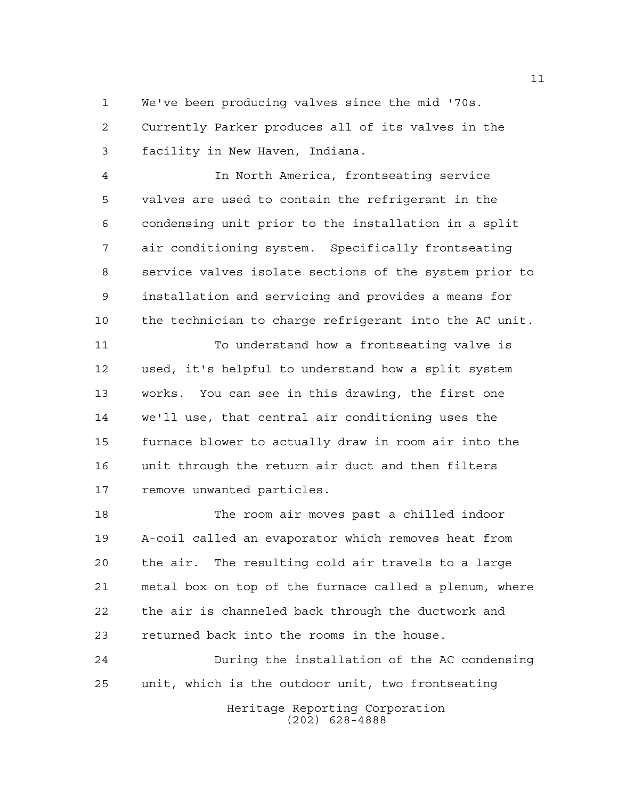We've been producing valves since the mid '70s.

 Currently Parker produces all of its valves in the facility in New Haven, Indiana.

 In North America, frontseating service valves are used to contain the refrigerant in the condensing unit prior to the installation in a split air conditioning system. Specifically frontseating service valves isolate sections of the system prior to installation and servicing and provides a means for the technician to charge refrigerant into the AC unit.

11 To understand how a frontseating valve is used, it's helpful to understand how a split system works. You can see in this drawing, the first one we'll use, that central air conditioning uses the furnace blower to actually draw in room air into the unit through the return air duct and then filters remove unwanted particles.

 The room air moves past a chilled indoor A-coil called an evaporator which removes heat from the air. The resulting cold air travels to a large metal box on top of the furnace called a plenum, where the air is channeled back through the ductwork and returned back into the rooms in the house.

Heritage Reporting Corporation (202) 628-4888 During the installation of the AC condensing unit, which is the outdoor unit, two frontseating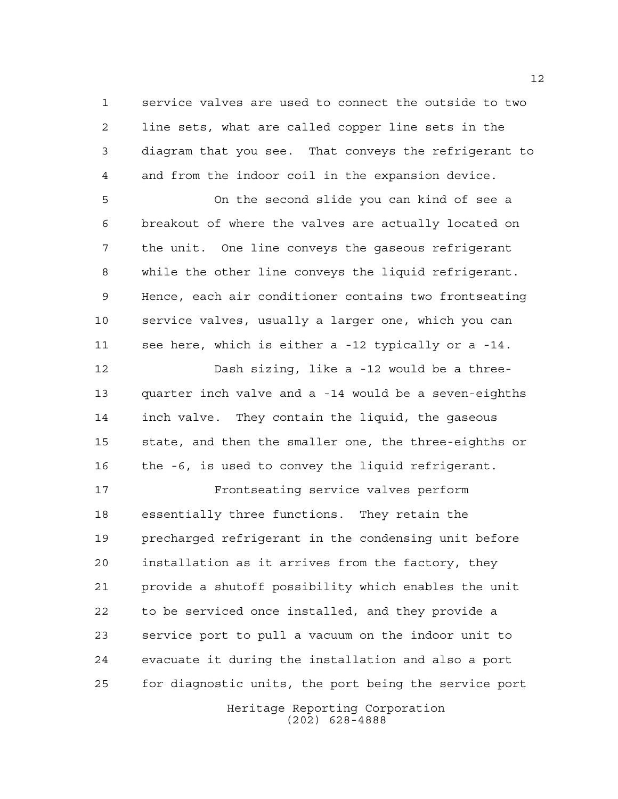service valves are used to connect the outside to two line sets, what are called copper line sets in the diagram that you see. That conveys the refrigerant to and from the indoor coil in the expansion device.

 On the second slide you can kind of see a breakout of where the valves are actually located on the unit. One line conveys the gaseous refrigerant while the other line conveys the liquid refrigerant. Hence, each air conditioner contains two frontseating service valves, usually a larger one, which you can see here, which is either a -12 typically or a -14.

 Dash sizing, like a -12 would be a three- quarter inch valve and a -14 would be a seven-eighths inch valve. They contain the liquid, the gaseous state, and then the smaller one, the three-eighths or 16 the -6, is used to convey the liquid refrigerant.

 Frontseating service valves perform essentially three functions. They retain the precharged refrigerant in the condensing unit before installation as it arrives from the factory, they provide a shutoff possibility which enables the unit to be serviced once installed, and they provide a service port to pull a vacuum on the indoor unit to evacuate it during the installation and also a port for diagnostic units, the port being the service port

> Heritage Reporting Corporation (202) 628-4888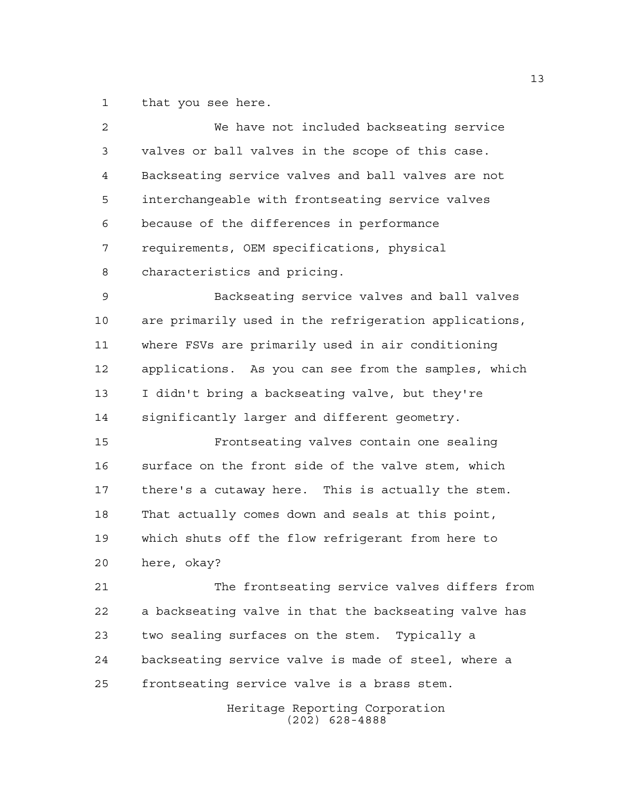that you see here.

| $\overline{2}$ | We have not included backseating service              |
|----------------|-------------------------------------------------------|
| 3              | valves or ball valves in the scope of this case.      |
| 4              | Backseating service valves and ball valves are not    |
| 5              | interchangeable with frontseating service valves      |
| 6              | because of the differences in performance             |
| 7              | requirements, OEM specifications, physical            |
| 8              | characteristics and pricing.                          |
| 9              | Backseating service valves and ball valves            |
| 10             | are primarily used in the refrigeration applications, |
| 11             | where FSVs are primarily used in air conditioning     |
| 12             | applications. As you can see from the samples, which  |
| 13             | I didn't bring a backseating valve, but they're       |
| 14             | significantly larger and different geometry.          |
| 15             | Frontseating valves contain one sealing               |
| 16             | surface on the front side of the valve stem, which    |
| 17             | there's a cutaway here. This is actually the stem.    |
| 18             | That actually comes down and seals at this point,     |
| 19             | which shuts off the flow refrigerant from here to     |
| 20             | here, okay?                                           |
| 21             | The frontseating service valves differs from          |
| 22             | a backseating valve in that the backseating valve has |
| 23             | two sealing surfaces on the stem. Typically a         |
| 24             | backseating service valve is made of steel, where a   |
| 25             | frontseating service valve is a brass stem.           |
|                | Heritage Reporting Corporation<br>$(202)$ 628-4888    |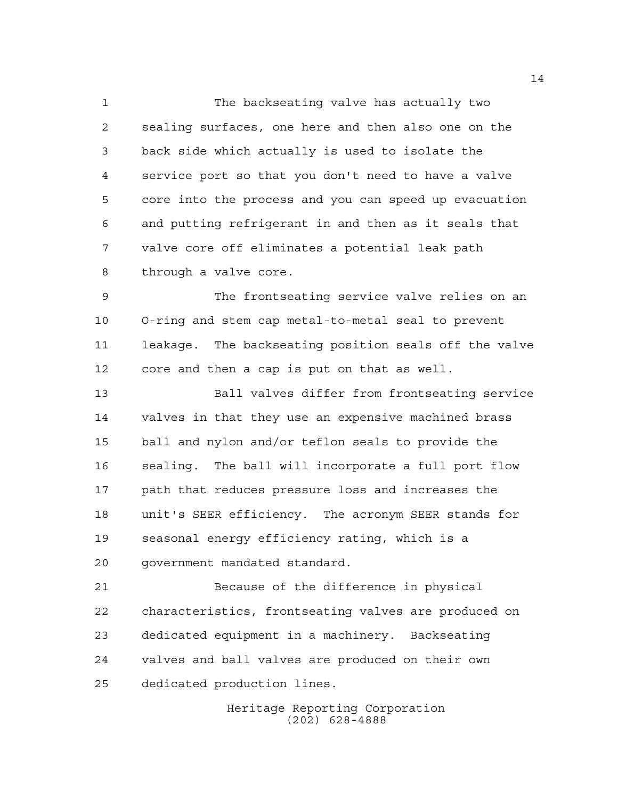The backseating valve has actually two sealing surfaces, one here and then also one on the back side which actually is used to isolate the service port so that you don't need to have a valve core into the process and you can speed up evacuation and putting refrigerant in and then as it seals that valve core off eliminates a potential leak path through a valve core.

 The frontseating service valve relies on an O-ring and stem cap metal-to-metal seal to prevent leakage. The backseating position seals off the valve core and then a cap is put on that as well.

 Ball valves differ from frontseating service valves in that they use an expensive machined brass ball and nylon and/or teflon seals to provide the sealing. The ball will incorporate a full port flow path that reduces pressure loss and increases the unit's SEER efficiency. The acronym SEER stands for seasonal energy efficiency rating, which is a government mandated standard.

 Because of the difference in physical characteristics, frontseating valves are produced on dedicated equipment in a machinery. Backseating valves and ball valves are produced on their own dedicated production lines.

> Heritage Reporting Corporation (202) 628-4888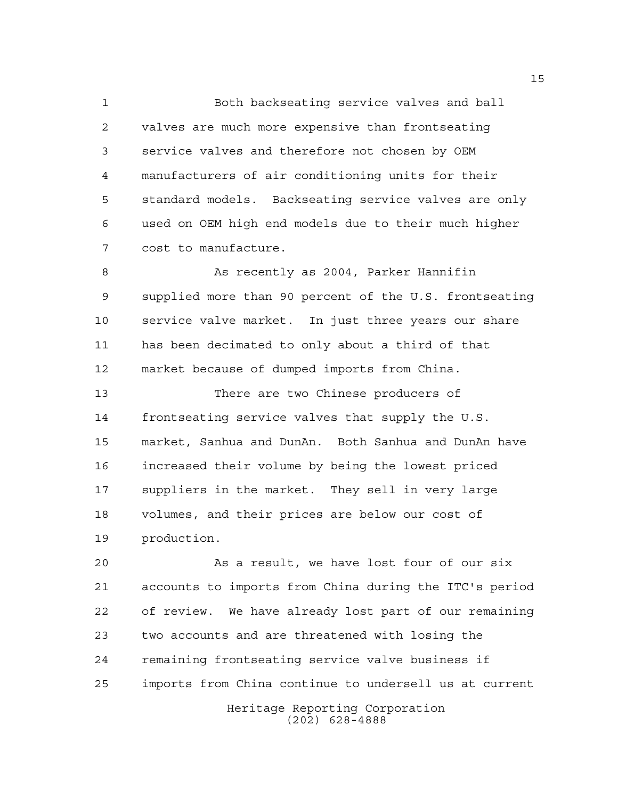Both backseating service valves and ball valves are much more expensive than frontseating service valves and therefore not chosen by OEM manufacturers of air conditioning units for their standard models. Backseating service valves are only used on OEM high end models due to their much higher cost to manufacture.

 As recently as 2004, Parker Hannifin supplied more than 90 percent of the U.S. frontseating service valve market. In just three years our share has been decimated to only about a third of that market because of dumped imports from China.

 There are two Chinese producers of frontseating service valves that supply the U.S. market, Sanhua and DunAn. Both Sanhua and DunAn have increased their volume by being the lowest priced suppliers in the market. They sell in very large volumes, and their prices are below our cost of production.

Heritage Reporting Corporation As a result, we have lost four of our six accounts to imports from China during the ITC's period of review. We have already lost part of our remaining two accounts and are threatened with losing the remaining frontseating service valve business if imports from China continue to undersell us at current

(202) 628-4888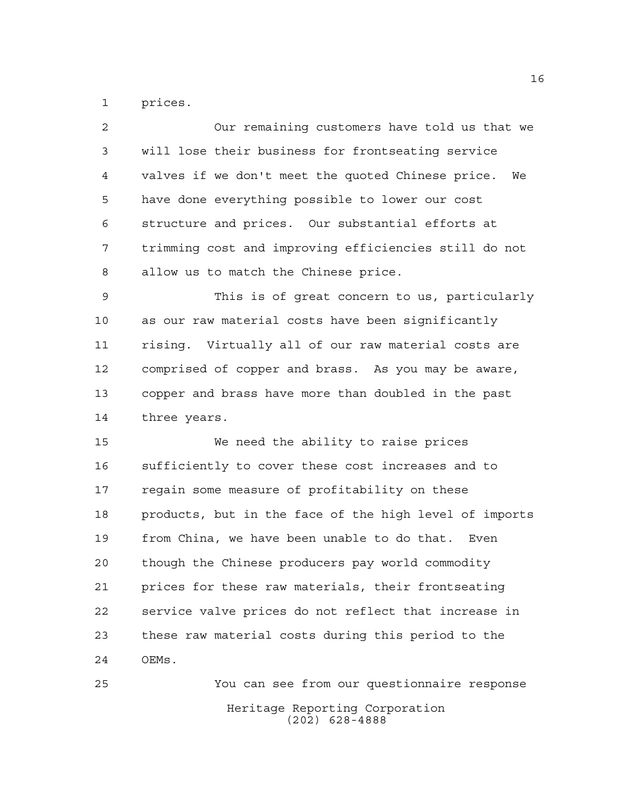prices.

| $\overline{2}$ | Our remaining customers have told us that we           |
|----------------|--------------------------------------------------------|
| 3              | will lose their business for frontseating service      |
| $\overline{4}$ | valves if we don't meet the quoted Chinese price. We   |
| 5              | have done everything possible to lower our cost        |
| 6              | structure and prices. Our substantial efforts at       |
| 7              | trimming cost and improving efficiencies still do not  |
| 8              | allow us to match the Chinese price.                   |
| 9              | This is of great concern to us, particularly           |
| 10             | as our raw material costs have been significantly      |
| 11             | rising. Virtually all of our raw material costs are    |
| 12             | comprised of copper and brass. As you may be aware,    |
| 13             | copper and brass have more than doubled in the past    |
|                |                                                        |
| 14             | three years.                                           |
| 15             | We need the ability to raise prices                    |
| 16             | sufficiently to cover these cost increases and to      |
| 17             | regain some measure of profitability on these          |
| 18             | products, but in the face of the high level of imports |
| 19             | from China, we have been unable to do that. Even       |
| 20             | though the Chinese producers pay world commodity       |
| 21             | prices for these raw materials, their frontseating     |
| 22             | service valve prices do not reflect that increase in   |
| 23             | these raw material costs during this period to the     |
| 24             | OEMs.                                                  |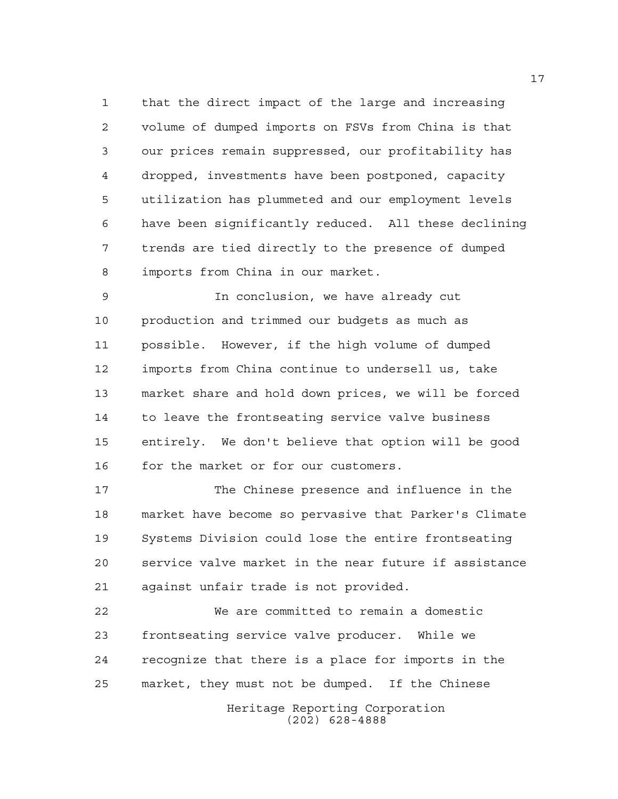that the direct impact of the large and increasing volume of dumped imports on FSVs from China is that our prices remain suppressed, our profitability has dropped, investments have been postponed, capacity utilization has plummeted and our employment levels have been significantly reduced. All these declining trends are tied directly to the presence of dumped imports from China in our market.

 In conclusion, we have already cut production and trimmed our budgets as much as possible. However, if the high volume of dumped imports from China continue to undersell us, take market share and hold down prices, we will be forced to leave the frontseating service valve business entirely. We don't believe that option will be good 16 for the market or for our customers.

 The Chinese presence and influence in the market have become so pervasive that Parker's Climate Systems Division could lose the entire frontseating service valve market in the near future if assistance against unfair trade is not provided.

 We are committed to remain a domestic frontseating service valve producer. While we recognize that there is a place for imports in the market, they must not be dumped. If the Chinese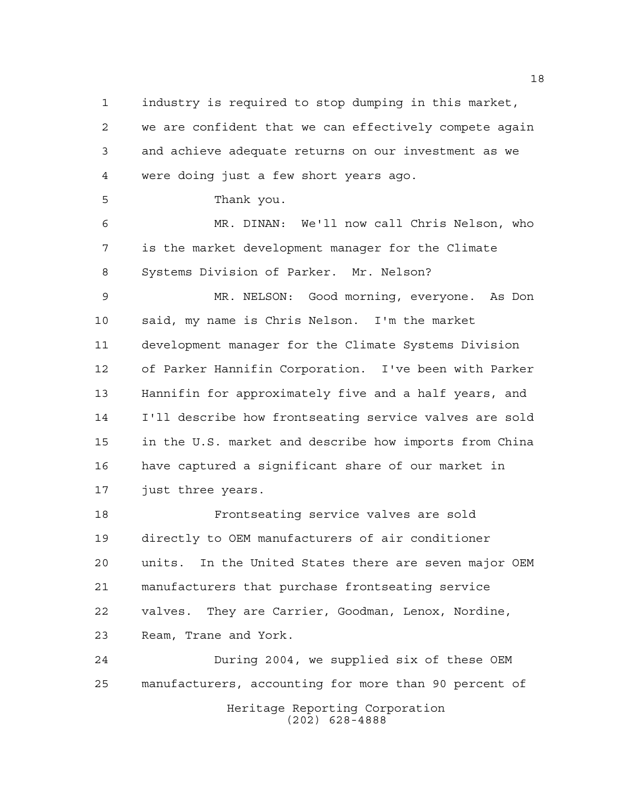industry is required to stop dumping in this market, we are confident that we can effectively compete again and achieve adequate returns on our investment as we were doing just a few short years ago.

Thank you.

 MR. DINAN: We'll now call Chris Nelson, who is the market development manager for the Climate Systems Division of Parker. Mr. Nelson?

 MR. NELSON: Good morning, everyone. As Don said, my name is Chris Nelson. I'm the market development manager for the Climate Systems Division of Parker Hannifin Corporation. I've been with Parker Hannifin for approximately five and a half years, and I'll describe how frontseating service valves are sold in the U.S. market and describe how imports from China have captured a significant share of our market in just three years.

 Frontseating service valves are sold directly to OEM manufacturers of air conditioner units. In the United States there are seven major OEM manufacturers that purchase frontseating service valves. They are Carrier, Goodman, Lenox, Nordine, Ream, Trane and York.

Heritage Reporting Corporation (202) 628-4888 During 2004, we supplied six of these OEM manufacturers, accounting for more than 90 percent of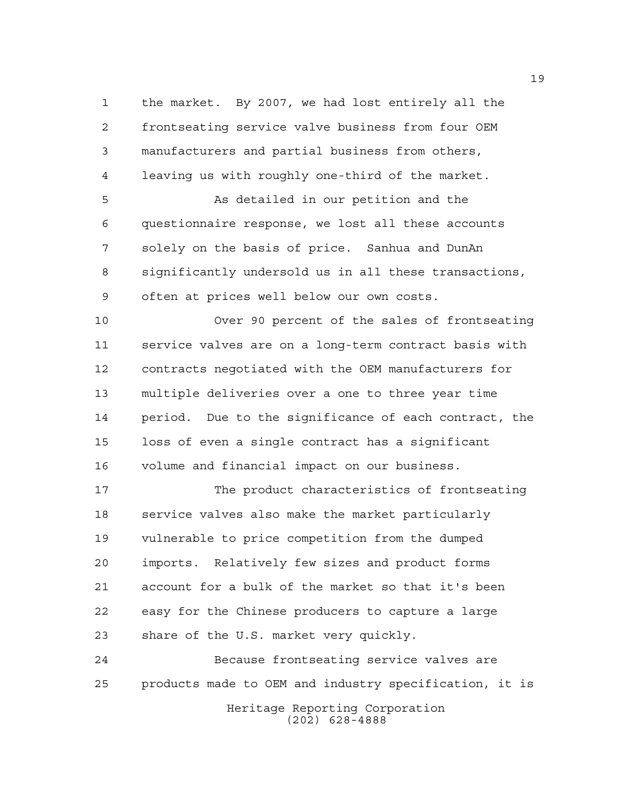the market. By 2007, we had lost entirely all the frontseating service valve business from four OEM manufacturers and partial business from others, leaving us with roughly one-third of the market.

 As detailed in our petition and the questionnaire response, we lost all these accounts solely on the basis of price. Sanhua and DunAn significantly undersold us in all these transactions, often at prices well below our own costs.

 Over 90 percent of the sales of frontseating service valves are on a long-term contract basis with contracts negotiated with the OEM manufacturers for multiple deliveries over a one to three year time period. Due to the significance of each contract, the loss of even a single contract has a significant volume and financial impact on our business.

 The product characteristics of frontseating service valves also make the market particularly vulnerable to price competition from the dumped imports. Relatively few sizes and product forms account for a bulk of the market so that it's been easy for the Chinese producers to capture a large share of the U.S. market very quickly.

Heritage Reporting Corporation (202) 628-4888 Because frontseating service valves are products made to OEM and industry specification, it is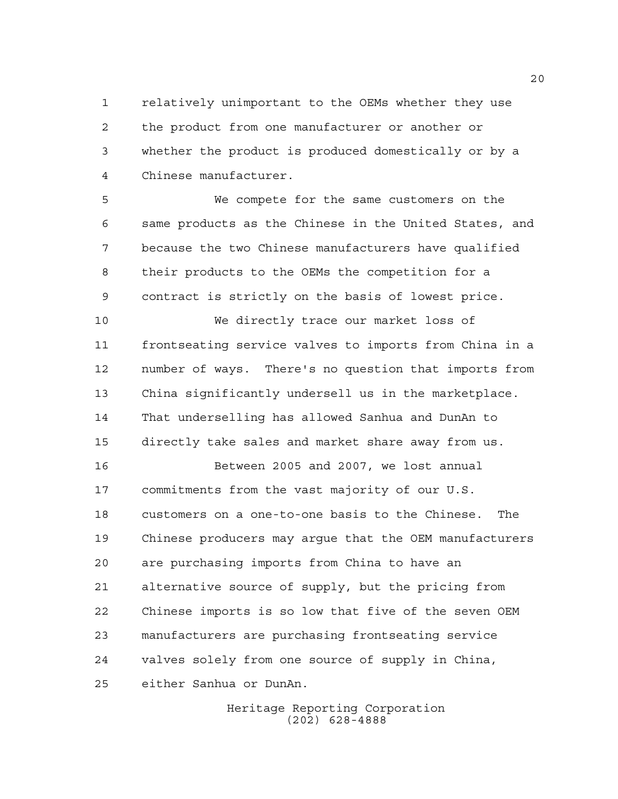relatively unimportant to the OEMs whether they use the product from one manufacturer or another or whether the product is produced domestically or by a Chinese manufacturer.

 We compete for the same customers on the same products as the Chinese in the United States, and because the two Chinese manufacturers have qualified their products to the OEMs the competition for a contract is strictly on the basis of lowest price.

 We directly trace our market loss of frontseating service valves to imports from China in a number of ways. There's no question that imports from China significantly undersell us in the marketplace. That underselling has allowed Sanhua and DunAn to directly take sales and market share away from us.

 Between 2005 and 2007, we lost annual commitments from the vast majority of our U.S. customers on a one-to-one basis to the Chinese. The Chinese producers may argue that the OEM manufacturers are purchasing imports from China to have an alternative source of supply, but the pricing from Chinese imports is so low that five of the seven OEM manufacturers are purchasing frontseating service valves solely from one source of supply in China, either Sanhua or DunAn.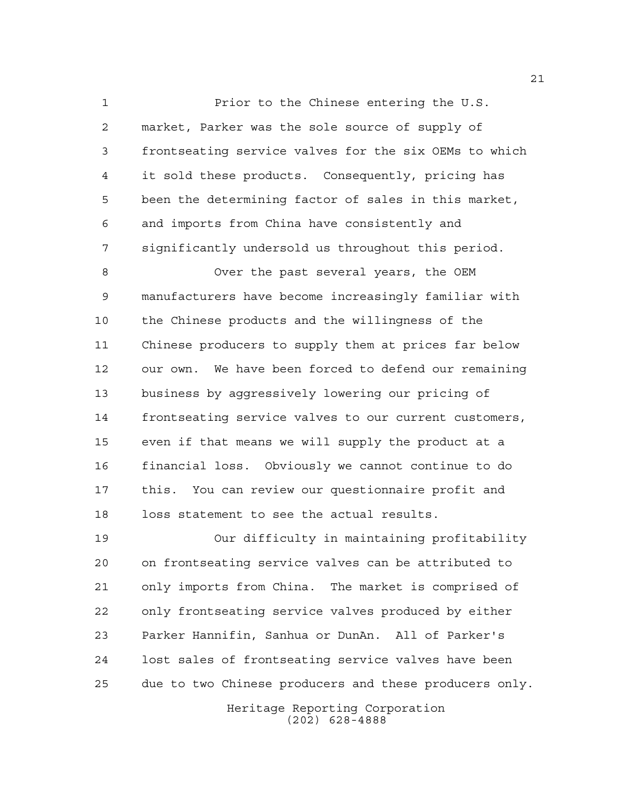Prior to the Chinese entering the U.S. market, Parker was the sole source of supply of frontseating service valves for the six OEMs to which it sold these products. Consequently, pricing has been the determining factor of sales in this market, and imports from China have consistently and significantly undersold us throughout this period.

 Over the past several years, the OEM manufacturers have become increasingly familiar with the Chinese products and the willingness of the Chinese producers to supply them at prices far below our own. We have been forced to defend our remaining business by aggressively lowering our pricing of frontseating service valves to our current customers, even if that means we will supply the product at a financial loss. Obviously we cannot continue to do this. You can review our questionnaire profit and loss statement to see the actual results.

 Our difficulty in maintaining profitability on frontseating service valves can be attributed to only imports from China. The market is comprised of only frontseating service valves produced by either Parker Hannifin, Sanhua or DunAn. All of Parker's lost sales of frontseating service valves have been due to two Chinese producers and these producers only.

> Heritage Reporting Corporation (202) 628-4888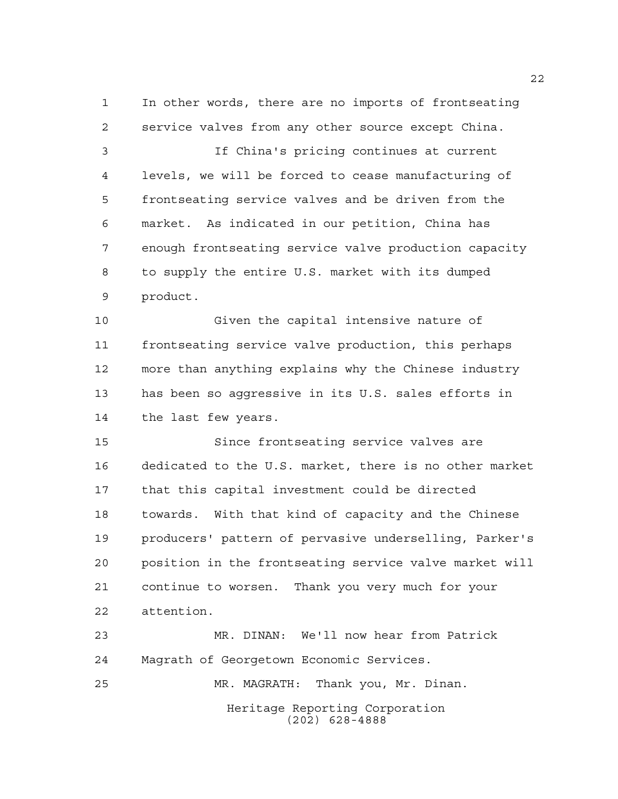In other words, there are no imports of frontseating service valves from any other source except China.

 If China's pricing continues at current levels, we will be forced to cease manufacturing of frontseating service valves and be driven from the market. As indicated in our petition, China has enough frontseating service valve production capacity to supply the entire U.S. market with its dumped product.

 Given the capital intensive nature of frontseating service valve production, this perhaps more than anything explains why the Chinese industry has been so aggressive in its U.S. sales efforts in the last few years.

 Since frontseating service valves are dedicated to the U.S. market, there is no other market that this capital investment could be directed towards. With that kind of capacity and the Chinese producers' pattern of pervasive underselling, Parker's position in the frontseating service valve market will continue to worsen. Thank you very much for your attention.

Heritage Reporting Corporation MR. DINAN: We'll now hear from Patrick Magrath of Georgetown Economic Services. MR. MAGRATH: Thank you, Mr. Dinan.

(202) 628-4888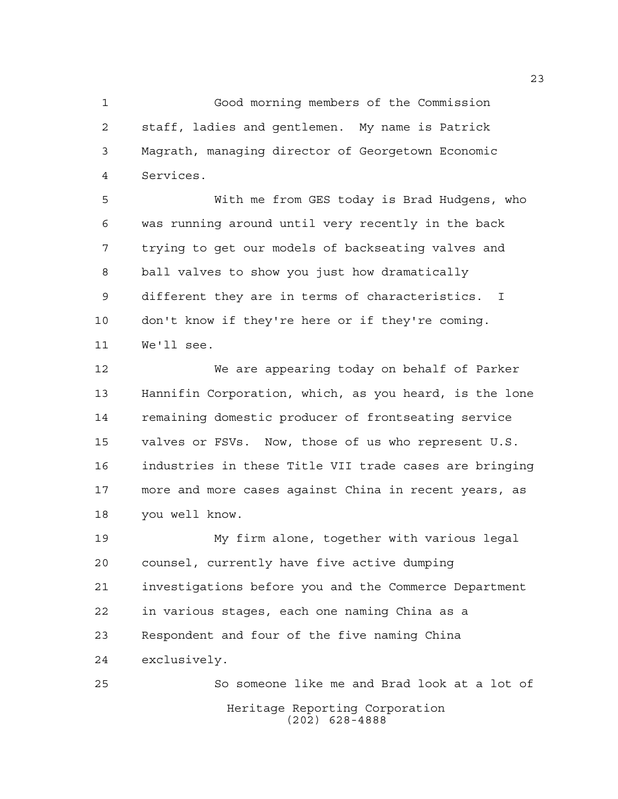Good morning members of the Commission staff, ladies and gentlemen. My name is Patrick Magrath, managing director of Georgetown Economic Services.

 With me from GES today is Brad Hudgens, who was running around until very recently in the back trying to get our models of backseating valves and ball valves to show you just how dramatically different they are in terms of characteristics. I don't know if they're here or if they're coming. We'll see.

 We are appearing today on behalf of Parker Hannifin Corporation, which, as you heard, is the lone remaining domestic producer of frontseating service valves or FSVs. Now, those of us who represent U.S. industries in these Title VII trade cases are bringing more and more cases against China in recent years, as you well know.

 My firm alone, together with various legal counsel, currently have five active dumping investigations before you and the Commerce Department in various stages, each one naming China as a Respondent and four of the five naming China exclusively.

Heritage Reporting Corporation (202) 628-4888 So someone like me and Brad look at a lot of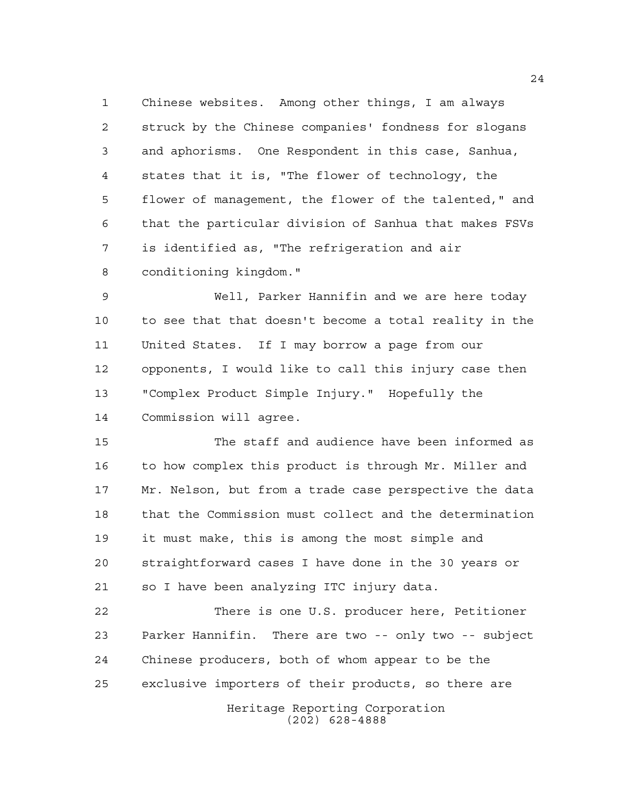Chinese websites. Among other things, I am always struck by the Chinese companies' fondness for slogans and aphorisms. One Respondent in this case, Sanhua, states that it is, "The flower of technology, the flower of management, the flower of the talented," and that the particular division of Sanhua that makes FSVs is identified as, "The refrigeration and air conditioning kingdom."

 Well, Parker Hannifin and we are here today to see that that doesn't become a total reality in the United States. If I may borrow a page from our opponents, I would like to call this injury case then "Complex Product Simple Injury." Hopefully the Commission will agree.

 The staff and audience have been informed as 16 to how complex this product is through Mr. Miller and Mr. Nelson, but from a trade case perspective the data that the Commission must collect and the determination it must make, this is among the most simple and straightforward cases I have done in the 30 years or so I have been analyzing ITC injury data.

 There is one U.S. producer here, Petitioner Parker Hannifin. There are two -- only two -- subject Chinese producers, both of whom appear to be the exclusive importers of their products, so there are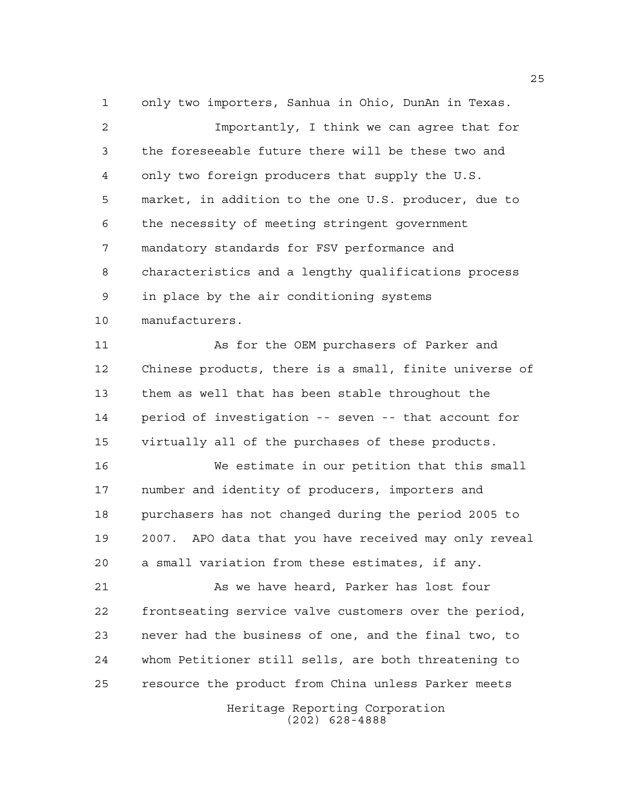only two importers, Sanhua in Ohio, DunAn in Texas.

 Importantly, I think we can agree that for the foreseeable future there will be these two and only two foreign producers that supply the U.S. market, in addition to the one U.S. producer, due to the necessity of meeting stringent government mandatory standards for FSV performance and characteristics and a lengthy qualifications process in place by the air conditioning systems manufacturers.

11 As for the OEM purchasers of Parker and Chinese products, there is a small, finite universe of them as well that has been stable throughout the period of investigation -- seven -- that account for virtually all of the purchases of these products.

 We estimate in our petition that this small number and identity of producers, importers and purchasers has not changed during the period 2005 to 2007. APO data that you have received may only reveal a small variation from these estimates, if any.

 As we have heard, Parker has lost four frontseating service valve customers over the period, never had the business of one, and the final two, to whom Petitioner still sells, are both threatening to resource the product from China unless Parker meets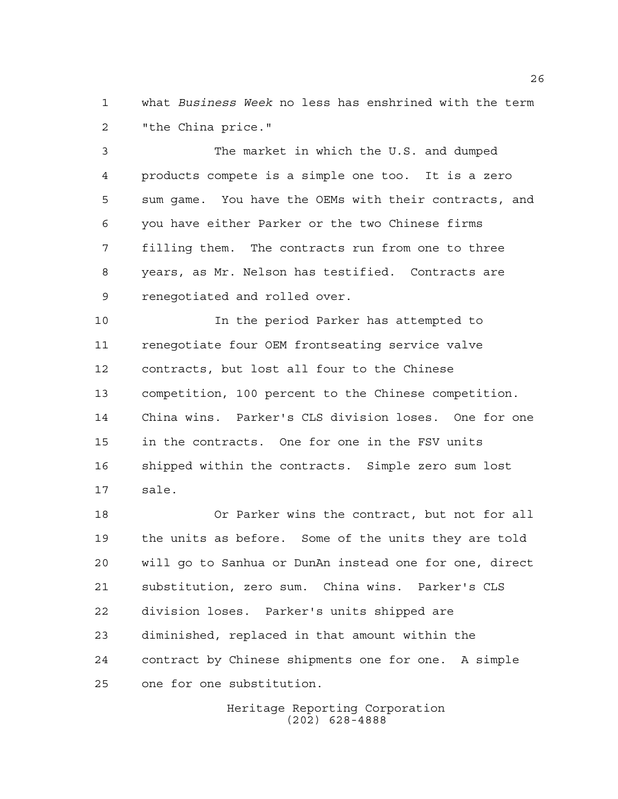what *Business Week* no less has enshrined with the term "the China price."

 The market in which the U.S. and dumped products compete is a simple one too. It is a zero sum game. You have the OEMs with their contracts, and you have either Parker or the two Chinese firms filling them. The contracts run from one to three years, as Mr. Nelson has testified. Contracts are renegotiated and rolled over.

 In the period Parker has attempted to renegotiate four OEM frontseating service valve contracts, but lost all four to the Chinese competition, 100 percent to the Chinese competition. China wins. Parker's CLS division loses. One for one in the contracts. One for one in the FSV units shipped within the contracts. Simple zero sum lost sale.

 Or Parker wins the contract, but not for all the units as before. Some of the units they are told will go to Sanhua or DunAn instead one for one, direct substitution, zero sum. China wins. Parker's CLS division loses. Parker's units shipped are diminished, replaced in that amount within the contract by Chinese shipments one for one. A simple one for one substitution.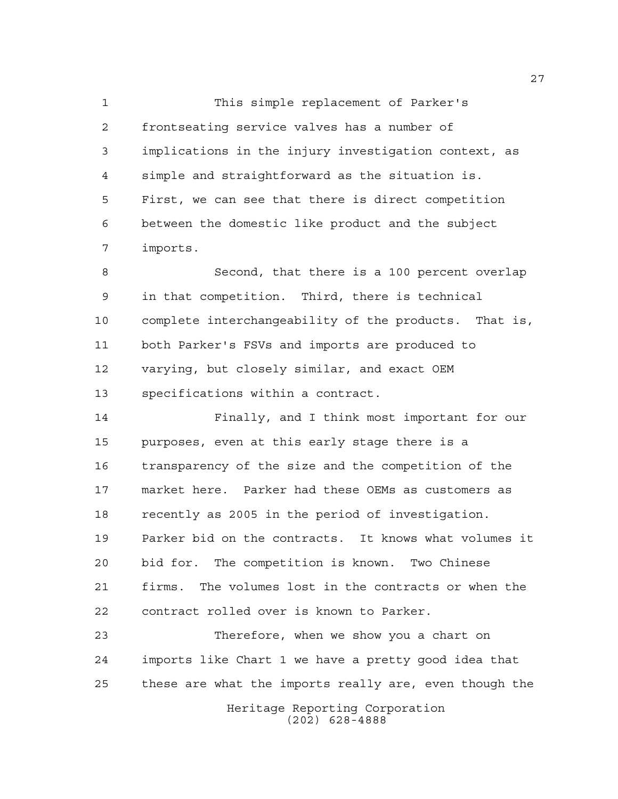This simple replacement of Parker's frontseating service valves has a number of implications in the injury investigation context, as simple and straightforward as the situation is. First, we can see that there is direct competition between the domestic like product and the subject imports.

 Second, that there is a 100 percent overlap in that competition. Third, there is technical complete interchangeability of the products. That is, both Parker's FSVs and imports are produced to varying, but closely similar, and exact OEM specifications within a contract.

 Finally, and I think most important for our purposes, even at this early stage there is a transparency of the size and the competition of the market here. Parker had these OEMs as customers as recently as 2005 in the period of investigation. Parker bid on the contracts. It knows what volumes it bid for. The competition is known. Two Chinese firms. The volumes lost in the contracts or when the contract rolled over is known to Parker.

Heritage Reporting Corporation Therefore, when we show you a chart on imports like Chart 1 we have a pretty good idea that these are what the imports really are, even though the

(202) 628-4888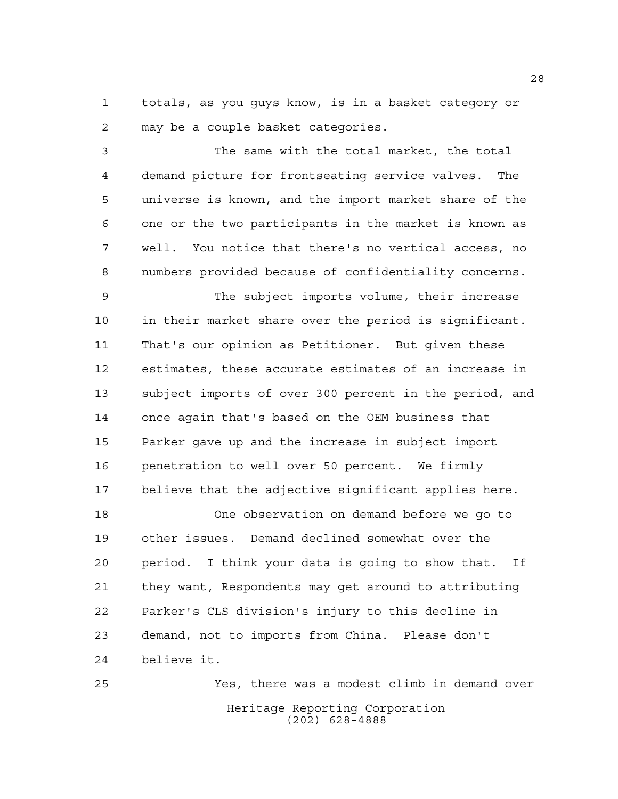totals, as you guys know, is in a basket category or may be a couple basket categories.

 The same with the total market, the total demand picture for frontseating service valves. The universe is known, and the import market share of the one or the two participants in the market is known as well. You notice that there's no vertical access, no numbers provided because of confidentiality concerns.

 The subject imports volume, their increase in their market share over the period is significant. That's our opinion as Petitioner. But given these estimates, these accurate estimates of an increase in subject imports of over 300 percent in the period, and once again that's based on the OEM business that Parker gave up and the increase in subject import penetration to well over 50 percent. We firmly believe that the adjective significant applies here.

 One observation on demand before we go to other issues. Demand declined somewhat over the period. I think your data is going to show that. If they want, Respondents may get around to attributing Parker's CLS division's injury to this decline in demand, not to imports from China. Please don't believe it.

Heritage Reporting Corporation (202) 628-4888 Yes, there was a modest climb in demand over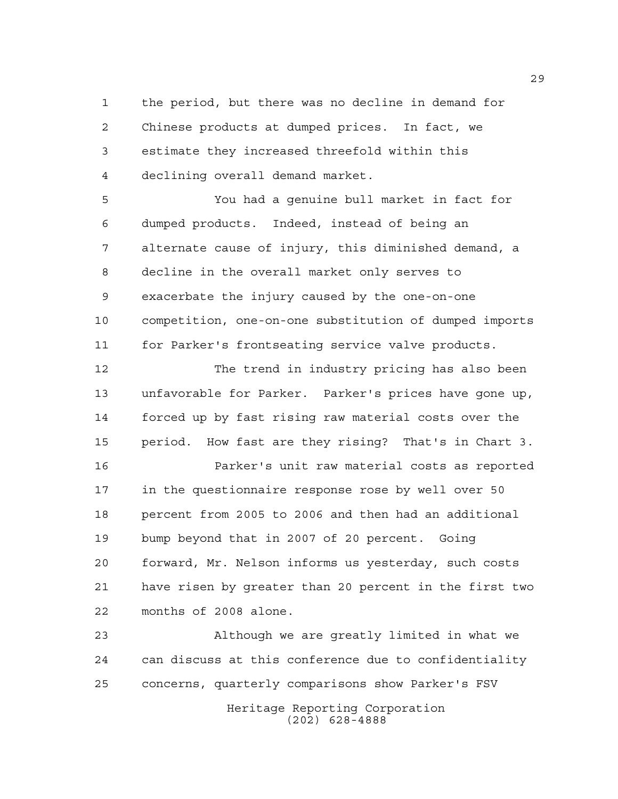the period, but there was no decline in demand for Chinese products at dumped prices. In fact, we estimate they increased threefold within this declining overall demand market.

 You had a genuine bull market in fact for dumped products. Indeed, instead of being an alternate cause of injury, this diminished demand, a decline in the overall market only serves to exacerbate the injury caused by the one-on-one competition, one-on-one substitution of dumped imports for Parker's frontseating service valve products.

 The trend in industry pricing has also been unfavorable for Parker. Parker's prices have gone up, forced up by fast rising raw material costs over the period. How fast are they rising? That's in Chart 3.

 Parker's unit raw material costs as reported in the questionnaire response rose by well over 50 percent from 2005 to 2006 and then had an additional bump beyond that in 2007 of 20 percent. Going forward, Mr. Nelson informs us yesterday, such costs have risen by greater than 20 percent in the first two months of 2008 alone.

 Although we are greatly limited in what we can discuss at this conference due to confidentiality concerns, quarterly comparisons show Parker's FSV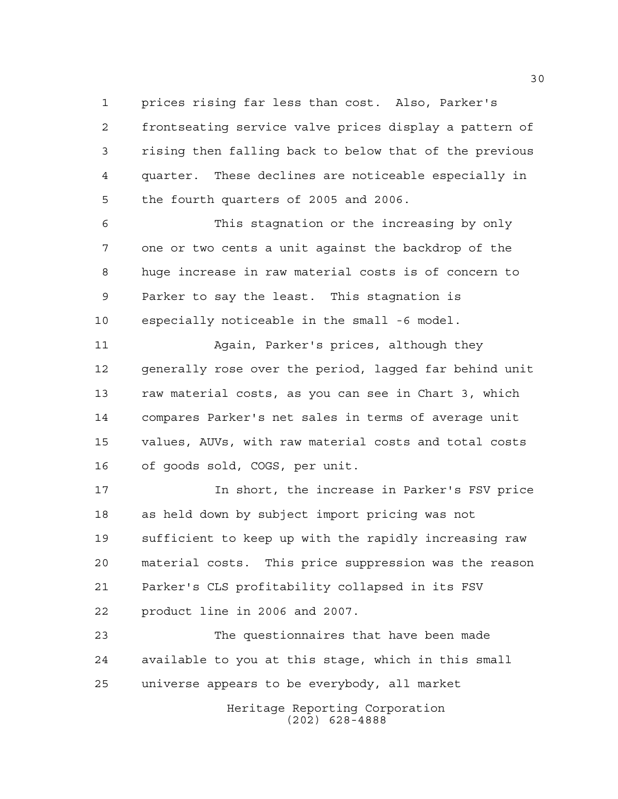prices rising far less than cost. Also, Parker's frontseating service valve prices display a pattern of rising then falling back to below that of the previous quarter. These declines are noticeable especially in the fourth quarters of 2005 and 2006.

 This stagnation or the increasing by only one or two cents a unit against the backdrop of the huge increase in raw material costs is of concern to Parker to say the least. This stagnation is especially noticeable in the small -6 model.

 Again, Parker's prices, although they generally rose over the period, lagged far behind unit raw material costs, as you can see in Chart 3, which compares Parker's net sales in terms of average unit values, AUVs, with raw material costs and total costs of goods sold, COGS, per unit.

 In short, the increase in Parker's FSV price as held down by subject import pricing was not sufficient to keep up with the rapidly increasing raw material costs. This price suppression was the reason Parker's CLS profitability collapsed in its FSV product line in 2006 and 2007.

 The questionnaires that have been made available to you at this stage, which in this small universe appears to be everybody, all market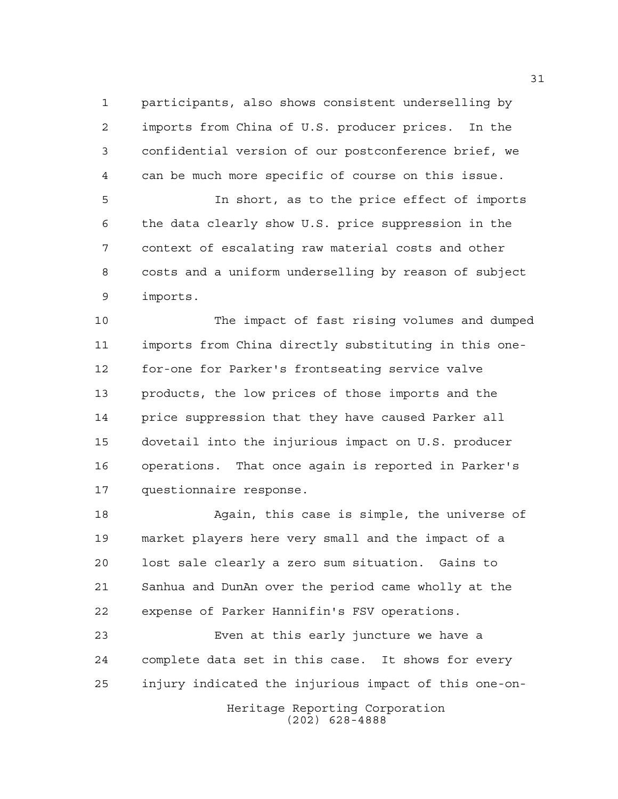participants, also shows consistent underselling by imports from China of U.S. producer prices. In the confidential version of our postconference brief, we can be much more specific of course on this issue.

 In short, as to the price effect of imports the data clearly show U.S. price suppression in the context of escalating raw material costs and other costs and a uniform underselling by reason of subject imports.

 The impact of fast rising volumes and dumped imports from China directly substituting in this one- for-one for Parker's frontseating service valve products, the low prices of those imports and the price suppression that they have caused Parker all dovetail into the injurious impact on U.S. producer operations. That once again is reported in Parker's questionnaire response.

 Again, this case is simple, the universe of market players here very small and the impact of a lost sale clearly a zero sum situation. Gains to Sanhua and DunAn over the period came wholly at the expense of Parker Hannifin's FSV operations.

Heritage Reporting Corporation Even at this early juncture we have a complete data set in this case. It shows for every injury indicated the injurious impact of this one-on-

(202) 628-4888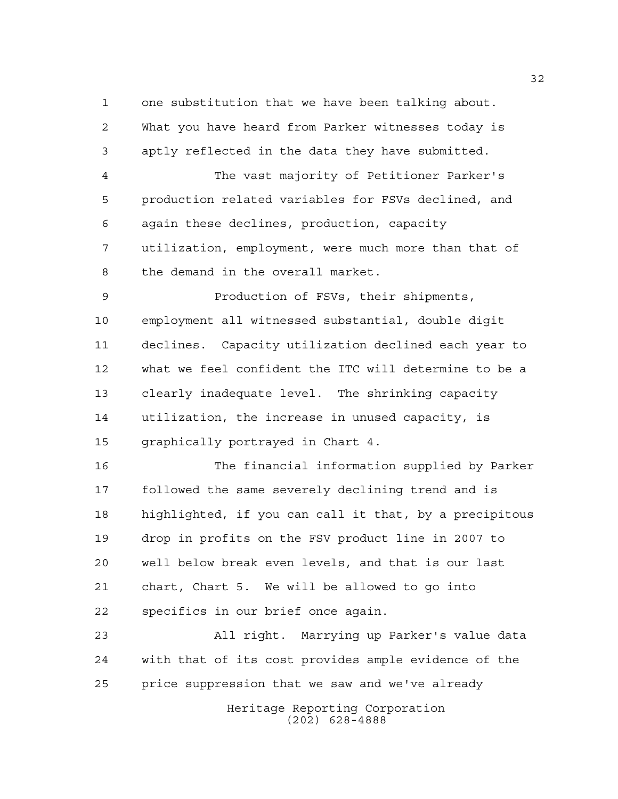one substitution that we have been talking about.

 What you have heard from Parker witnesses today is aptly reflected in the data they have submitted.

 The vast majority of Petitioner Parker's production related variables for FSVs declined, and again these declines, production, capacity utilization, employment, were much more than that of the demand in the overall market.

 Production of FSVs, their shipments, employment all witnessed substantial, double digit declines. Capacity utilization declined each year to what we feel confident the ITC will determine to be a clearly inadequate level. The shrinking capacity utilization, the increase in unused capacity, is graphically portrayed in Chart 4.

 The financial information supplied by Parker followed the same severely declining trend and is highlighted, if you can call it that, by a precipitous drop in profits on the FSV product line in 2007 to well below break even levels, and that is our last chart, Chart 5. We will be allowed to go into specifics in our brief once again.

 All right. Marrying up Parker's value data with that of its cost provides ample evidence of the price suppression that we saw and we've already

Heritage Reporting Corporation (202) 628-4888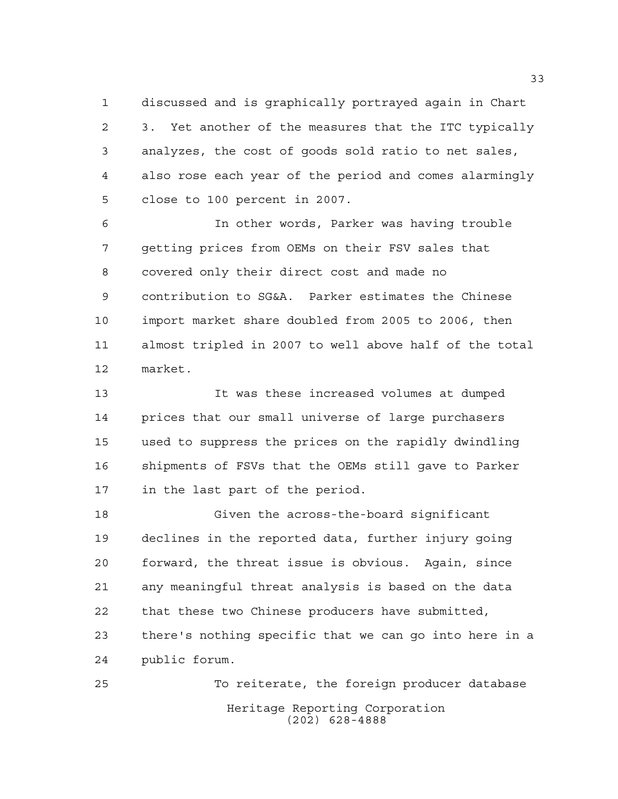discussed and is graphically portrayed again in Chart 3. Yet another of the measures that the ITC typically analyzes, the cost of goods sold ratio to net sales, also rose each year of the period and comes alarmingly close to 100 percent in 2007.

 In other words, Parker was having trouble getting prices from OEMs on their FSV sales that covered only their direct cost and made no contribution to SG&A. Parker estimates the Chinese import market share doubled from 2005 to 2006, then almost tripled in 2007 to well above half of the total market.

 It was these increased volumes at dumped prices that our small universe of large purchasers used to suppress the prices on the rapidly dwindling shipments of FSVs that the OEMs still gave to Parker in the last part of the period.

 Given the across-the-board significant declines in the reported data, further injury going forward, the threat issue is obvious. Again, since any meaningful threat analysis is based on the data that these two Chinese producers have submitted, there's nothing specific that we can go into here in a public forum.

Heritage Reporting Corporation (202) 628-4888 To reiterate, the foreign producer database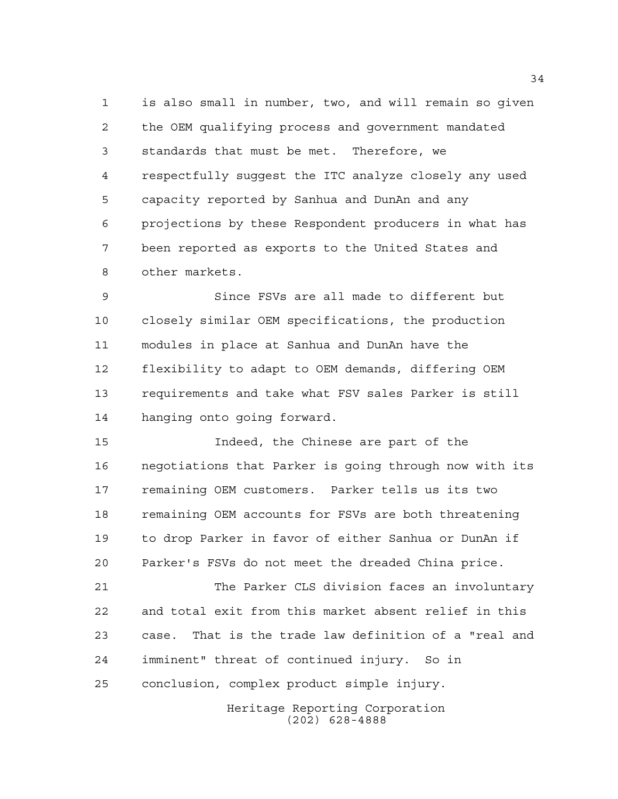is also small in number, two, and will remain so given the OEM qualifying process and government mandated standards that must be met. Therefore, we respectfully suggest the ITC analyze closely any used capacity reported by Sanhua and DunAn and any projections by these Respondent producers in what has been reported as exports to the United States and other markets.

 Since FSVs are all made to different but closely similar OEM specifications, the production modules in place at Sanhua and DunAn have the flexibility to adapt to OEM demands, differing OEM requirements and take what FSV sales Parker is still hanging onto going forward.

 Indeed, the Chinese are part of the negotiations that Parker is going through now with its remaining OEM customers. Parker tells us its two 18 remaining OEM accounts for FSVs are both threatening to drop Parker in favor of either Sanhua or DunAn if Parker's FSVs do not meet the dreaded China price.

 The Parker CLS division faces an involuntary and total exit from this market absent relief in this case. That is the trade law definition of a "real and imminent" threat of continued injury. So in conclusion, complex product simple injury.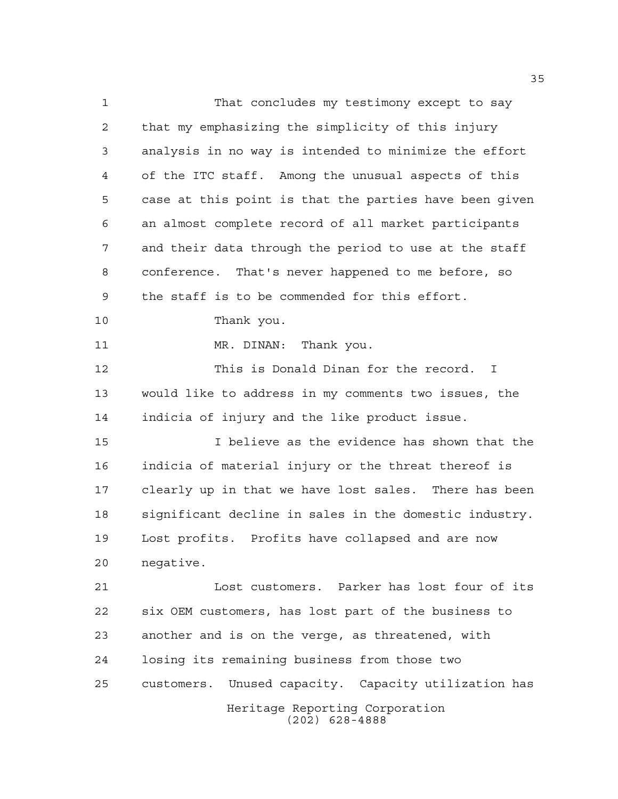Heritage Reporting Corporation (202) 628-4888 That concludes my testimony except to say that my emphasizing the simplicity of this injury analysis in no way is intended to minimize the effort of the ITC staff. Among the unusual aspects of this case at this point is that the parties have been given an almost complete record of all market participants and their data through the period to use at the staff conference. That's never happened to me before, so the staff is to be commended for this effort. Thank you. 11 MR. DINAN: Thank you. This is Donald Dinan for the record. I would like to address in my comments two issues, the indicia of injury and the like product issue. I believe as the evidence has shown that the indicia of material injury or the threat thereof is clearly up in that we have lost sales. There has been significant decline in sales in the domestic industry. Lost profits. Profits have collapsed and are now negative. Lost customers. Parker has lost four of its six OEM customers, has lost part of the business to another and is on the verge, as threatened, with losing its remaining business from those two customers. Unused capacity. Capacity utilization has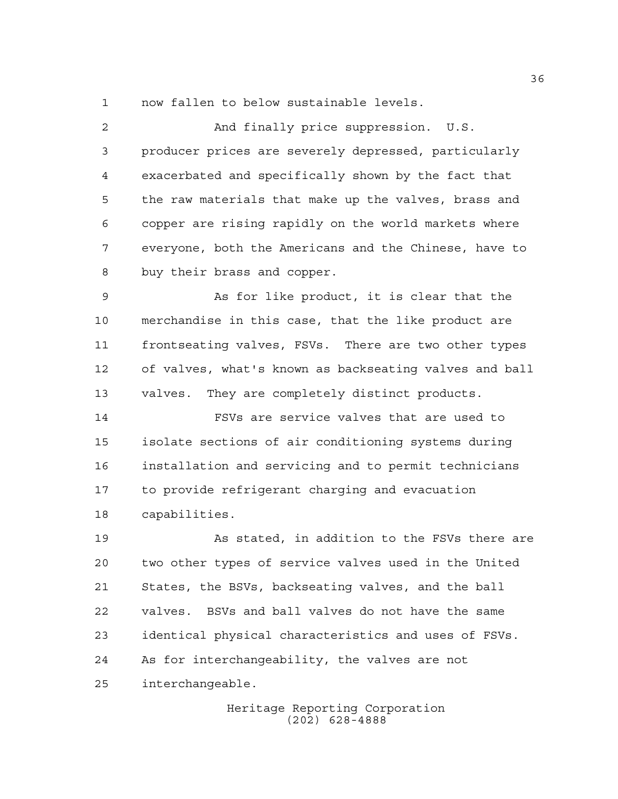now fallen to below sustainable levels.

 And finally price suppression. U.S. producer prices are severely depressed, particularly exacerbated and specifically shown by the fact that the raw materials that make up the valves, brass and copper are rising rapidly on the world markets where everyone, both the Americans and the Chinese, have to buy their brass and copper.

 As for like product, it is clear that the merchandise in this case, that the like product are frontseating valves, FSVs. There are two other types of valves, what's known as backseating valves and ball valves. They are completely distinct products.

 FSVs are service valves that are used to isolate sections of air conditioning systems during installation and servicing and to permit technicians to provide refrigerant charging and evacuation capabilities.

 As stated, in addition to the FSVs there are two other types of service valves used in the United States, the BSVs, backseating valves, and the ball valves. BSVs and ball valves do not have the same identical physical characteristics and uses of FSVs. As for interchangeability, the valves are not interchangeable.

> Heritage Reporting Corporation (202) 628-4888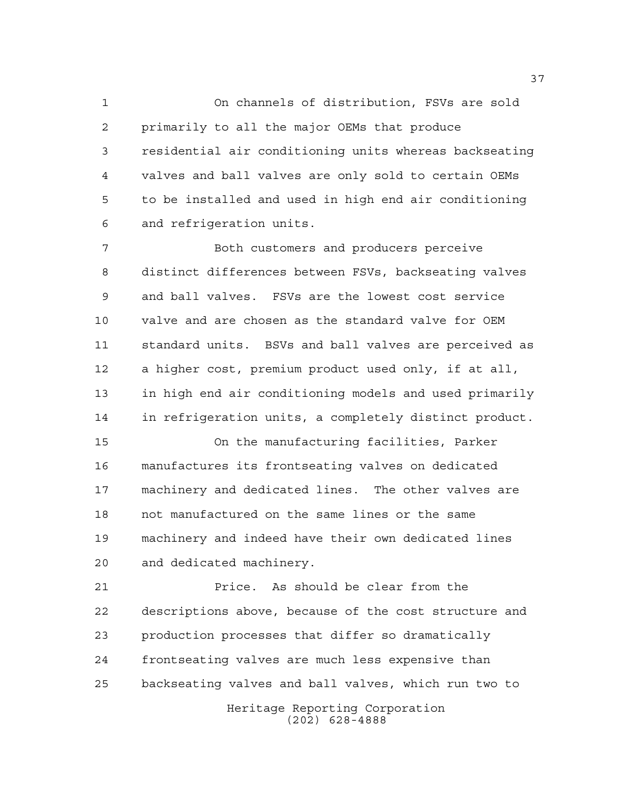On channels of distribution, FSVs are sold primarily to all the major OEMs that produce residential air conditioning units whereas backseating valves and ball valves are only sold to certain OEMs to be installed and used in high end air conditioning and refrigeration units.

 Both customers and producers perceive distinct differences between FSVs, backseating valves and ball valves. FSVs are the lowest cost service valve and are chosen as the standard valve for OEM standard units. BSVs and ball valves are perceived as a higher cost, premium product used only, if at all, in high end air conditioning models and used primarily in refrigeration units, a completely distinct product.

 On the manufacturing facilities, Parker manufactures its frontseating valves on dedicated machinery and dedicated lines. The other valves are not manufactured on the same lines or the same machinery and indeed have their own dedicated lines and dedicated machinery.

 Price. As should be clear from the descriptions above, because of the cost structure and production processes that differ so dramatically frontseating valves are much less expensive than backseating valves and ball valves, which run two to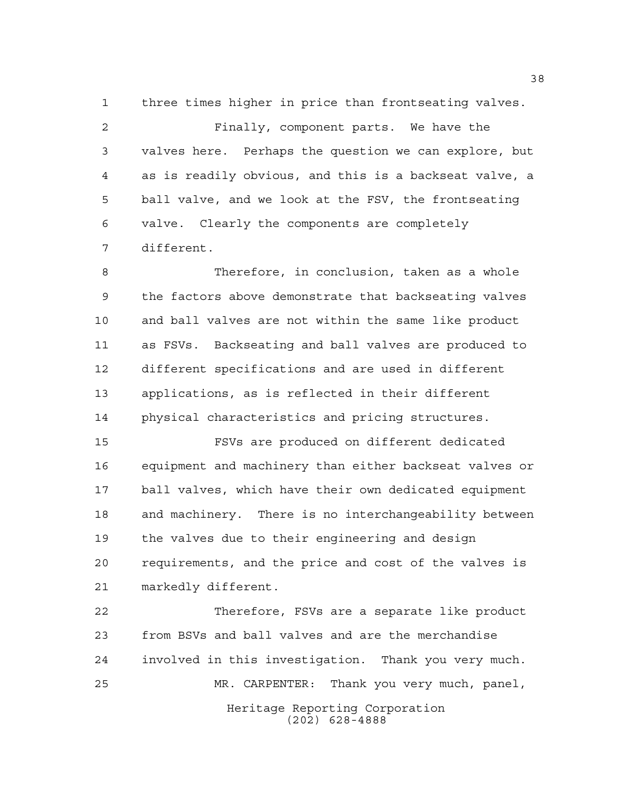three times higher in price than frontseating valves.

 Finally, component parts. We have the valves here. Perhaps the question we can explore, but as is readily obvious, and this is a backseat valve, a ball valve, and we look at the FSV, the frontseating valve. Clearly the components are completely different.

 Therefore, in conclusion, taken as a whole the factors above demonstrate that backseating valves and ball valves are not within the same like product as FSVs. Backseating and ball valves are produced to different specifications and are used in different applications, as is reflected in their different physical characteristics and pricing structures.

 FSVs are produced on different dedicated equipment and machinery than either backseat valves or ball valves, which have their own dedicated equipment and machinery. There is no interchangeability between the valves due to their engineering and design requirements, and the price and cost of the valves is markedly different.

Heritage Reporting Corporation (202) 628-4888 Therefore, FSVs are a separate like product from BSVs and ball valves and are the merchandise involved in this investigation. Thank you very much. MR. CARPENTER: Thank you very much, panel,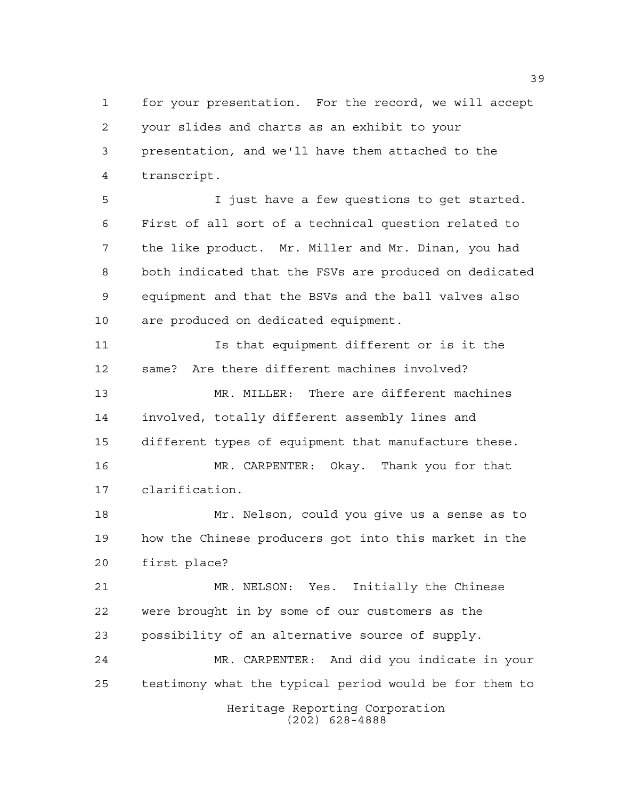for your presentation. For the record, we will accept your slides and charts as an exhibit to your presentation, and we'll have them attached to the transcript.

 I just have a few questions to get started. First of all sort of a technical question related to the like product. Mr. Miller and Mr. Dinan, you had both indicated that the FSVs are produced on dedicated equipment and that the BSVs and the ball valves also are produced on dedicated equipment.

 Is that equipment different or is it the same? Are there different machines involved? MR. MILLER: There are different machines involved, totally different assembly lines and different types of equipment that manufacture these. MR. CARPENTER: Okay. Thank you for that

clarification.

 Mr. Nelson, could you give us a sense as to how the Chinese producers got into this market in the first place?

 MR. NELSON: Yes. Initially the Chinese were brought in by some of our customers as the possibility of an alternative source of supply.

Heritage Reporting Corporation (202) 628-4888 MR. CARPENTER: And did you indicate in your testimony what the typical period would be for them to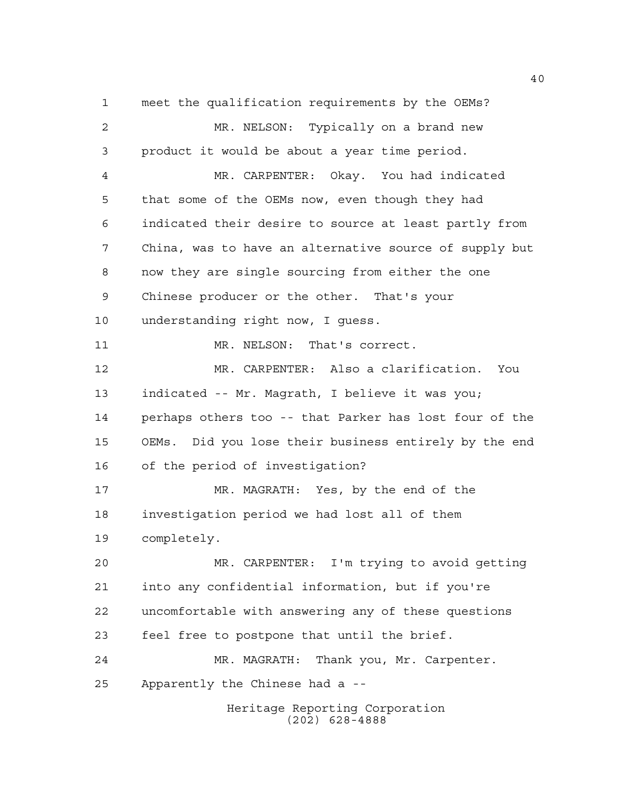Heritage Reporting Corporation meet the qualification requirements by the OEMs? MR. NELSON: Typically on a brand new product it would be about a year time period. MR. CARPENTER: Okay. You had indicated that some of the OEMs now, even though they had indicated their desire to source at least partly from China, was to have an alternative source of supply but now they are single sourcing from either the one Chinese producer or the other. That's your understanding right now, I guess. 11 MR. NELSON: That's correct. MR. CARPENTER: Also a clarification. You indicated -- Mr. Magrath, I believe it was you; perhaps others too -- that Parker has lost four of the OEMs. Did you lose their business entirely by the end of the period of investigation? MR. MAGRATH: Yes, by the end of the investigation period we had lost all of them completely. MR. CARPENTER: I'm trying to avoid getting into any confidential information, but if you're uncomfortable with answering any of these questions feel free to postpone that until the brief. MR. MAGRATH: Thank you, Mr. Carpenter. Apparently the Chinese had a --

(202) 628-4888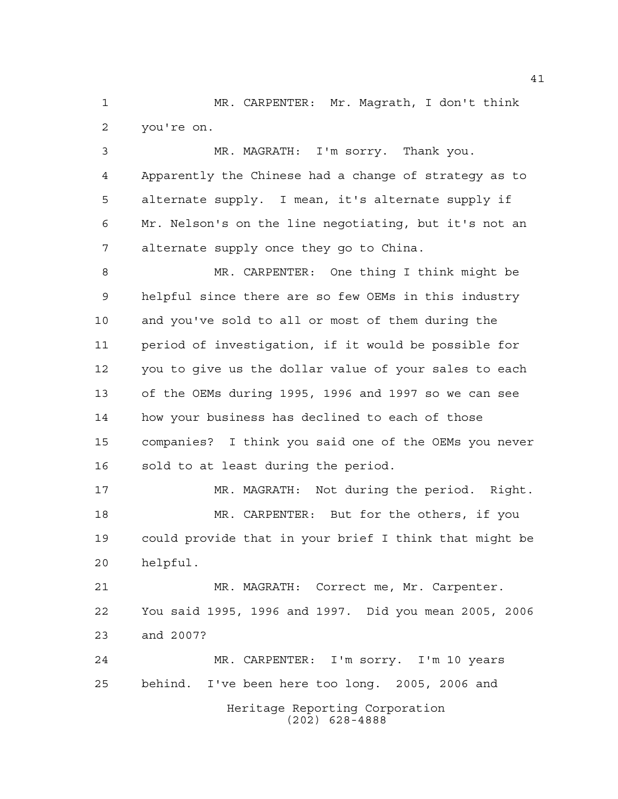MR. CARPENTER: Mr. Magrath, I don't think you're on.

 MR. MAGRATH: I'm sorry. Thank you. Apparently the Chinese had a change of strategy as to alternate supply. I mean, it's alternate supply if Mr. Nelson's on the line negotiating, but it's not an alternate supply once they go to China.

 MR. CARPENTER: One thing I think might be helpful since there are so few OEMs in this industry and you've sold to all or most of them during the period of investigation, if it would be possible for you to give us the dollar value of your sales to each of the OEMs during 1995, 1996 and 1997 so we can see how your business has declined to each of those companies? I think you said one of the OEMs you never sold to at least during the period.

 MR. MAGRATH: Not during the period. Right. MR. CARPENTER: But for the others, if you could provide that in your brief I think that might be helpful.

 MR. MAGRATH: Correct me, Mr. Carpenter. You said 1995, 1996 and 1997. Did you mean 2005, 2006 and 2007?

Heritage Reporting Corporation (202) 628-4888 MR. CARPENTER: I'm sorry. I'm 10 years behind. I've been here too long. 2005, 2006 and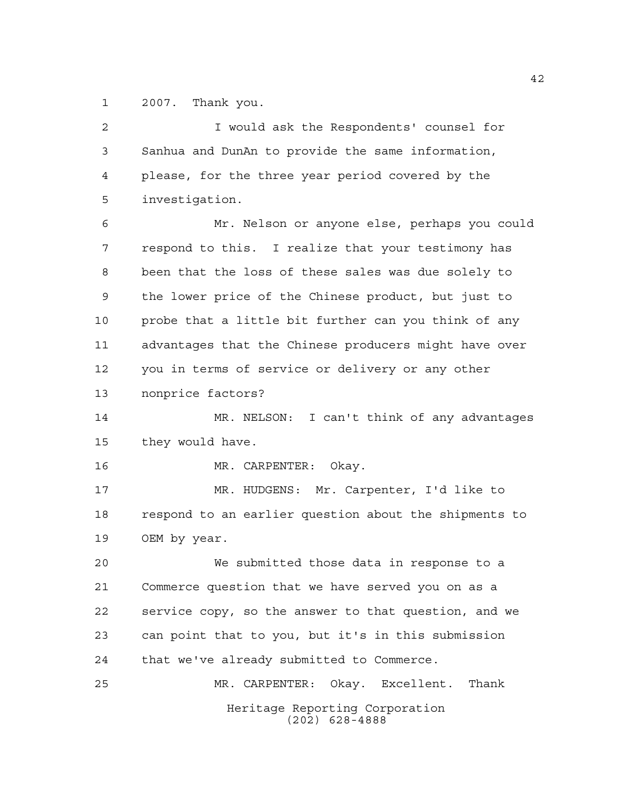2007. Thank you.

Heritage Reporting Corporation (202) 628-4888 I would ask the Respondents' counsel for Sanhua and DunAn to provide the same information, please, for the three year period covered by the investigation. Mr. Nelson or anyone else, perhaps you could respond to this. I realize that your testimony has been that the loss of these sales was due solely to the lower price of the Chinese product, but just to probe that a little bit further can you think of any advantages that the Chinese producers might have over you in terms of service or delivery or any other nonprice factors? MR. NELSON: I can't think of any advantages they would have. MR. CARPENTER: Okay. MR. HUDGENS: Mr. Carpenter, I'd like to respond to an earlier question about the shipments to OEM by year. We submitted those data in response to a Commerce question that we have served you on as a service copy, so the answer to that question, and we can point that to you, but it's in this submission that we've already submitted to Commerce. MR. CARPENTER: Okay. Excellent. Thank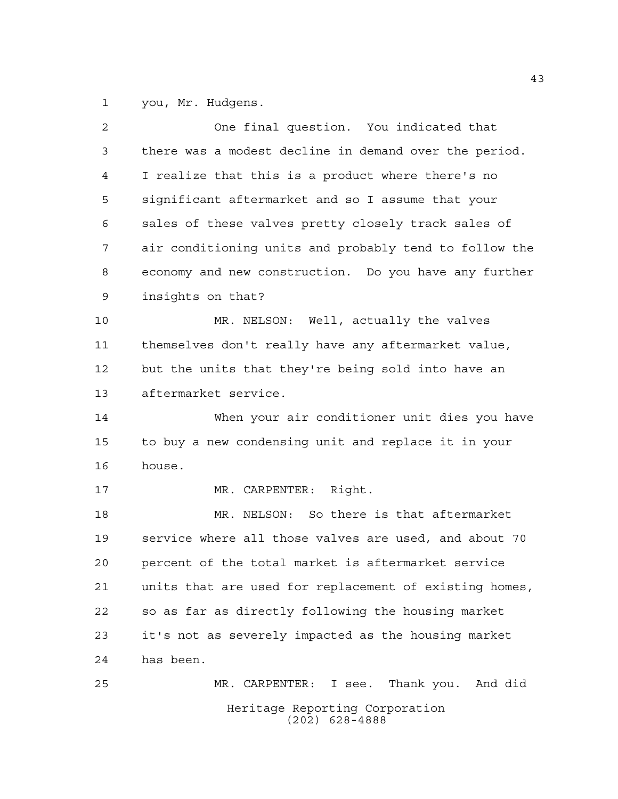you, Mr. Hudgens.

| $\overline{2}$ | One final question. You indicated that                 |
|----------------|--------------------------------------------------------|
| 3              | there was a modest decline in demand over the period.  |
| 4              | I realize that this is a product where there's no      |
| 5              | significant aftermarket and so I assume that your      |
| 6              | sales of these valves pretty closely track sales of    |
| 7              | air conditioning units and probably tend to follow the |
| 8              | economy and new construction. Do you have any further  |
| 9              | insights on that?                                      |
| 10             | MR. NELSON: Well, actually the valves                  |
| 11             | themselves don't really have any aftermarket value,    |
| 12             | but the units that they're being sold into have an     |
| 13             | aftermarket service.                                   |
| 14             | When your air conditioner unit dies you have           |
| 15             | to buy a new condensing unit and replace it in your    |
| 16             | house.                                                 |
| 17             | MR. CARPENTER: Right.                                  |
| 18             | MR. NELSON: So there is that aftermarket               |
| 19             | service where all those valves are used, and about 70  |
| 20             | percent of the total market is aftermarket service     |
| 21             | units that are used for replacement of existing homes, |
| 22             | so as far as directly following the housing market     |
| 23             | it's not as severely impacted as the housing market    |
| 24             | has been.                                              |
| 25             | MR. CARPENTER: I see. Thank you. And did               |
|                | Heritage Reporting Corporation<br>$(202)$ 628-4888     |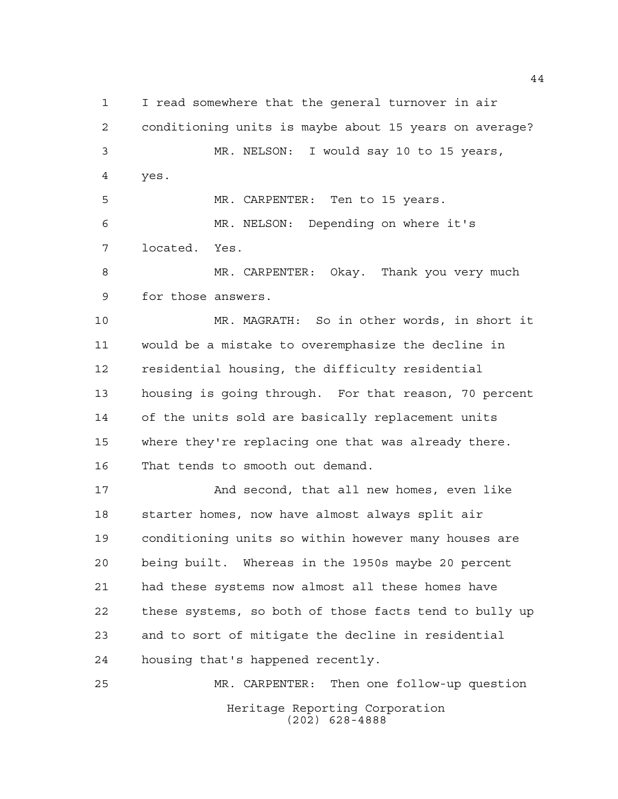I read somewhere that the general turnover in air conditioning units is maybe about 15 years on average? MR. NELSON: I would say 10 to 15 years, yes. MR. CARPENTER: Ten to 15 years. MR. NELSON: Depending on where it's

located. Yes.

 MR. CARPENTER: Okay. Thank you very much for those answers.

 MR. MAGRATH: So in other words, in short it would be a mistake to overemphasize the decline in residential housing, the difficulty residential housing is going through. For that reason, 70 percent of the units sold are basically replacement units where they're replacing one that was already there. That tends to smooth out demand.

 And second, that all new homes, even like starter homes, now have almost always split air conditioning units so within however many houses are being built. Whereas in the 1950s maybe 20 percent had these systems now almost all these homes have these systems, so both of those facts tend to bully up and to sort of mitigate the decline in residential housing that's happened recently.

Heritage Reporting Corporation (202) 628-4888 MR. CARPENTER: Then one follow-up question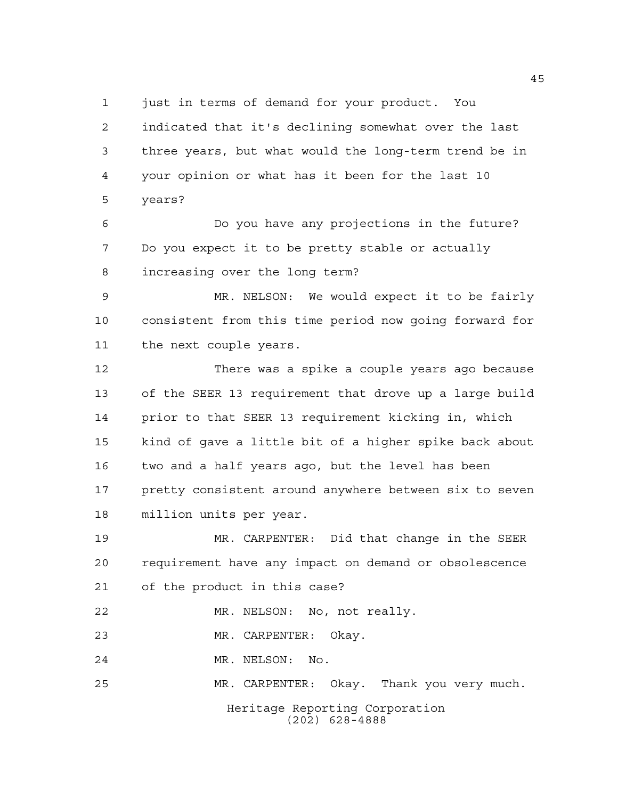just in terms of demand for your product. You

 indicated that it's declining somewhat over the last three years, but what would the long-term trend be in your opinion or what has it been for the last 10 years?

 Do you have any projections in the future? Do you expect it to be pretty stable or actually increasing over the long term?

 MR. NELSON: We would expect it to be fairly consistent from this time period now going forward for the next couple years.

 There was a spike a couple years ago because of the SEER 13 requirement that drove up a large build prior to that SEER 13 requirement kicking in, which kind of gave a little bit of a higher spike back about two and a half years ago, but the level has been 17 pretty consistent around anywhere between six to seven million units per year.

 MR. CARPENTER: Did that change in the SEER requirement have any impact on demand or obsolescence of the product in this case?

MR. NELSON: No, not really.

MR. CARPENTER: Okay.

MR. NELSON: No.

MR. CARPENTER: Okay. Thank you very much.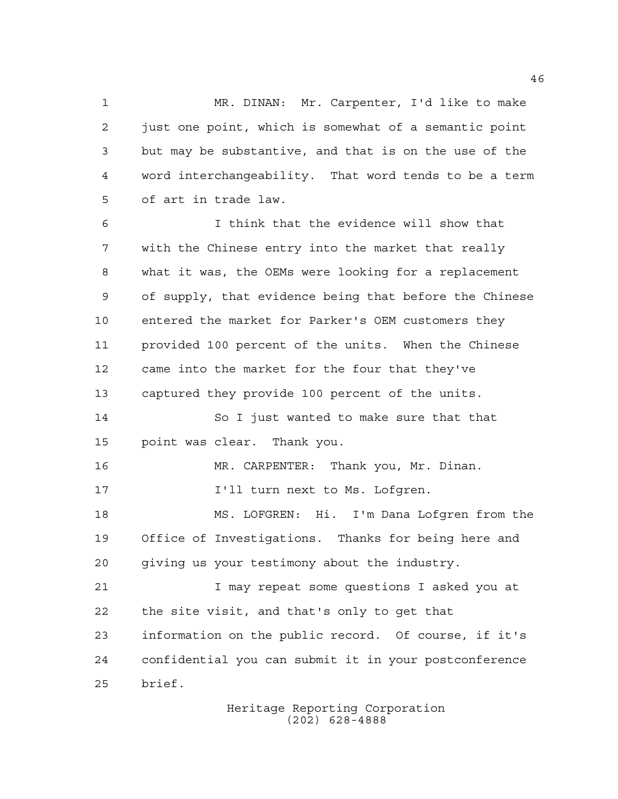MR. DINAN: Mr. Carpenter, I'd like to make just one point, which is somewhat of a semantic point but may be substantive, and that is on the use of the word interchangeability. That word tends to be a term of art in trade law.

 I think that the evidence will show that with the Chinese entry into the market that really what it was, the OEMs were looking for a replacement of supply, that evidence being that before the Chinese entered the market for Parker's OEM customers they provided 100 percent of the units. When the Chinese came into the market for the four that they've captured they provide 100 percent of the units. So I just wanted to make sure that that point was clear. Thank you. MR. CARPENTER: Thank you, Mr. Dinan. **I'll turn next to Ms. Lofgren.**  MS. LOFGREN: Hi. I'm Dana Lofgren from the Office of Investigations. Thanks for being here and giving us your testimony about the industry. I may repeat some questions I asked you at the site visit, and that's only to get that information on the public record. Of course, if it's confidential you can submit it in your postconference brief.

> Heritage Reporting Corporation (202) 628-4888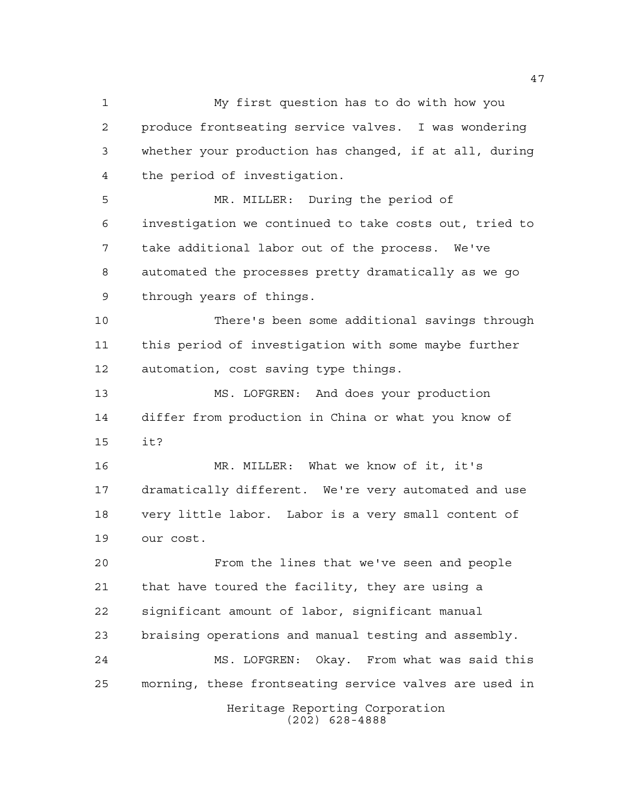My first question has to do with how you produce frontseating service valves. I was wondering whether your production has changed, if at all, during the period of investigation. MR. MILLER: During the period of investigation we continued to take costs out, tried to take additional labor out of the process. We've automated the processes pretty dramatically as we go through years of things. There's been some additional savings through this period of investigation with some maybe further automation, cost saving type things. MS. LOFGREN: And does your production differ from production in China or what you know of it? MR. MILLER: What we know of it, it's dramatically different. We're very automated and use very little labor. Labor is a very small content of our cost.

Heritage Reporting Corporation From the lines that we've seen and people that have toured the facility, they are using a significant amount of labor, significant manual braising operations and manual testing and assembly. MS. LOFGREN: Okay. From what was said this morning, these frontseating service valves are used in

(202) 628-4888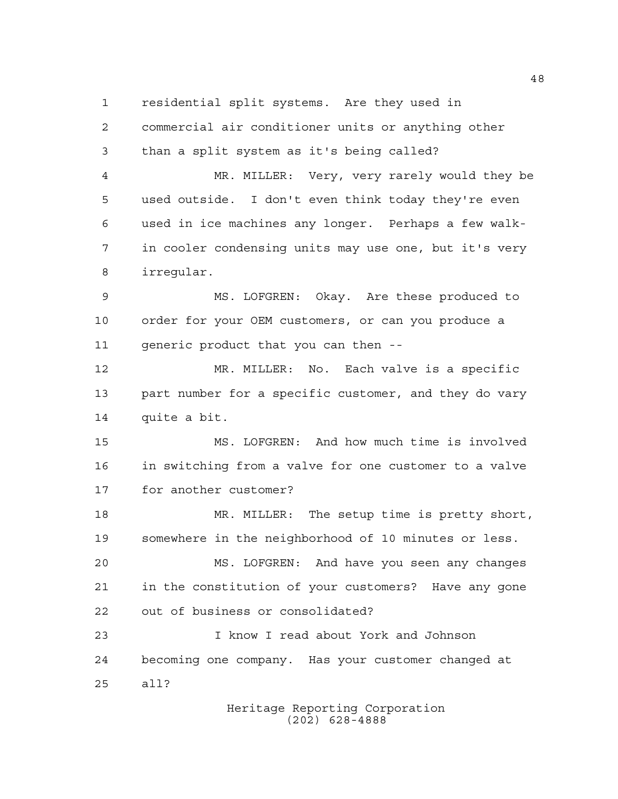residential split systems. Are they used in

| $\overline{a}$ | commercial air conditioner units or anything other    |
|----------------|-------------------------------------------------------|
| 3              | than a split system as it's being called?             |
| 4              | MR. MILLER: Very, very rarely would they be           |
| 5              | used outside. I don't even think today they're even   |
| 6              | used in ice machines any longer. Perhaps a few walk-  |
| 7              | in cooler condensing units may use one, but it's very |
| 8              | irregular.                                            |
| 9              | MS. LOFGREN: Okay. Are these produced to              |
| 10             | order for your OEM customers, or can you produce a    |
| 11             | generic product that you can then --                  |
| 12             | MR. MILLER: No. Each valve is a specific              |
| 13             | part number for a specific customer, and they do vary |
| 14             | quite a bit.                                          |
| 15             | MS. LOFGREN: And how much time is involved            |
| 16             | in switching from a valve for one customer to a valve |
| 17             | for another customer?                                 |
| 18             | MR. MILLER: The setup time is pretty short,           |
| 19             | somewhere in the neighborhood of 10 minutes or less.  |
| 20             | MS. LOFGREN: And have you seen any changes            |
| 21             | in the constitution of your customers? Have any gone  |
| 22             | out of business or consolidated?                      |
| 23             | I know I read about York and Johnson                  |
| 24             | becoming one company. Has your customer changed at    |
| 25             | all?                                                  |
|                | Heritage Reporting Corporation                        |

(202) 628-4888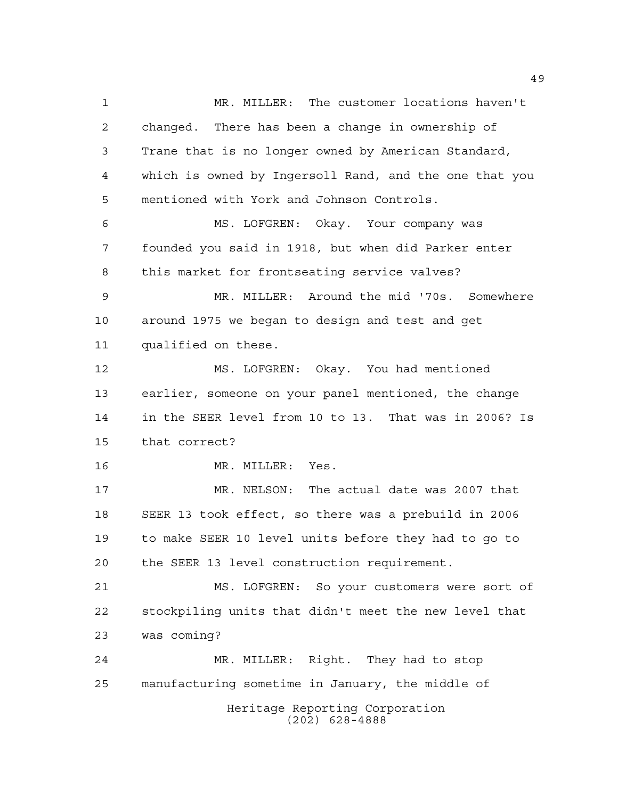Heritage Reporting Corporation (202) 628-4888 MR. MILLER: The customer locations haven't changed. There has been a change in ownership of Trane that is no longer owned by American Standard, which is owned by Ingersoll Rand, and the one that you mentioned with York and Johnson Controls. MS. LOFGREN: Okay. Your company was founded you said in 1918, but when did Parker enter this market for frontseating service valves? MR. MILLER: Around the mid '70s. Somewhere around 1975 we began to design and test and get qualified on these. MS. LOFGREN: Okay. You had mentioned earlier, someone on your panel mentioned, the change in the SEER level from 10 to 13. That was in 2006? Is that correct? 16 MR. MILLER: Yes. MR. NELSON: The actual date was 2007 that SEER 13 took effect, so there was a prebuild in 2006 to make SEER 10 level units before they had to go to the SEER 13 level construction requirement. MS. LOFGREN: So your customers were sort of stockpiling units that didn't meet the new level that was coming? MR. MILLER: Right. They had to stop manufacturing sometime in January, the middle of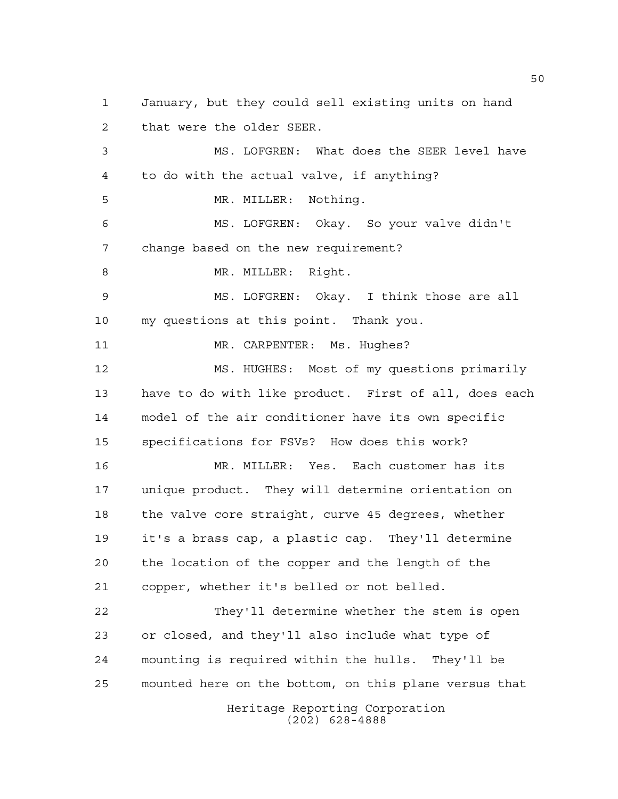Heritage Reporting Corporation January, but they could sell existing units on hand that were the older SEER. MS. LOFGREN: What does the SEER level have to do with the actual valve, if anything? MR. MILLER: Nothing. MS. LOFGREN: Okay. So your valve didn't change based on the new requirement? 8 MR. MILLER: Right. MS. LOFGREN: Okay. I think those are all my questions at this point. Thank you. 11 MR. CARPENTER: Ms. Hughes? MS. HUGHES: Most of my questions primarily have to do with like product. First of all, does each model of the air conditioner have its own specific specifications for FSVs? How does this work? MR. MILLER: Yes. Each customer has its unique product. They will determine orientation on the valve core straight, curve 45 degrees, whether it's a brass cap, a plastic cap. They'll determine the location of the copper and the length of the copper, whether it's belled or not belled. They'll determine whether the stem is open or closed, and they'll also include what type of mounting is required within the hulls. They'll be mounted here on the bottom, on this plane versus that

(202) 628-4888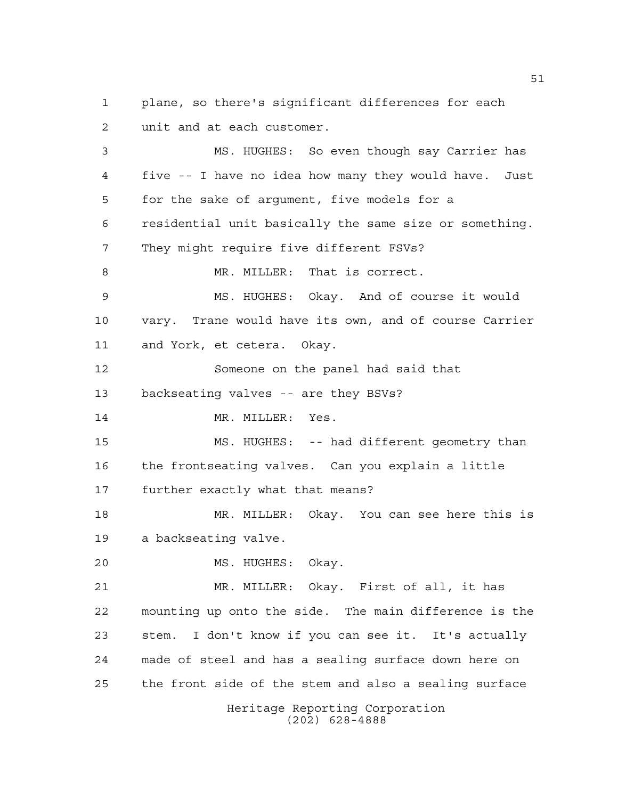plane, so there's significant differences for each unit and at each customer.

 MS. HUGHES: So even though say Carrier has five -- I have no idea how many they would have. Just for the sake of argument, five models for a residential unit basically the same size or something. They might require five different FSVs? 8 MR. MILLER: That is correct. MS. HUGHES: Okay. And of course it would vary. Trane would have its own, and of course Carrier and York, et cetera. Okay. Someone on the panel had said that backseating valves -- are they BSVs? 14 MR. MILLER: Yes. MS. HUGHES: -- had different geometry than the frontseating valves. Can you explain a little further exactly what that means? MR. MILLER: Okay. You can see here this is a backseating valve. MS. HUGHES: Okay. MR. MILLER: Okay. First of all, it has mounting up onto the side. The main difference is the stem. I don't know if you can see it. It's actually made of steel and has a sealing surface down here on the front side of the stem and also a sealing surface

> Heritage Reporting Corporation (202) 628-4888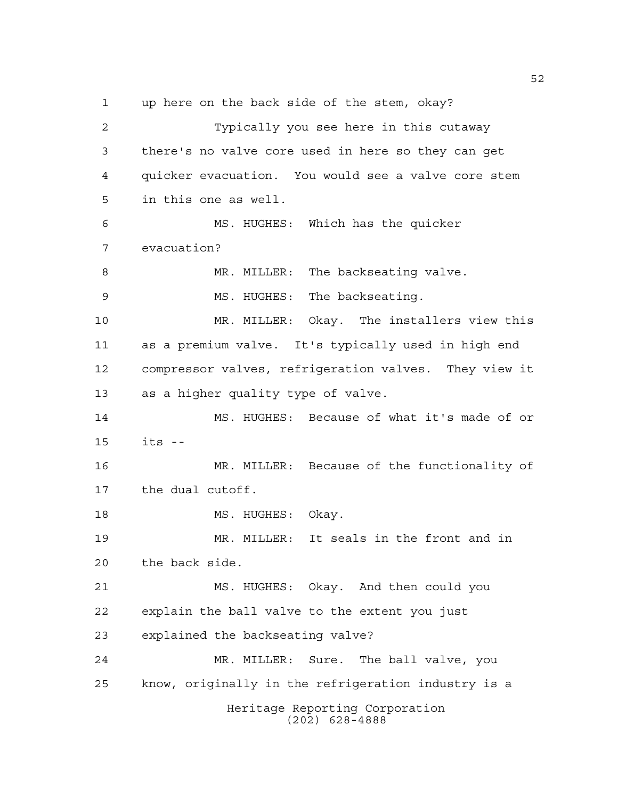up here on the back side of the stem, okay?

Heritage Reporting Corporation (202) 628-4888 Typically you see here in this cutaway there's no valve core used in here so they can get quicker evacuation. You would see a valve core stem in this one as well. MS. HUGHES: Which has the quicker evacuation? 8 MR. MILLER: The backseating valve. 9 MS. HUGHES: The backseating. MR. MILLER: Okay. The installers view this as a premium valve. It's typically used in high end compressor valves, refrigeration valves. They view it as a higher quality type of valve. MS. HUGHES: Because of what it's made of or its -- MR. MILLER: Because of the functionality of the dual cutoff. 18 MS. HUGHES: Okay. MR. MILLER: It seals in the front and in the back side. MS. HUGHES: Okay. And then could you explain the ball valve to the extent you just explained the backseating valve? MR. MILLER: Sure. The ball valve, you know, originally in the refrigeration industry is a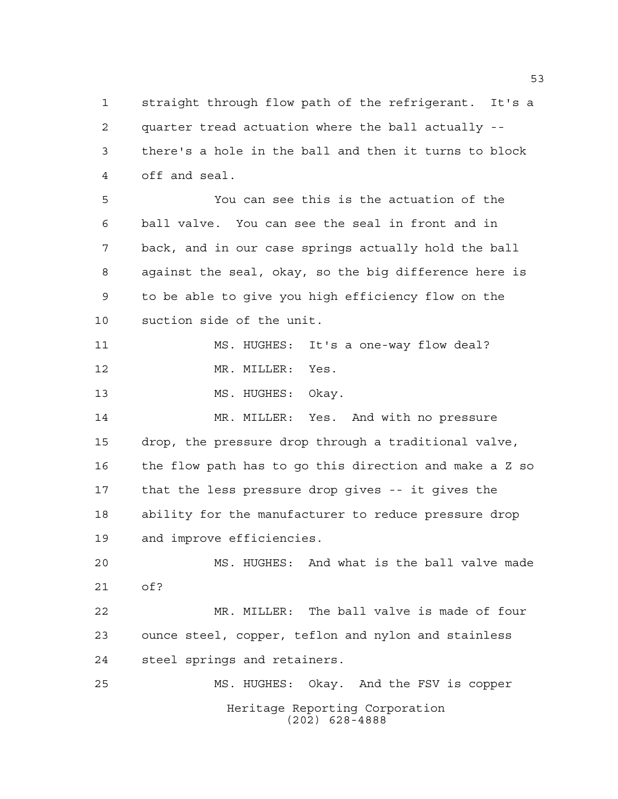straight through flow path of the refrigerant. It's a quarter tread actuation where the ball actually -- there's a hole in the ball and then it turns to block off and seal.

 You can see this is the actuation of the ball valve. You can see the seal in front and in back, and in our case springs actually hold the ball against the seal, okay, so the big difference here is to be able to give you high efficiency flow on the suction side of the unit.

 MS. HUGHES: It's a one-way flow deal? 12 MR. MILLER: Yes.

13 MS. HUGHES: Okay.

 MR. MILLER: Yes. And with no pressure drop, the pressure drop through a traditional valve, the flow path has to go this direction and make a Z so that the less pressure drop gives -- it gives the ability for the manufacturer to reduce pressure drop and improve efficiencies.

 MS. HUGHES: And what is the ball valve made of?

 MR. MILLER: The ball valve is made of four ounce steel, copper, teflon and nylon and stainless steel springs and retainers.

Heritage Reporting Corporation (202) 628-4888 MS. HUGHES: Okay. And the FSV is copper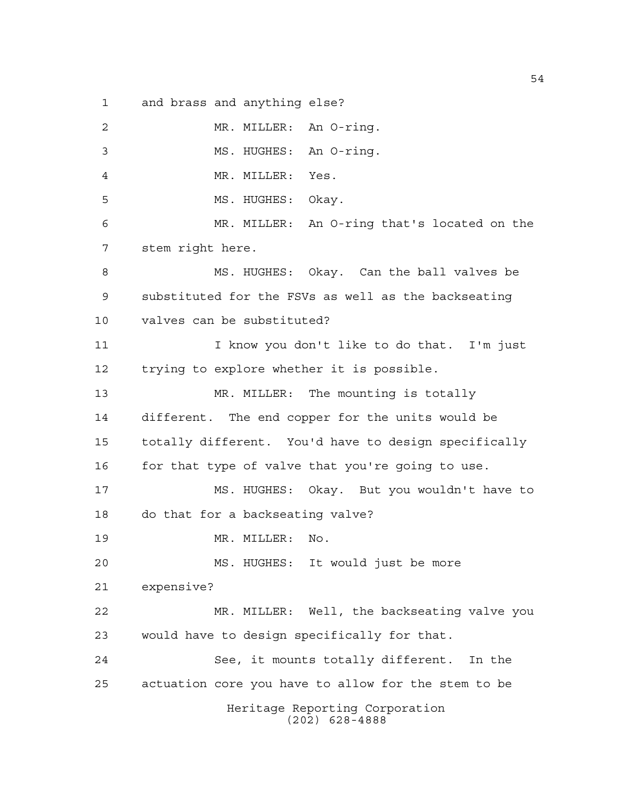and brass and anything else?

Heritage Reporting Corporation (202) 628-4888 MR. MILLER: An O-ring. MS. HUGHES: An O-ring. MR. MILLER: Yes. MS. HUGHES: Okay. MR. MILLER: An O-ring that's located on the stem right here. MS. HUGHES: Okay. Can the ball valves be substituted for the FSVs as well as the backseating valves can be substituted? I know you don't like to do that. I'm just trying to explore whether it is possible. 13 MR. MILLER: The mounting is totally different. The end copper for the units would be totally different. You'd have to design specifically 16 for that type of valve that you're going to use. MS. HUGHES: Okay. But you wouldn't have to do that for a backseating valve? 19 MR. MILLER: No. MS. HUGHES: It would just be more expensive? MR. MILLER: Well, the backseating valve you would have to design specifically for that. See, it mounts totally different. In the actuation core you have to allow for the stem to be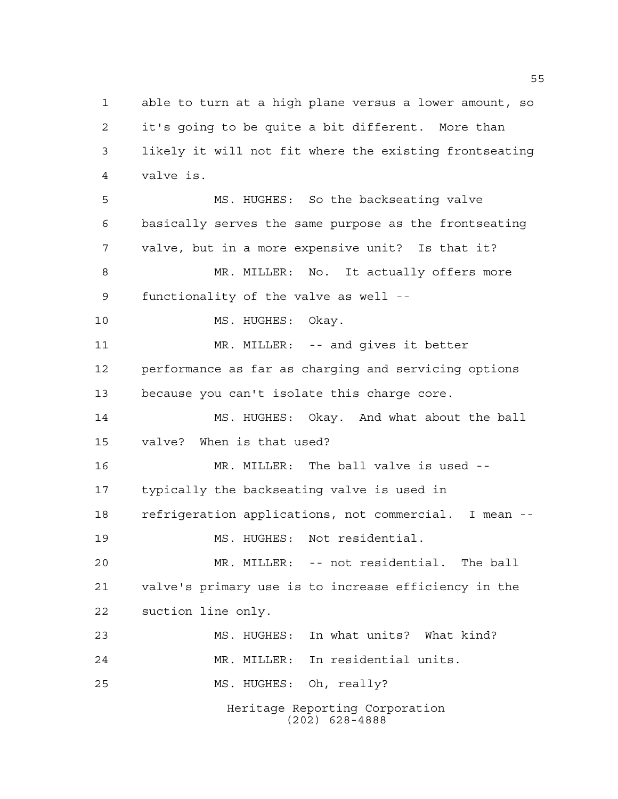Heritage Reporting Corporation (202) 628-4888 able to turn at a high plane versus a lower amount, so it's going to be quite a bit different. More than likely it will not fit where the existing frontseating valve is. MS. HUGHES: So the backseating valve basically serves the same purpose as the frontseating valve, but in a more expensive unit? Is that it? MR. MILLER: No. It actually offers more functionality of the valve as well -- 10 MS. HUGHES: Okay. MR. MILLER: -- and gives it better performance as far as charging and servicing options because you can't isolate this charge core. MS. HUGHES: Okay. And what about the ball valve? When is that used? MR. MILLER: The ball valve is used -- typically the backseating valve is used in refrigeration applications, not commercial. I mean -- MS. HUGHES: Not residential. MR. MILLER: -- not residential. The ball valve's primary use is to increase efficiency in the suction line only. MS. HUGHES: In what units? What kind? MR. MILLER: In residential units. MS. HUGHES: Oh, really?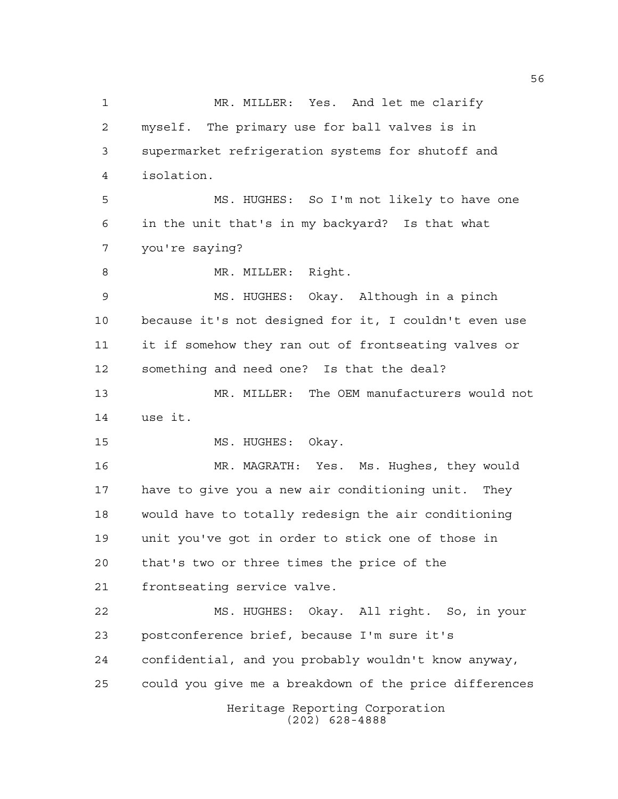Heritage Reporting Corporation (202) 628-4888 MR. MILLER: Yes. And let me clarify myself. The primary use for ball valves is in supermarket refrigeration systems for shutoff and isolation. MS. HUGHES: So I'm not likely to have one in the unit that's in my backyard? Is that what you're saying? 8 MR. MILLER: Right. MS. HUGHES: Okay. Although in a pinch because it's not designed for it, I couldn't even use it if somehow they ran out of frontseating valves or something and need one? Is that the deal? MR. MILLER: The OEM manufacturers would not use it. 15 MS. HUGHES: Okay. MR. MAGRATH: Yes. Ms. Hughes, they would have to give you a new air conditioning unit. They would have to totally redesign the air conditioning unit you've got in order to stick one of those in that's two or three times the price of the frontseating service valve. MS. HUGHES: Okay. All right. So, in your postconference brief, because I'm sure it's confidential, and you probably wouldn't know anyway, could you give me a breakdown of the price differences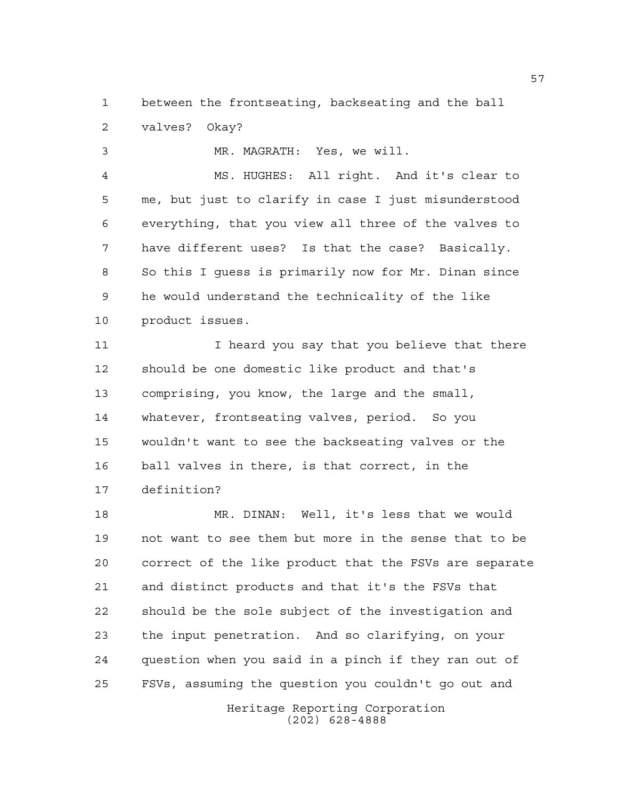between the frontseating, backseating and the ball valves? Okay?

MR. MAGRATH: Yes, we will.

 MS. HUGHES: All right. And it's clear to me, but just to clarify in case I just misunderstood everything, that you view all three of the valves to have different uses? Is that the case? Basically. So this I guess is primarily now for Mr. Dinan since he would understand the technicality of the like product issues.

11 I heard you say that you believe that there should be one domestic like product and that's comprising, you know, the large and the small, whatever, frontseating valves, period. So you wouldn't want to see the backseating valves or the ball valves in there, is that correct, in the definition?

 MR. DINAN: Well, it's less that we would not want to see them but more in the sense that to be correct of the like product that the FSVs are separate and distinct products and that it's the FSVs that should be the sole subject of the investigation and the input penetration. And so clarifying, on your question when you said in a pinch if they ran out of FSVs, assuming the question you couldn't go out and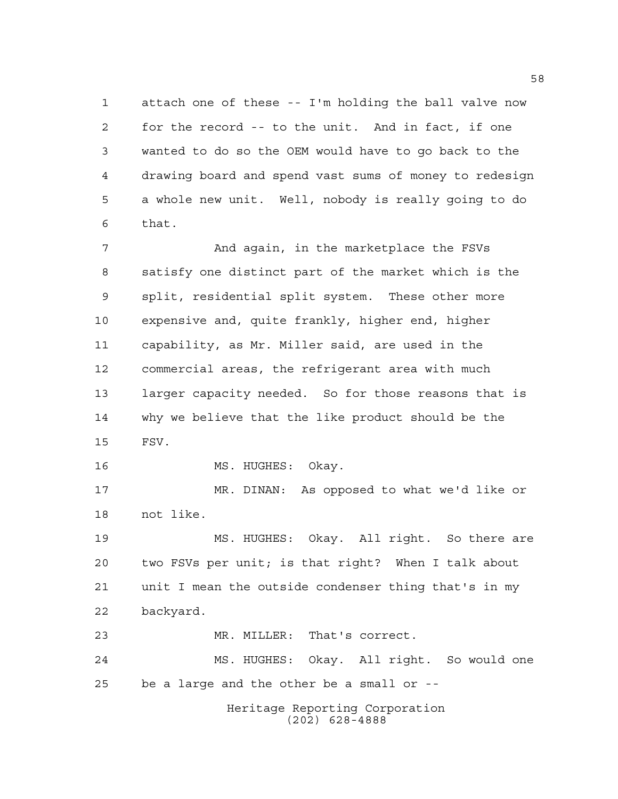attach one of these -- I'm holding the ball valve now for the record -- to the unit. And in fact, if one wanted to do so the OEM would have to go back to the drawing board and spend vast sums of money to redesign a whole new unit. Well, nobody is really going to do that.

 And again, in the marketplace the FSVs satisfy one distinct part of the market which is the split, residential split system. These other more expensive and, quite frankly, higher end, higher capability, as Mr. Miller said, are used in the commercial areas, the refrigerant area with much larger capacity needed. So for those reasons that is why we believe that the like product should be the FSV.

16 MS. HUGHES: Okay.

 MR. DINAN: As opposed to what we'd like or not like.

 MS. HUGHES: Okay. All right. So there are two FSVs per unit; is that right? When I talk about unit I mean the outside condenser thing that's in my backyard.

MR. MILLER: That's correct.

 MS. HUGHES: Okay. All right. So would one be a large and the other be a small or --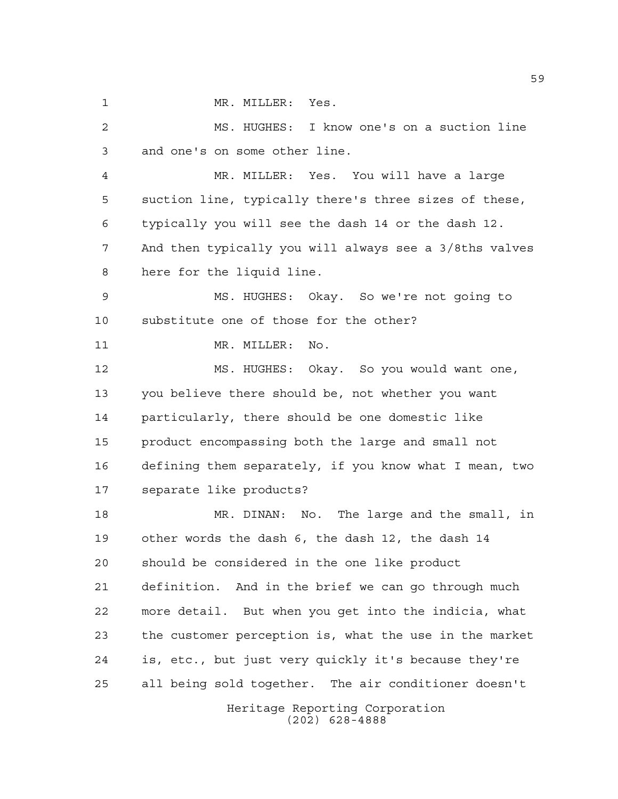1 MR. MILLER: Yes.

 MS. HUGHES: I know one's on a suction line and one's on some other line. MR. MILLER: Yes. You will have a large suction line, typically there's three sizes of these, typically you will see the dash 14 or the dash 12. And then typically you will always see a 3/8ths valves here for the liquid line. MS. HUGHES: Okay. So we're not going to substitute one of those for the other? 11 MR. MILLER: No. MS. HUGHES: Okay. So you would want one, you believe there should be, not whether you want particularly, there should be one domestic like product encompassing both the large and small not defining them separately, if you know what I mean, two separate like products? MR. DINAN: No. The large and the small, in other words the dash 6, the dash 12, the dash 14 should be considered in the one like product definition. And in the brief we can go through much more detail. But when you get into the indicia, what the customer perception is, what the use in the market is, etc., but just very quickly it's because they're all being sold together. The air conditioner doesn't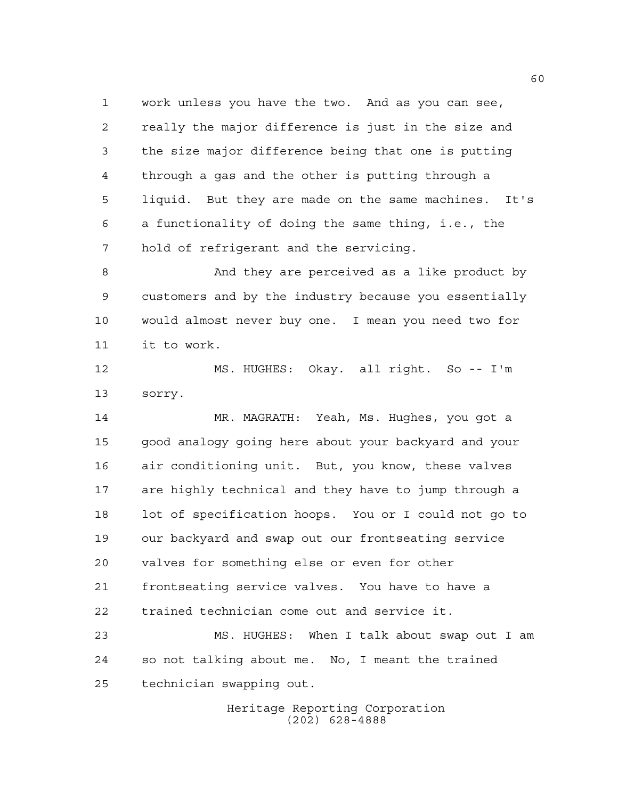work unless you have the two. And as you can see, really the major difference is just in the size and the size major difference being that one is putting through a gas and the other is putting through a liquid. But they are made on the same machines. It's a functionality of doing the same thing, i.e., the hold of refrigerant and the servicing.

 And they are perceived as a like product by customers and by the industry because you essentially would almost never buy one. I mean you need two for it to work.

 MS. HUGHES: Okay. all right. So -- I'm sorry.

 MR. MAGRATH: Yeah, Ms. Hughes, you got a good analogy going here about your backyard and your air conditioning unit. But, you know, these valves are highly technical and they have to jump through a lot of specification hoops. You or I could not go to our backyard and swap out our frontseating service valves for something else or even for other frontseating service valves. You have to have a trained technician come out and service it.

 MS. HUGHES: When I talk about swap out I am so not talking about me. No, I meant the trained technician swapping out.

> Heritage Reporting Corporation (202) 628-4888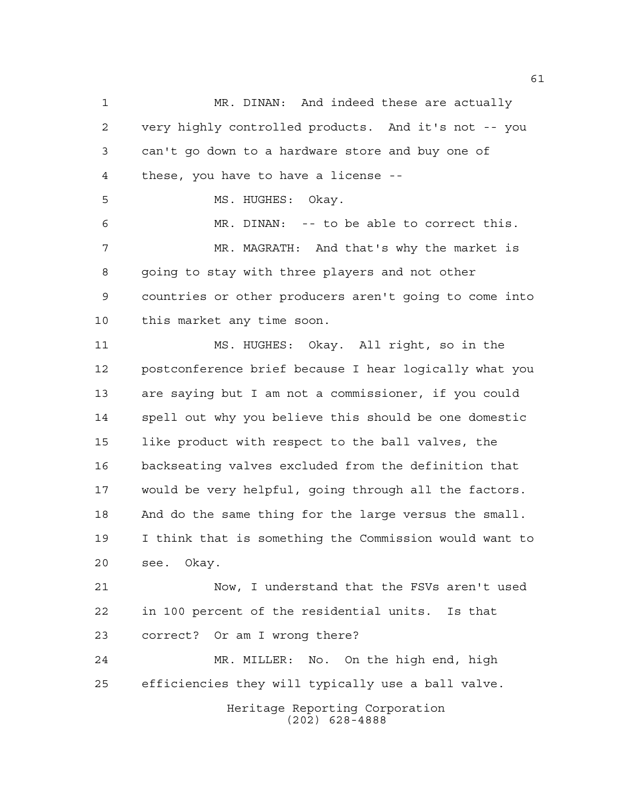Heritage Reporting Corporation (202) 628-4888 MR. DINAN: And indeed these are actually very highly controlled products. And it's not -- you can't go down to a hardware store and buy one of these, you have to have a license -- 5 MS. HUGHES: Okay. MR. DINAN: -- to be able to correct this. MR. MAGRATH: And that's why the market is 8 going to stay with three players and not other countries or other producers aren't going to come into this market any time soon. MS. HUGHES: Okay. All right, so in the postconference brief because I hear logically what you are saying but I am not a commissioner, if you could spell out why you believe this should be one domestic like product with respect to the ball valves, the backseating valves excluded from the definition that would be very helpful, going through all the factors. And do the same thing for the large versus the small. I think that is something the Commission would want to see. Okay. Now, I understand that the FSVs aren't used in 100 percent of the residential units. Is that correct? Or am I wrong there? MR. MILLER: No. On the high end, high efficiencies they will typically use a ball valve.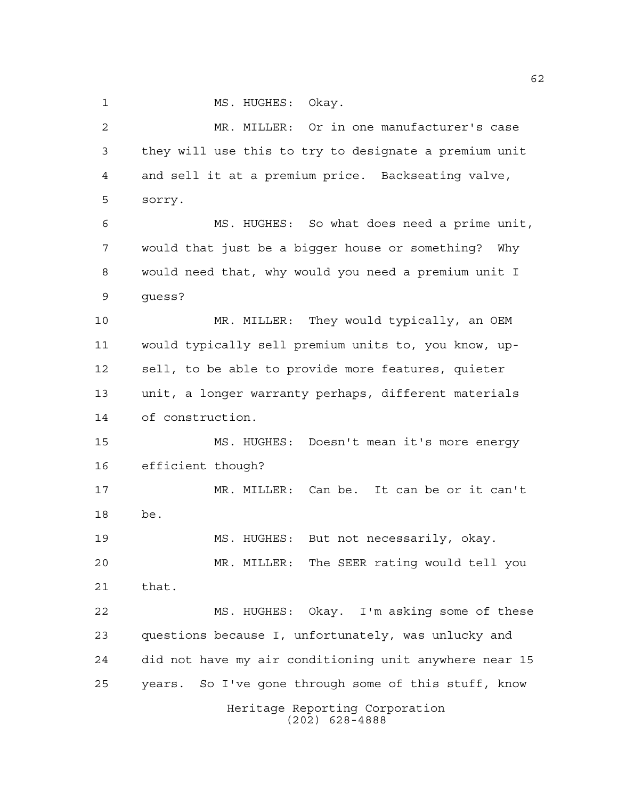1 MS. HUGHES: Okay.

Heritage Reporting Corporation (202) 628-4888 MR. MILLER: Or in one manufacturer's case they will use this to try to designate a premium unit and sell it at a premium price. Backseating valve, sorry. MS. HUGHES: So what does need a prime unit, would that just be a bigger house or something? Why would need that, why would you need a premium unit I guess? MR. MILLER: They would typically, an OEM would typically sell premium units to, you know, up- sell, to be able to provide more features, quieter unit, a longer warranty perhaps, different materials of construction. MS. HUGHES: Doesn't mean it's more energy efficient though? MR. MILLER: Can be. It can be or it can't be. MS. HUGHES: But not necessarily, okay. MR. MILLER: The SEER rating would tell you that. MS. HUGHES: Okay. I'm asking some of these questions because I, unfortunately, was unlucky and did not have my air conditioning unit anywhere near 15 years. So I've gone through some of this stuff, know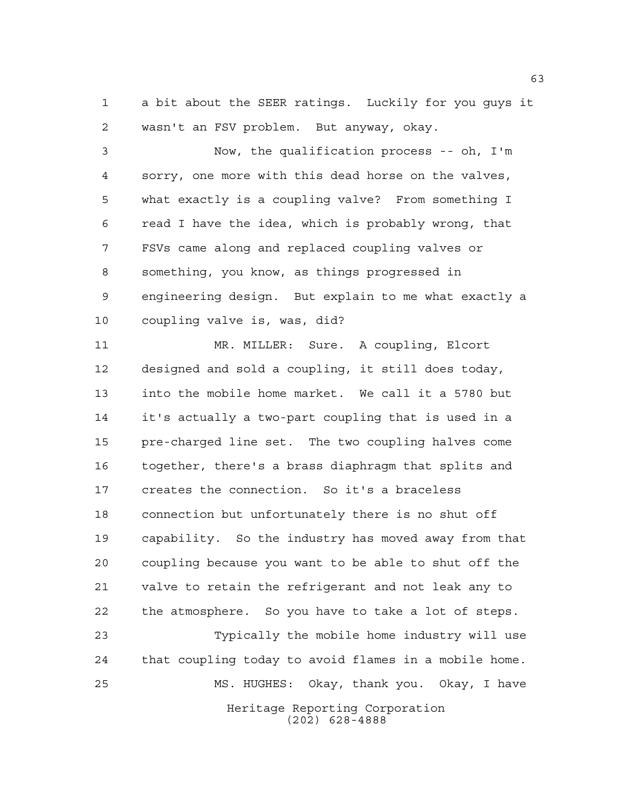a bit about the SEER ratings. Luckily for you guys it wasn't an FSV problem. But anyway, okay.

 Now, the qualification process -- oh, I'm sorry, one more with this dead horse on the valves, what exactly is a coupling valve? From something I read I have the idea, which is probably wrong, that FSVs came along and replaced coupling valves or something, you know, as things progressed in engineering design. But explain to me what exactly a coupling valve is, was, did?

 MR. MILLER: Sure. A coupling, Elcort designed and sold a coupling, it still does today, into the mobile home market. We call it a 5780 but it's actually a two-part coupling that is used in a pre-charged line set. The two coupling halves come together, there's a brass diaphragm that splits and creates the connection. So it's a braceless connection but unfortunately there is no shut off capability. So the industry has moved away from that coupling because you want to be able to shut off the valve to retain the refrigerant and not leak any to the atmosphere. So you have to take a lot of steps.

Heritage Reporting Corporation (202) 628-4888 Typically the mobile home industry will use that coupling today to avoid flames in a mobile home. MS. HUGHES: Okay, thank you. Okay, I have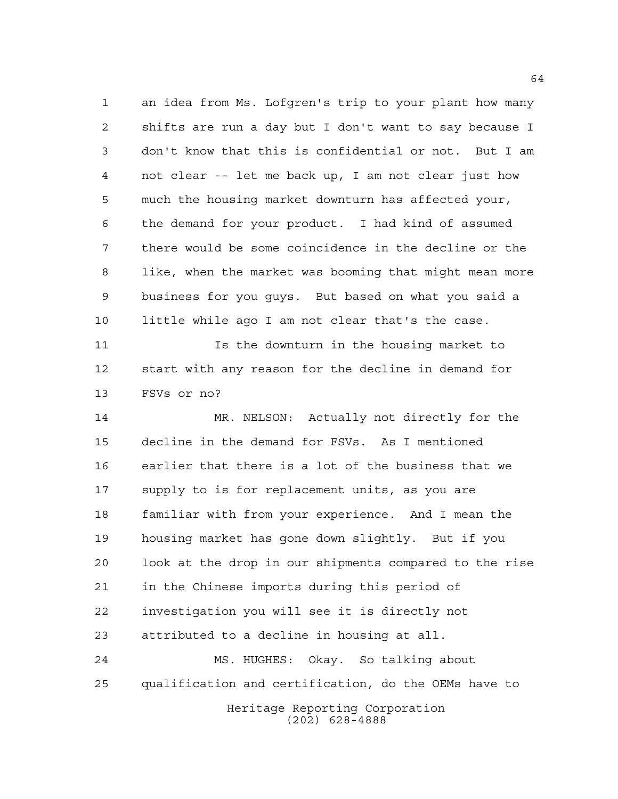an idea from Ms. Lofgren's trip to your plant how many shifts are run a day but I don't want to say because I don't know that this is confidential or not. But I am not clear -- let me back up, I am not clear just how much the housing market downturn has affected your, the demand for your product. I had kind of assumed there would be some coincidence in the decline or the like, when the market was booming that might mean more business for you guys. But based on what you said a little while ago I am not clear that's the case.

 Is the downturn in the housing market to start with any reason for the decline in demand for FSVs or no?

 MR. NELSON: Actually not directly for the decline in the demand for FSVs. As I mentioned earlier that there is a lot of the business that we supply to is for replacement units, as you are familiar with from your experience. And I mean the housing market has gone down slightly. But if you look at the drop in our shipments compared to the rise in the Chinese imports during this period of investigation you will see it is directly not attributed to a decline in housing at all. MS. HUGHES: Okay. So talking about qualification and certification, do the OEMs have to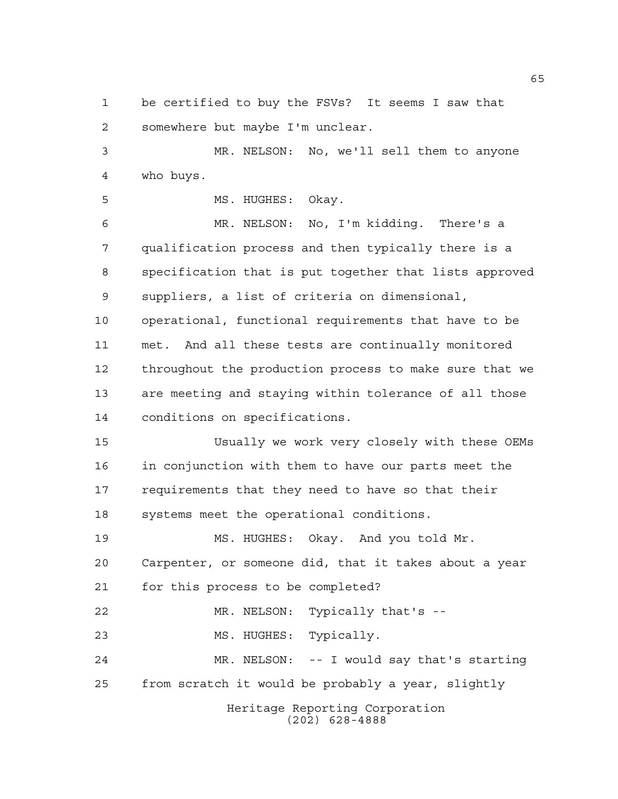be certified to buy the FSVs? It seems I saw that somewhere but maybe I'm unclear.

 MR. NELSON: No, we'll sell them to anyone who buys.

5 MS. HUGHES: Okay.

 MR. NELSON: No, I'm kidding. There's a qualification process and then typically there is a specification that is put together that lists approved suppliers, a list of criteria on dimensional, operational, functional requirements that have to be met. And all these tests are continually monitored throughout the production process to make sure that we are meeting and staying within tolerance of all those conditions on specifications.

 Usually we work very closely with these OEMs in conjunction with them to have our parts meet the requirements that they need to have so that their systems meet the operational conditions.

 MS. HUGHES: Okay. And you told Mr. Carpenter, or someone did, that it takes about a year for this process to be completed?

MR. NELSON: Typically that's --

23 MS. HUGHES: Typically.

 MR. NELSON: -- I would say that's starting from scratch it would be probably a year, slightly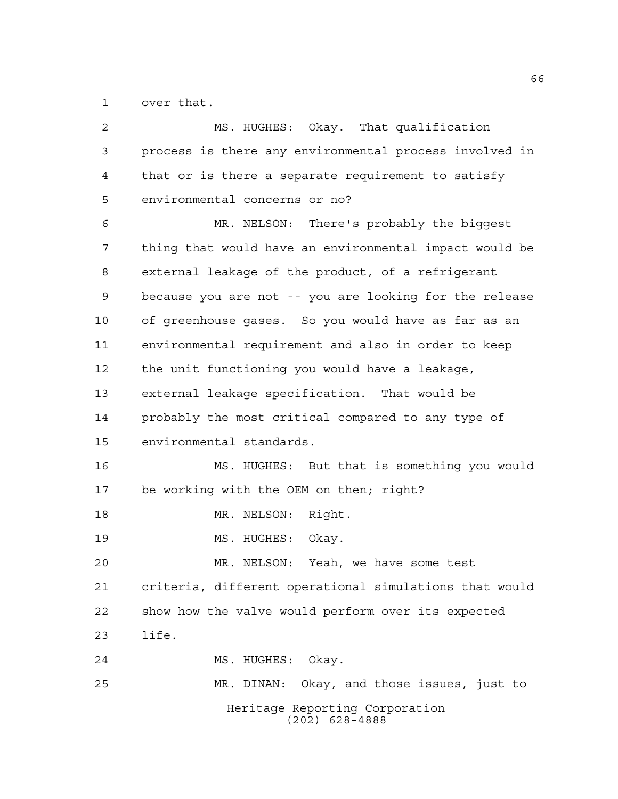over that.

| $\overline{2}$ | MS. HUGHES: Okay. That qualification                   |
|----------------|--------------------------------------------------------|
| 3              | process is there any environmental process involved in |
| $\overline{4}$ | that or is there a separate requirement to satisfy     |
| 5              | environmental concerns or no?                          |
| 6              | MR. NELSON: There's probably the biggest               |
| 7              | thing that would have an environmental impact would be |
| 8              | external leakage of the product, of a refrigerant      |
| 9              | because you are not -- you are looking for the release |
| 10             | of greenhouse gases. So you would have as far as an    |
| 11             | environmental requirement and also in order to keep    |
| 12             | the unit functioning you would have a leakage,         |
| 13             | external leakage specification. That would be          |
| 14             | probably the most critical compared to any type of     |
| 15             | environmental standards.                               |
| 16             | MS. HUGHES: But that is something you would            |
| 17             | be working with the OEM on then; right?                |
| 18             | MR. NELSON: Right.                                     |
| 19             | MS. HUGHES: Okay.                                      |
| 20             | MR. NELSON:<br>Yeah, we have some test                 |
| 21             | criteria, different operational simulations that would |
| 22             | show how the valve would perform over its expected     |
| 23             | life.                                                  |
| 24             | MS. HUGHES: Okay.                                      |
| 25             | MR. DINAN: Okay, and those issues, just to             |
|                | Heritage Reporting Corporation<br>$(202)$ 628-4888     |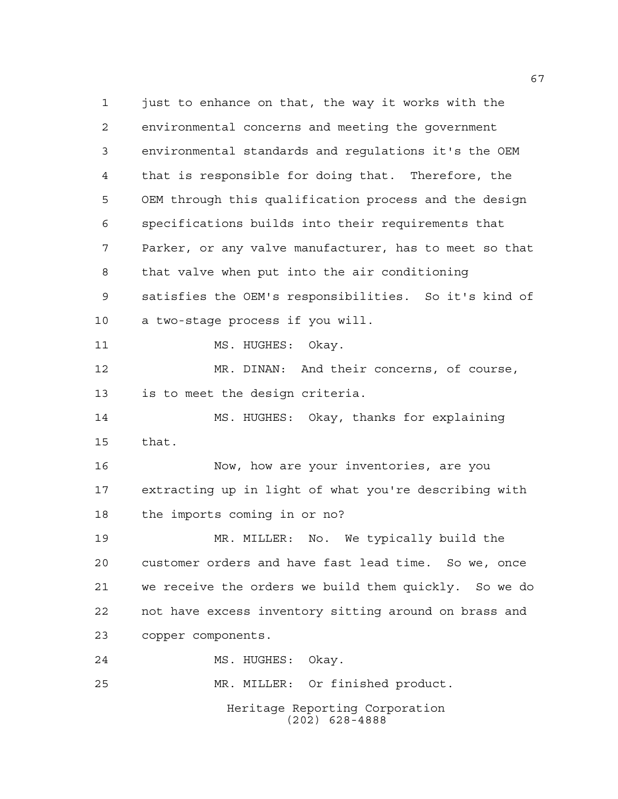Heritage Reporting Corporation (202) 628-4888 just to enhance on that, the way it works with the environmental concerns and meeting the government environmental standards and regulations it's the OEM that is responsible for doing that. Therefore, the OEM through this qualification process and the design specifications builds into their requirements that Parker, or any valve manufacturer, has to meet so that that valve when put into the air conditioning satisfies the OEM's responsibilities. So it's kind of a two-stage process if you will. 11 MS. HUGHES: Okay. MR. DINAN: And their concerns, of course, is to meet the design criteria. MS. HUGHES: Okay, thanks for explaining that. Now, how are your inventories, are you extracting up in light of what you're describing with the imports coming in or no? MR. MILLER: No. We typically build the customer orders and have fast lead time. So we, once we receive the orders we build them quickly. So we do not have excess inventory sitting around on brass and copper components. MS. HUGHES: Okay. MR. MILLER: Or finished product.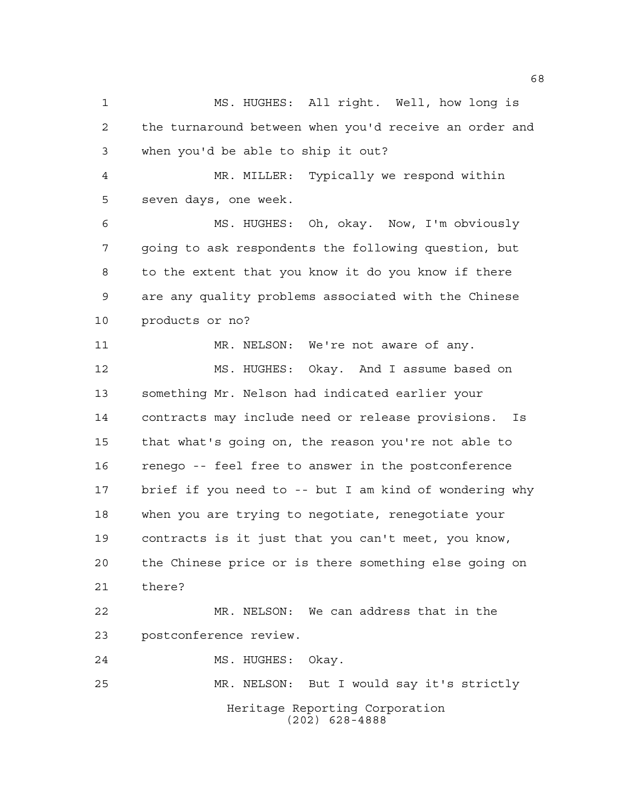Heritage Reporting Corporation (202) 628-4888 MS. HUGHES: All right. Well, how long is the turnaround between when you'd receive an order and when you'd be able to ship it out? MR. MILLER: Typically we respond within seven days, one week. MS. HUGHES: Oh, okay. Now, I'm obviously going to ask respondents the following question, but to the extent that you know it do you know if there are any quality problems associated with the Chinese products or no? MR. NELSON: We're not aware of any. MS. HUGHES: Okay. And I assume based on something Mr. Nelson had indicated earlier your contracts may include need or release provisions. Is that what's going on, the reason you're not able to renego -- feel free to answer in the postconference brief if you need to -- but I am kind of wondering why when you are trying to negotiate, renegotiate your contracts is it just that you can't meet, you know, the Chinese price or is there something else going on there? MR. NELSON: We can address that in the postconference review. MS. HUGHES: Okay. MR. NELSON: But I would say it's strictly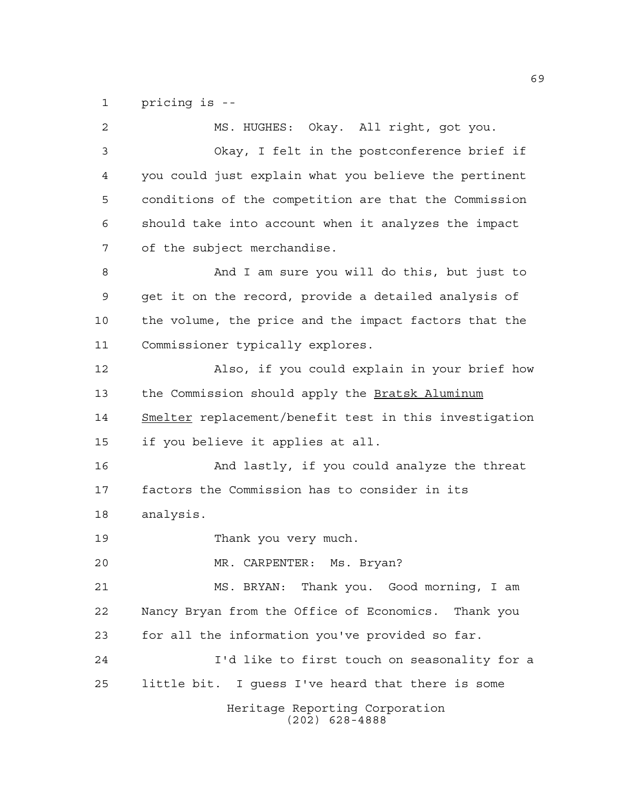pricing is --

Heritage Reporting Corporation (202) 628-4888 MS. HUGHES: Okay. All right, got you. Okay, I felt in the postconference brief if you could just explain what you believe the pertinent conditions of the competition are that the Commission should take into account when it analyzes the impact of the subject merchandise. And I am sure you will do this, but just to get it on the record, provide a detailed analysis of the volume, the price and the impact factors that the Commissioner typically explores. Also, if you could explain in your brief how 13 the Commission should apply the Bratsk Aluminum Smelter replacement/benefit test in this investigation if you believe it applies at all. And lastly, if you could analyze the threat factors the Commission has to consider in its analysis. Thank you very much. MR. CARPENTER: Ms. Bryan? MS. BRYAN: Thank you. Good morning, I am Nancy Bryan from the Office of Economics. Thank you for all the information you've provided so far. I'd like to first touch on seasonality for a little bit. I guess I've heard that there is some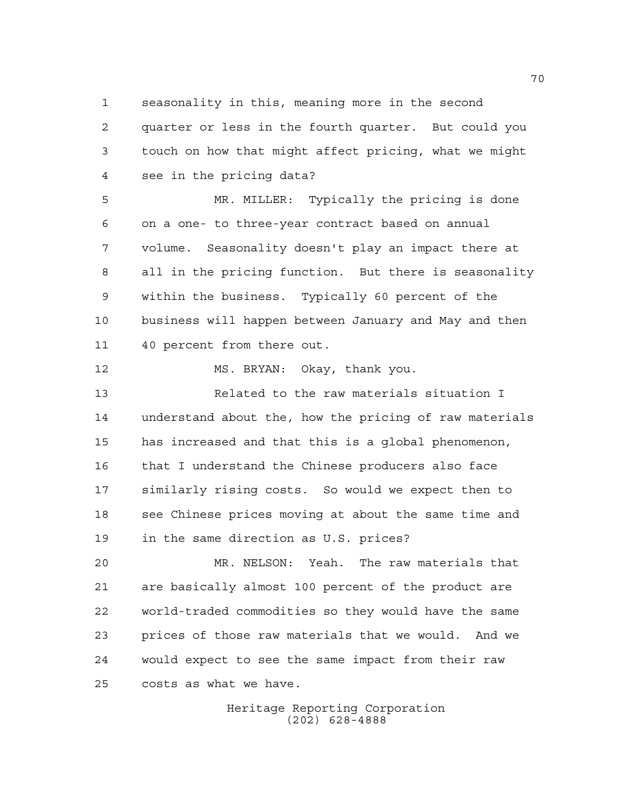seasonality in this, meaning more in the second

 quarter or less in the fourth quarter. But could you touch on how that might affect pricing, what we might see in the pricing data?

 MR. MILLER: Typically the pricing is done on a one- to three-year contract based on annual volume. Seasonality doesn't play an impact there at all in the pricing function. But there is seasonality within the business. Typically 60 percent of the business will happen between January and May and then 40 percent from there out.

MS. BRYAN: Okay, thank you.

 Related to the raw materials situation I understand about the, how the pricing of raw materials has increased and that this is a global phenomenon, that I understand the Chinese producers also face similarly rising costs. So would we expect then to 18 see Chinese prices moving at about the same time and in the same direction as U.S. prices?

 MR. NELSON: Yeah. The raw materials that are basically almost 100 percent of the product are world-traded commodities so they would have the same prices of those raw materials that we would. And we would expect to see the same impact from their raw costs as what we have.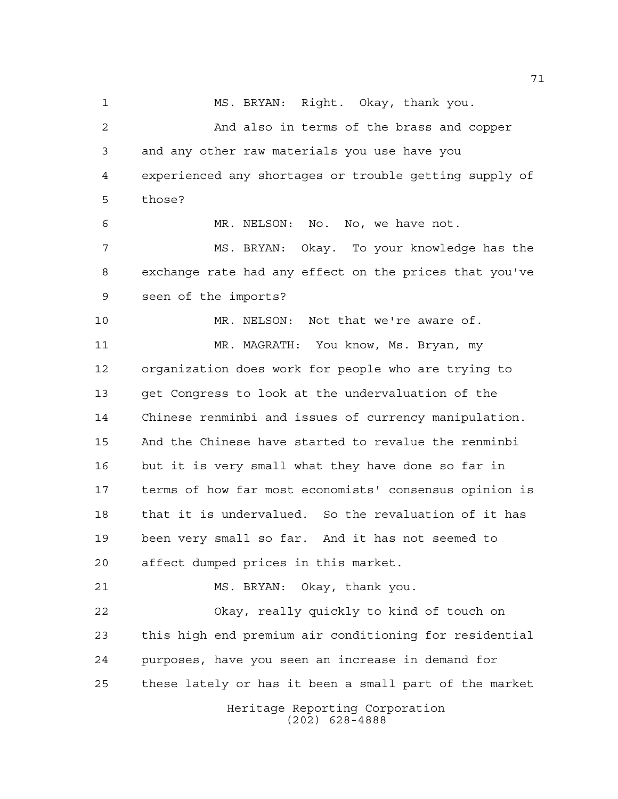Heritage Reporting Corporation (202) 628-4888 MS. BRYAN: Right. Okay, thank you. And also in terms of the brass and copper and any other raw materials you use have you experienced any shortages or trouble getting supply of those? MR. NELSON: No. No, we have not. MS. BRYAN: Okay. To your knowledge has the exchange rate had any effect on the prices that you've seen of the imports? MR. NELSON: Not that we're aware of. MR. MAGRATH: You know, Ms. Bryan, my organization does work for people who are trying to get Congress to look at the undervaluation of the Chinese renminbi and issues of currency manipulation. And the Chinese have started to revalue the renminbi but it is very small what they have done so far in terms of how far most economists' consensus opinion is that it is undervalued. So the revaluation of it has been very small so far. And it has not seemed to affect dumped prices in this market. MS. BRYAN: Okay, thank you. Okay, really quickly to kind of touch on this high end premium air conditioning for residential purposes, have you seen an increase in demand for these lately or has it been a small part of the market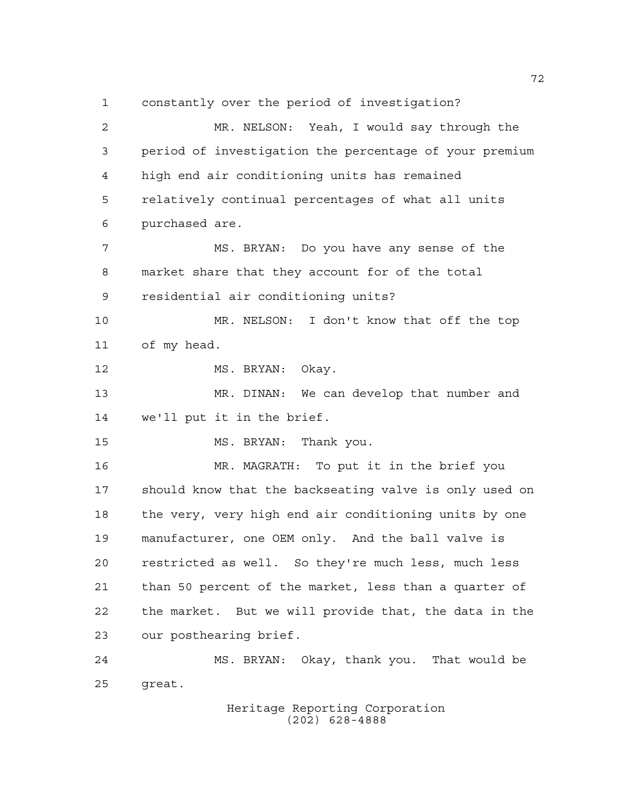constantly over the period of investigation? MR. NELSON: Yeah, I would say through the period of investigation the percentage of your premium high end air conditioning units has remained relatively continual percentages of what all units purchased are. MS. BRYAN: Do you have any sense of the market share that they account for of the total residential air conditioning units? MR. NELSON: I don't know that off the top of my head. 12 MS. BRYAN: Okay. MR. DINAN: We can develop that number and we'll put it in the brief. MS. BRYAN: Thank you. MR. MAGRATH: To put it in the brief you should know that the backseating valve is only used on the very, very high end air conditioning units by one manufacturer, one OEM only. And the ball valve is restricted as well. So they're much less, much less than 50 percent of the market, less than a quarter of the market. But we will provide that, the data in the our posthearing brief. MS. BRYAN: Okay, thank you. That would be great.

Heritage Reporting Corporation (202) 628-4888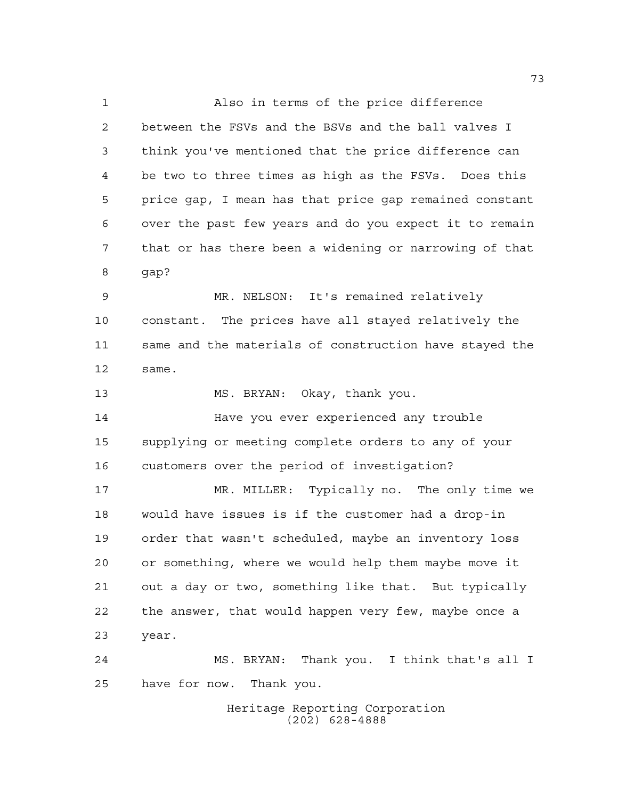Also in terms of the price difference between the FSVs and the BSVs and the ball valves I think you've mentioned that the price difference can be two to three times as high as the FSVs. Does this price gap, I mean has that price gap remained constant over the past few years and do you expect it to remain that or has there been a widening or narrowing of that gap? MR. NELSON: It's remained relatively constant. The prices have all stayed relatively the same and the materials of construction have stayed the same.

MS. BRYAN: Okay, thank you.

 Have you ever experienced any trouble supplying or meeting complete orders to any of your customers over the period of investigation?

 MR. MILLER: Typically no. The only time we would have issues is if the customer had a drop-in order that wasn't scheduled, maybe an inventory loss or something, where we would help them maybe move it out a day or two, something like that. But typically the answer, that would happen very few, maybe once a year.

 MS. BRYAN: Thank you. I think that's all I have for now. Thank you.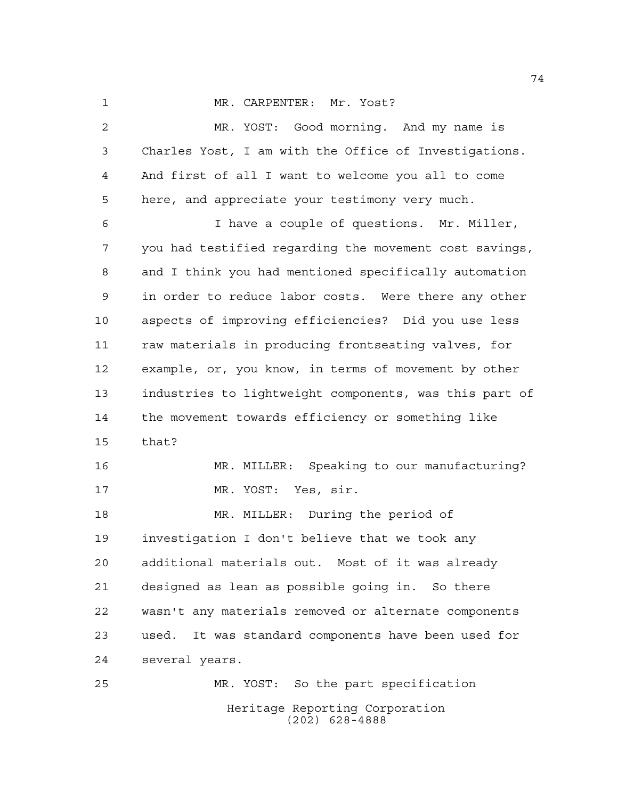1 MR. CARPENTER: Mr. Yost?

Heritage Reporting Corporation MR. YOST: Good morning. And my name is Charles Yost, I am with the Office of Investigations. And first of all I want to welcome you all to come here, and appreciate your testimony very much. I have a couple of questions. Mr. Miller, you had testified regarding the movement cost savings, and I think you had mentioned specifically automation in order to reduce labor costs. Were there any other aspects of improving efficiencies? Did you use less raw materials in producing frontseating valves, for example, or, you know, in terms of movement by other industries to lightweight components, was this part of the movement towards efficiency or something like that? MR. MILLER: Speaking to our manufacturing? MR. YOST: Yes, sir. MR. MILLER: During the period of investigation I don't believe that we took any additional materials out. Most of it was already designed as lean as possible going in. So there wasn't any materials removed or alternate components used. It was standard components have been used for several years. MR. YOST: So the part specification

(202) 628-4888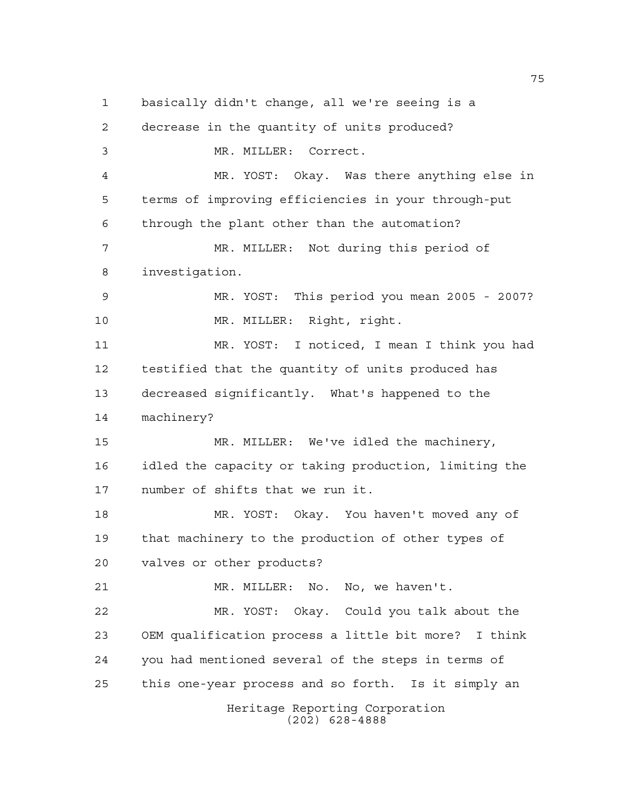Heritage Reporting Corporation basically didn't change, all we're seeing is a decrease in the quantity of units produced? MR. MILLER: Correct. MR. YOST: Okay. Was there anything else in terms of improving efficiencies in your through-put through the plant other than the automation? MR. MILLER: Not during this period of investigation. MR. YOST: This period you mean 2005 - 2007? MR. MILLER: Right, right. MR. YOST: I noticed, I mean I think you had testified that the quantity of units produced has decreased significantly. What's happened to the machinery? MR. MILLER: We've idled the machinery, idled the capacity or taking production, limiting the number of shifts that we run it. MR. YOST: Okay. You haven't moved any of that machinery to the production of other types of valves or other products? MR. MILLER: No. No, we haven't. MR. YOST: Okay. Could you talk about the OEM qualification process a little bit more? I think you had mentioned several of the steps in terms of this one-year process and so forth. Is it simply an

(202) 628-4888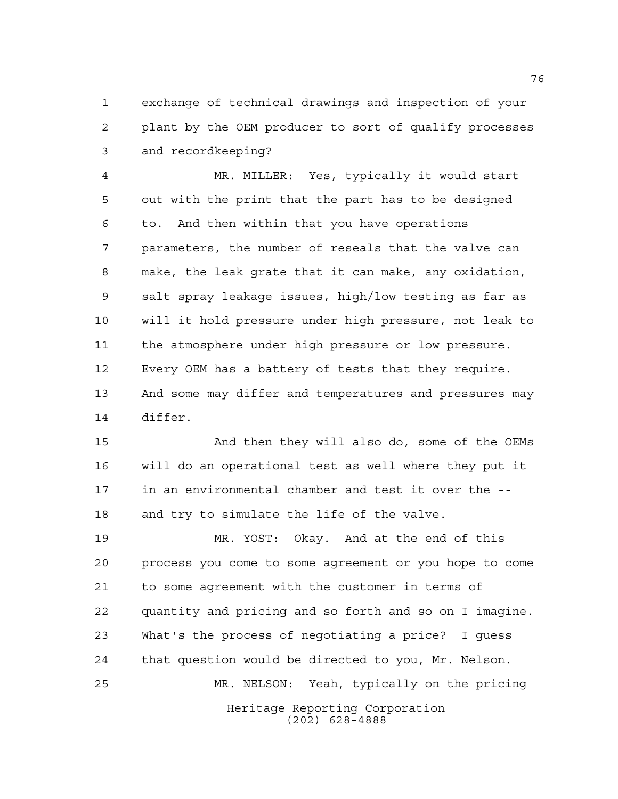exchange of technical drawings and inspection of your plant by the OEM producer to sort of qualify processes and recordkeeping?

 MR. MILLER: Yes, typically it would start out with the print that the part has to be designed to. And then within that you have operations parameters, the number of reseals that the valve can make, the leak grate that it can make, any oxidation, salt spray leakage issues, high/low testing as far as will it hold pressure under high pressure, not leak to the atmosphere under high pressure or low pressure. Every OEM has a battery of tests that they require. And some may differ and temperatures and pressures may differ.

 And then they will also do, some of the OEMs will do an operational test as well where they put it in an environmental chamber and test it over the -- and try to simulate the life of the valve.

Heritage Reporting Corporation (202) 628-4888 MR. YOST: Okay. And at the end of this process you come to some agreement or you hope to come to some agreement with the customer in terms of quantity and pricing and so forth and so on I imagine. What's the process of negotiating a price? I guess that question would be directed to you, Mr. Nelson. MR. NELSON: Yeah, typically on the pricing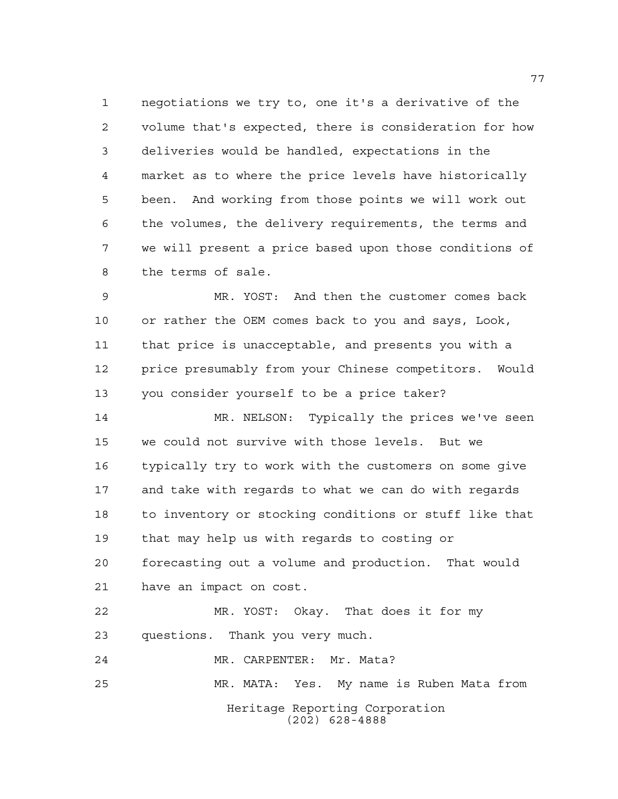negotiations we try to, one it's a derivative of the volume that's expected, there is consideration for how deliveries would be handled, expectations in the market as to where the price levels have historically been. And working from those points we will work out the volumes, the delivery requirements, the terms and we will present a price based upon those conditions of the terms of sale.

 MR. YOST: And then the customer comes back or rather the OEM comes back to you and says, Look, that price is unacceptable, and presents you with a price presumably from your Chinese competitors. Would you consider yourself to be a price taker?

 MR. NELSON: Typically the prices we've seen we could not survive with those levels. But we typically try to work with the customers on some give and take with regards to what we can do with regards to inventory or stocking conditions or stuff like that that may help us with regards to costing or forecasting out a volume and production. That would have an impact on cost.

 MR. YOST: Okay. That does it for my questions. Thank you very much.

MR. CARPENTER: Mr. Mata?

MR. MATA: Yes. My name is Ruben Mata from

Heritage Reporting Corporation (202) 628-4888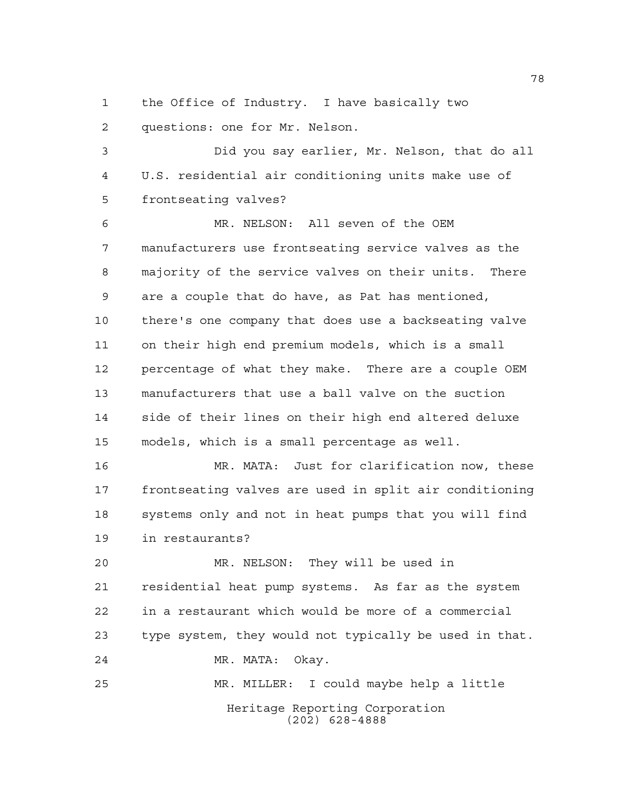the Office of Industry. I have basically two questions: one for Mr. Nelson.

 Did you say earlier, Mr. Nelson, that do all U.S. residential air conditioning units make use of frontseating valves?

 MR. NELSON: All seven of the OEM manufacturers use frontseating service valves as the majority of the service valves on their units. There are a couple that do have, as Pat has mentioned, there's one company that does use a backseating valve on their high end premium models, which is a small percentage of what they make. There are a couple OEM manufacturers that use a ball valve on the suction side of their lines on their high end altered deluxe models, which is a small percentage as well.

 MR. MATA: Just for clarification now, these frontseating valves are used in split air conditioning systems only and not in heat pumps that you will find in restaurants?

 MR. NELSON: They will be used in residential heat pump systems. As far as the system in a restaurant which would be more of a commercial type system, they would not typically be used in that. MR. MATA: Okay. MR. MILLER: I could maybe help a little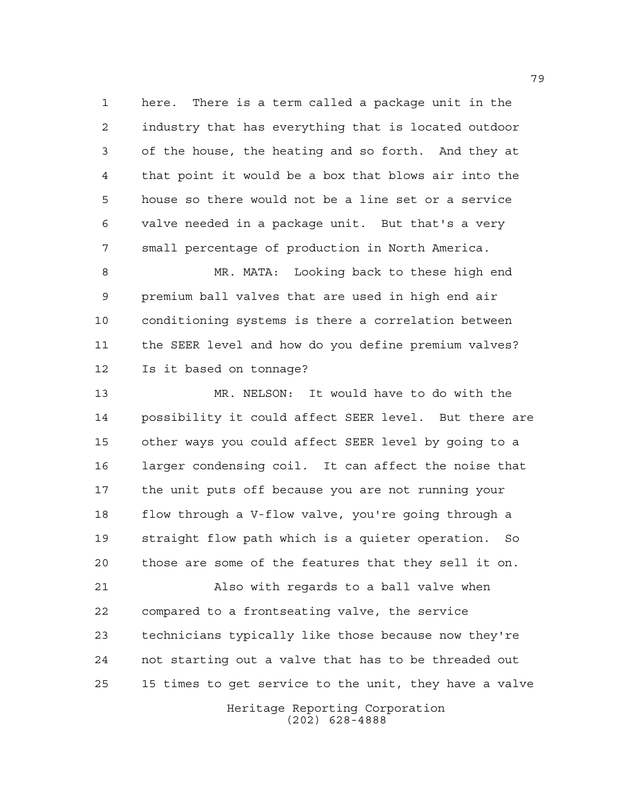here. There is a term called a package unit in the industry that has everything that is located outdoor of the house, the heating and so forth. And they at that point it would be a box that blows air into the house so there would not be a line set or a service valve needed in a package unit. But that's a very small percentage of production in North America.

 MR. MATA: Looking back to these high end premium ball valves that are used in high end air conditioning systems is there a correlation between the SEER level and how do you define premium valves? Is it based on tonnage?

 MR. NELSON: It would have to do with the possibility it could affect SEER level. But there are other ways you could affect SEER level by going to a larger condensing coil. It can affect the noise that the unit puts off because you are not running your flow through a V-flow valve, you're going through a straight flow path which is a quieter operation. So those are some of the features that they sell it on.

 Also with regards to a ball valve when compared to a frontseating valve, the service technicians typically like those because now they're not starting out a valve that has to be threaded out 15 times to get service to the unit, they have a valve

> Heritage Reporting Corporation (202) 628-4888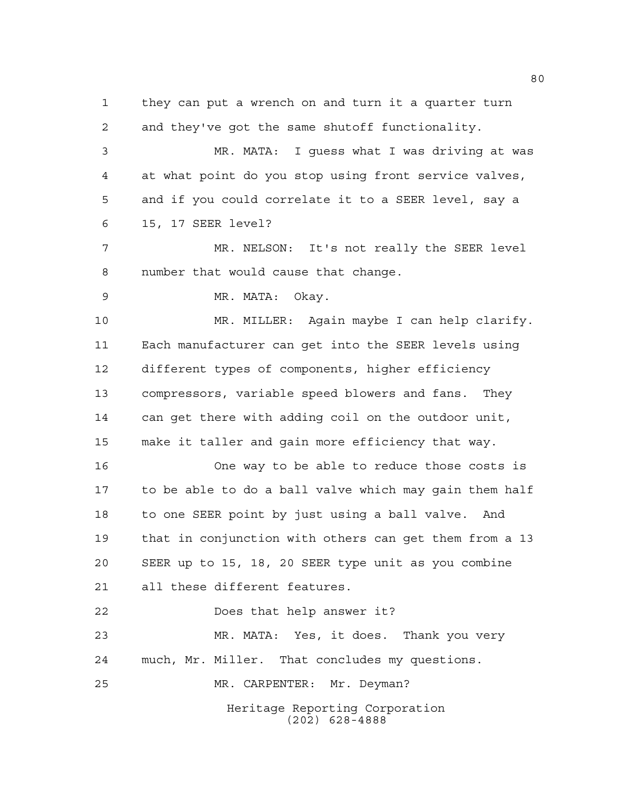Heritage Reporting Corporation (202) 628-4888 they can put a wrench on and turn it a quarter turn and they've got the same shutoff functionality. MR. MATA: I guess what I was driving at was at what point do you stop using front service valves, and if you could correlate it to a SEER level, say a 15, 17 SEER level? MR. NELSON: It's not really the SEER level number that would cause that change. MR. MATA: Okay. MR. MILLER: Again maybe I can help clarify. Each manufacturer can get into the SEER levels using different types of components, higher efficiency compressors, variable speed blowers and fans. They can get there with adding coil on the outdoor unit, make it taller and gain more efficiency that way. One way to be able to reduce those costs is to be able to do a ball valve which may gain them half to one SEER point by just using a ball valve. And that in conjunction with others can get them from a 13 SEER up to 15, 18, 20 SEER type unit as you combine all these different features. Does that help answer it? MR. MATA: Yes, it does. Thank you very much, Mr. Miller. That concludes my questions. MR. CARPENTER: Mr. Deyman?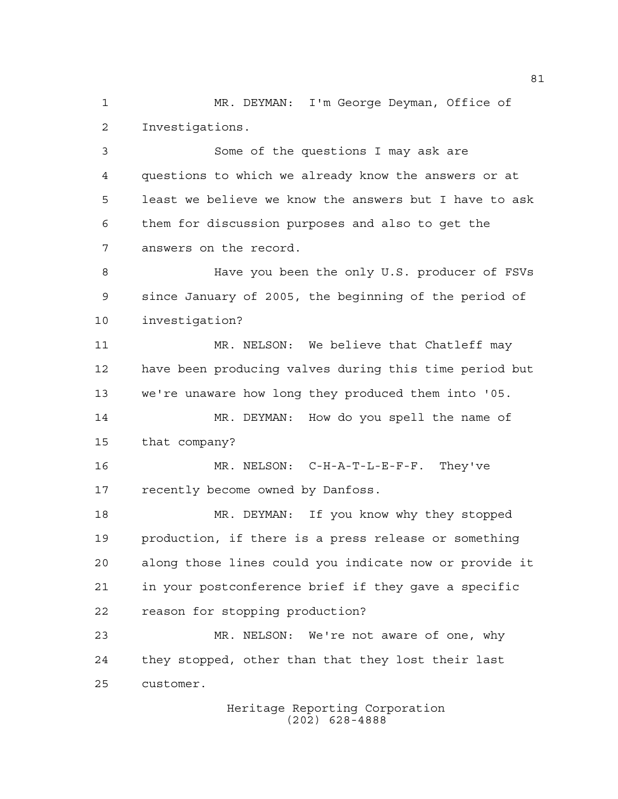MR. DEYMAN: I'm George Deyman, Office of Investigations.

 Some of the questions I may ask are questions to which we already know the answers or at least we believe we know the answers but I have to ask them for discussion purposes and also to get the answers on the record.

 Have you been the only U.S. producer of FSVs since January of 2005, the beginning of the period of investigation?

 MR. NELSON: We believe that Chatleff may have been producing valves during this time period but we're unaware how long they produced them into '05. MR. DEYMAN: How do you spell the name of

that company?

 MR. NELSON: C-H-A-T-L-E-F-F. They've recently become owned by Danfoss.

 MR. DEYMAN: If you know why they stopped production, if there is a press release or something along those lines could you indicate now or provide it in your postconference brief if they gave a specific reason for stopping production?

 MR. NELSON: We're not aware of one, why they stopped, other than that they lost their last customer.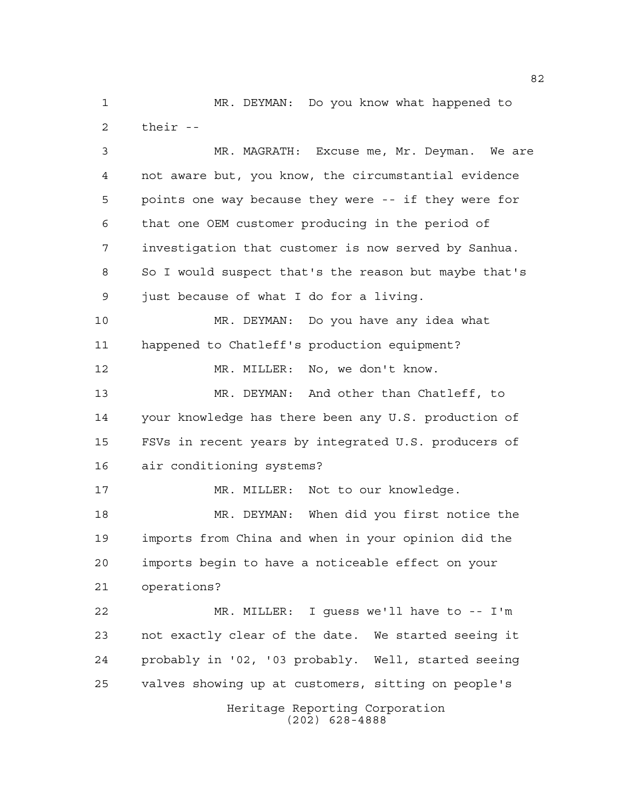MR. DEYMAN: Do you know what happened to their --

Heritage Reporting Corporation MR. MAGRATH: Excuse me, Mr. Deyman. We are not aware but, you know, the circumstantial evidence points one way because they were -- if they were for that one OEM customer producing in the period of investigation that customer is now served by Sanhua. So I would suspect that's the reason but maybe that's just because of what I do for a living. MR. DEYMAN: Do you have any idea what happened to Chatleff's production equipment? MR. MILLER: No, we don't know. MR. DEYMAN: And other than Chatleff, to your knowledge has there been any U.S. production of FSVs in recent years by integrated U.S. producers of air conditioning systems? MR. MILLER: Not to our knowledge. MR. DEYMAN: When did you first notice the imports from China and when in your opinion did the imports begin to have a noticeable effect on your operations? MR. MILLER: I guess we'll have to -- I'm not exactly clear of the date. We started seeing it probably in '02, '03 probably. Well, started seeing valves showing up at customers, sitting on people's

(202) 628-4888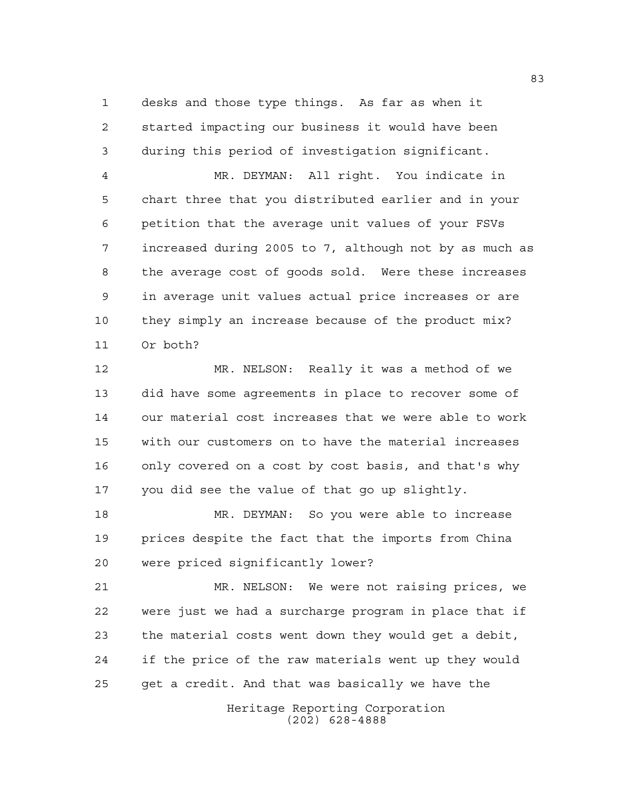desks and those type things. As far as when it started impacting our business it would have been during this period of investigation significant.

 MR. DEYMAN: All right. You indicate in chart three that you distributed earlier and in your petition that the average unit values of your FSVs increased during 2005 to 7, although not by as much as the average cost of goods sold. Were these increases in average unit values actual price increases or are they simply an increase because of the product mix? Or both?

 MR. NELSON: Really it was a method of we did have some agreements in place to recover some of our material cost increases that we were able to work with our customers on to have the material increases only covered on a cost by cost basis, and that's why you did see the value of that go up slightly.

 MR. DEYMAN: So you were able to increase prices despite the fact that the imports from China were priced significantly lower?

 MR. NELSON: We were not raising prices, we were just we had a surcharge program in place that if the material costs went down they would get a debit, if the price of the raw materials went up they would get a credit. And that was basically we have the

> Heritage Reporting Corporation (202) 628-4888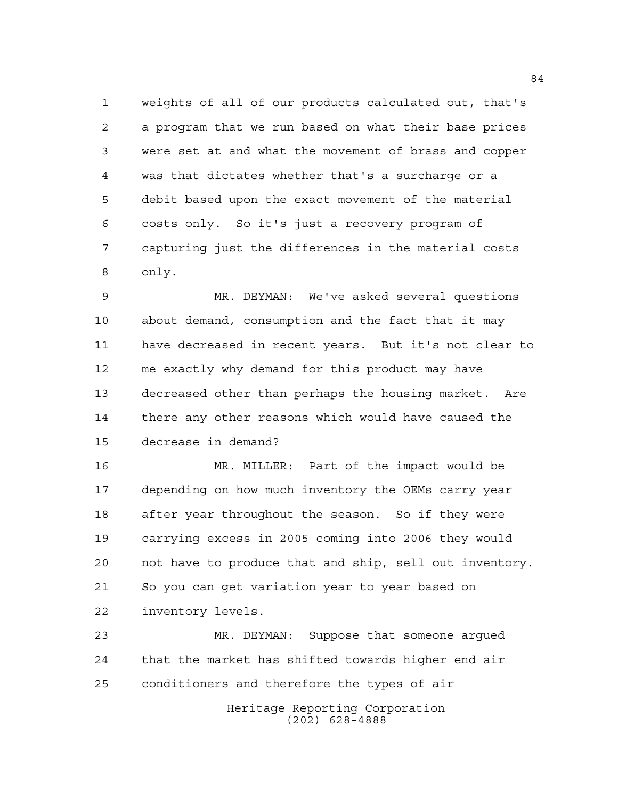weights of all of our products calculated out, that's a program that we run based on what their base prices were set at and what the movement of brass and copper was that dictates whether that's a surcharge or a debit based upon the exact movement of the material costs only. So it's just a recovery program of capturing just the differences in the material costs only.

 MR. DEYMAN: We've asked several questions about demand, consumption and the fact that it may have decreased in recent years. But it's not clear to me exactly why demand for this product may have decreased other than perhaps the housing market. Are there any other reasons which would have caused the decrease in demand?

 MR. MILLER: Part of the impact would be depending on how much inventory the OEMs carry year after year throughout the season. So if they were carrying excess in 2005 coming into 2006 they would not have to produce that and ship, sell out inventory. So you can get variation year to year based on inventory levels.

 MR. DEYMAN: Suppose that someone argued that the market has shifted towards higher end air conditioners and therefore the types of air

> Heritage Reporting Corporation (202) 628-4888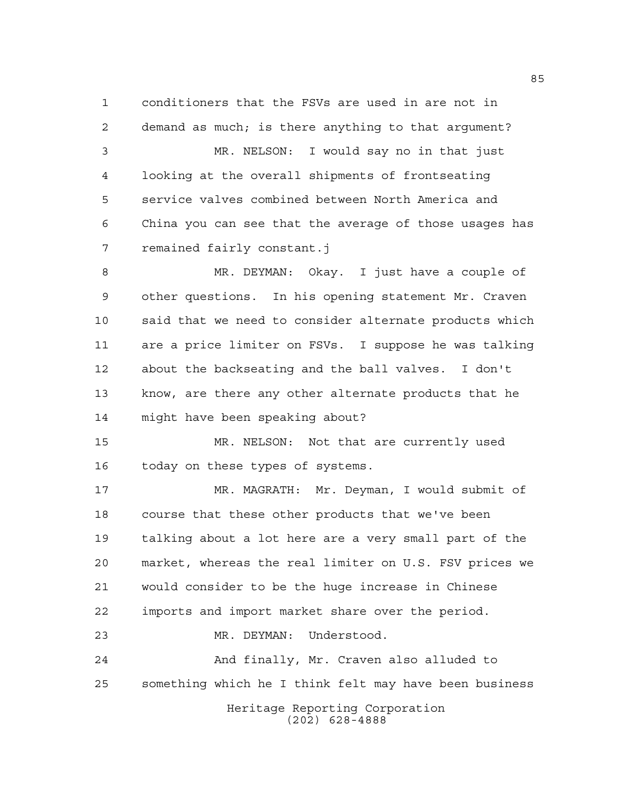conditioners that the FSVs are used in are not in demand as much; is there anything to that argument? MR. NELSON: I would say no in that just looking at the overall shipments of frontseating service valves combined between North America and China you can see that the average of those usages has remained fairly constant.j

 MR. DEYMAN: Okay. I just have a couple of other questions. In his opening statement Mr. Craven said that we need to consider alternate products which are a price limiter on FSVs. I suppose he was talking about the backseating and the ball valves. I don't know, are there any other alternate products that he might have been speaking about?

 MR. NELSON: Not that are currently used today on these types of systems.

 MR. MAGRATH: Mr. Deyman, I would submit of course that these other products that we've been talking about a lot here are a very small part of the market, whereas the real limiter on U.S. FSV prices we would consider to be the huge increase in Chinese imports and import market share over the period. MR. DEYMAN: Understood.

Heritage Reporting Corporation And finally, Mr. Craven also alluded to something which he I think felt may have been business

(202) 628-4888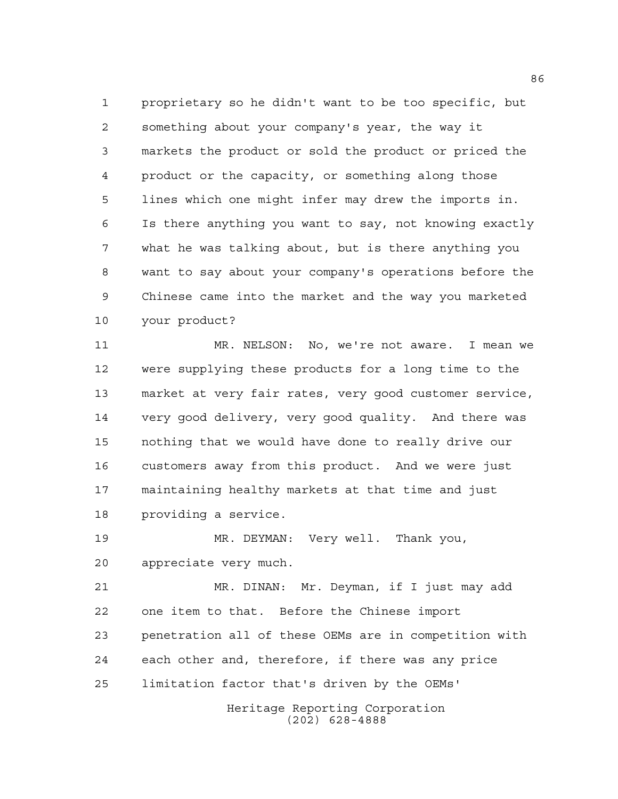proprietary so he didn't want to be too specific, but something about your company's year, the way it markets the product or sold the product or priced the product or the capacity, or something along those lines which one might infer may drew the imports in. Is there anything you want to say, not knowing exactly what he was talking about, but is there anything you want to say about your company's operations before the Chinese came into the market and the way you marketed your product?

 MR. NELSON: No, we're not aware. I mean we were supplying these products for a long time to the market at very fair rates, very good customer service, very good delivery, very good quality. And there was nothing that we would have done to really drive our customers away from this product. And we were just maintaining healthy markets at that time and just providing a service.

 MR. DEYMAN: Very well. Thank you, appreciate very much.

 MR. DINAN: Mr. Deyman, if I just may add one item to that. Before the Chinese import penetration all of these OEMs are in competition with each other and, therefore, if there was any price limitation factor that's driven by the OEMs'

> Heritage Reporting Corporation (202) 628-4888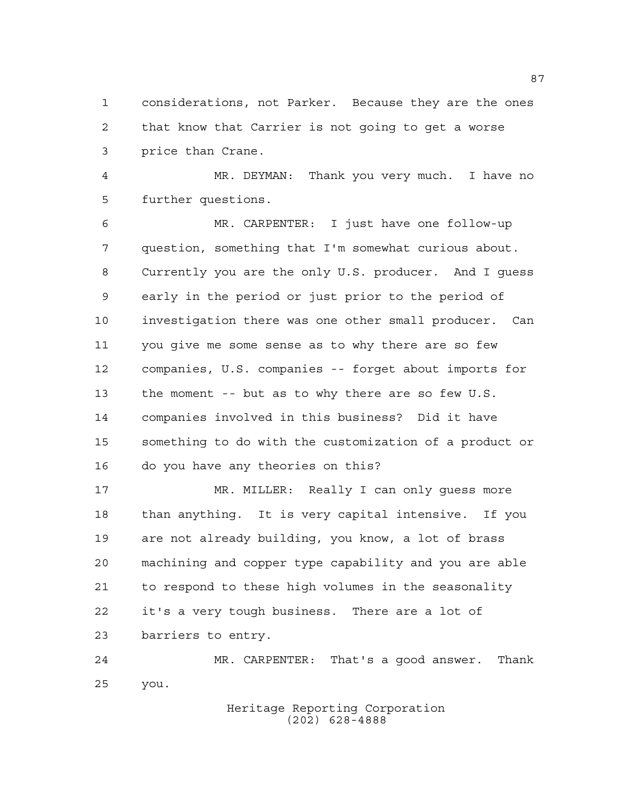considerations, not Parker. Because they are the ones that know that Carrier is not going to get a worse price than Crane.

 MR. DEYMAN: Thank you very much. I have no further questions.

 MR. CARPENTER: I just have one follow-up question, something that I'm somewhat curious about. Currently you are the only U.S. producer. And I guess early in the period or just prior to the period of investigation there was one other small producer. Can you give me some sense as to why there are so few companies, U.S. companies -- forget about imports for the moment -- but as to why there are so few U.S. companies involved in this business? Did it have something to do with the customization of a product or do you have any theories on this?

 MR. MILLER: Really I can only guess more than anything. It is very capital intensive. If you are not already building, you know, a lot of brass machining and copper type capability and you are able to respond to these high volumes in the seasonality it's a very tough business. There are a lot of barriers to entry.

 MR. CARPENTER: That's a good answer. Thank you.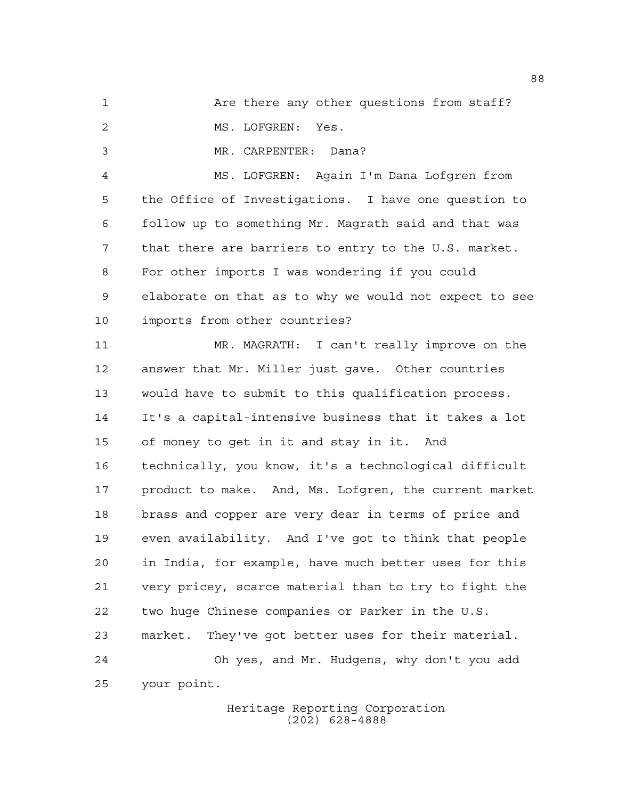1 Are there any other questions from staff?

MS. LOFGREN: Yes.

MR. CARPENTER: Dana?

 MS. LOFGREN: Again I'm Dana Lofgren from the Office of Investigations. I have one question to follow up to something Mr. Magrath said and that was that there are barriers to entry to the U.S. market. For other imports I was wondering if you could elaborate on that as to why we would not expect to see imports from other countries?

 MR. MAGRATH: I can't really improve on the answer that Mr. Miller just gave. Other countries would have to submit to this qualification process. It's a capital-intensive business that it takes a lot of money to get in it and stay in it. And technically, you know, it's a technological difficult product to make. And, Ms. Lofgren, the current market brass and copper are very dear in terms of price and even availability. And I've got to think that people in India, for example, have much better uses for this very pricey, scarce material than to try to fight the two huge Chinese companies or Parker in the U.S. market. They've got better uses for their material. Oh yes, and Mr. Hudgens, why don't you add your point.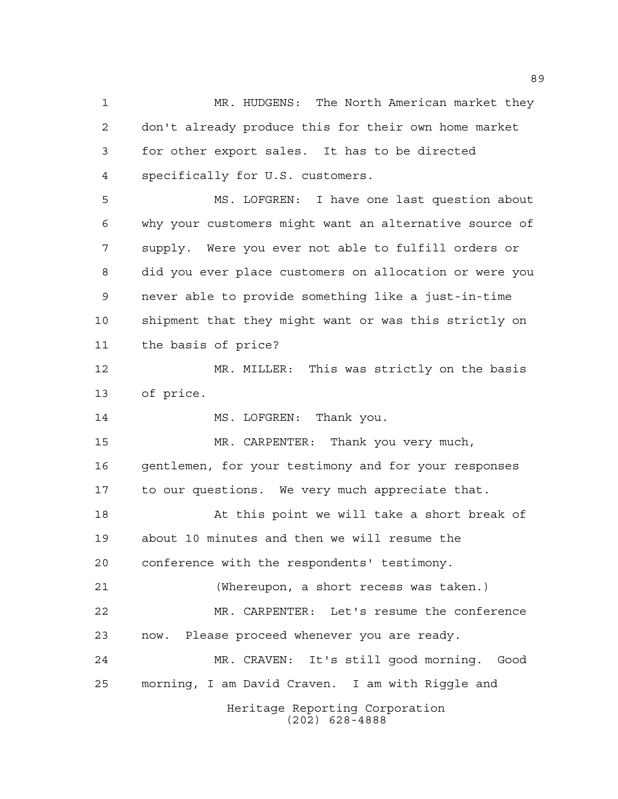Heritage Reporting Corporation (202) 628-4888 MR. HUDGENS: The North American market they don't already produce this for their own home market for other export sales. It has to be directed specifically for U.S. customers. MS. LOFGREN: I have one last question about why your customers might want an alternative source of supply. Were you ever not able to fulfill orders or did you ever place customers on allocation or were you never able to provide something like a just-in-time shipment that they might want or was this strictly on the basis of price? MR. MILLER: This was strictly on the basis of price. 14 MS. LOFGREN: Thank you. MR. CARPENTER: Thank you very much, gentlemen, for your testimony and for your responses to our questions. We very much appreciate that. At this point we will take a short break of about 10 minutes and then we will resume the conference with the respondents' testimony. (Whereupon, a short recess was taken.) MR. CARPENTER: Let's resume the conference now. Please proceed whenever you are ready. MR. CRAVEN: It's still good morning. Good morning, I am David Craven. I am with Riggle and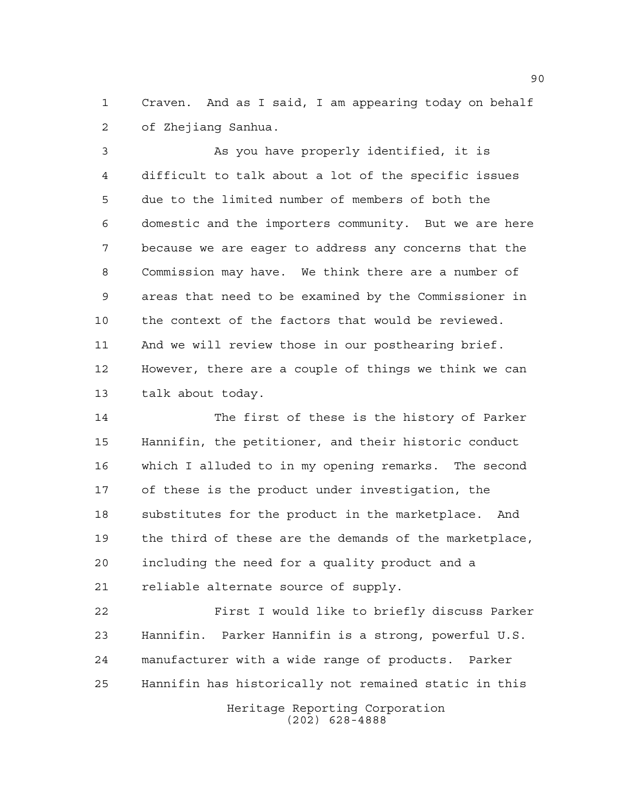Craven. And as I said, I am appearing today on behalf of Zhejiang Sanhua.

 As you have properly identified, it is difficult to talk about a lot of the specific issues due to the limited number of members of both the domestic and the importers community. But we are here because we are eager to address any concerns that the Commission may have. We think there are a number of areas that need to be examined by the Commissioner in the context of the factors that would be reviewed. And we will review those in our posthearing brief. However, there are a couple of things we think we can talk about today.

 The first of these is the history of Parker Hannifin, the petitioner, and their historic conduct which I alluded to in my opening remarks. The second of these is the product under investigation, the substitutes for the product in the marketplace. And the third of these are the demands of the marketplace, including the need for a quality product and a reliable alternate source of supply.

 First I would like to briefly discuss Parker Hannifin. Parker Hannifin is a strong, powerful U.S. manufacturer with a wide range of products. Parker Hannifin has historically not remained static in this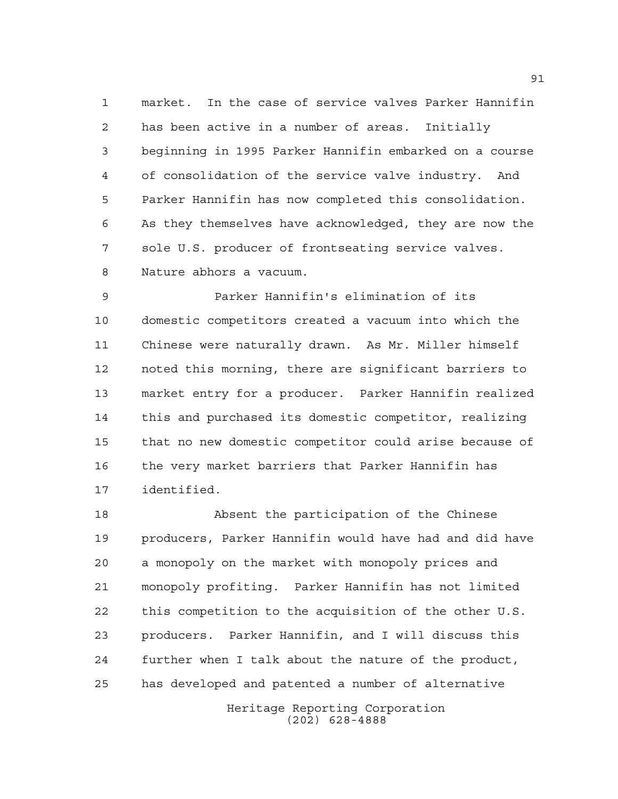market. In the case of service valves Parker Hannifin has been active in a number of areas. Initially beginning in 1995 Parker Hannifin embarked on a course of consolidation of the service valve industry. And Parker Hannifin has now completed this consolidation. As they themselves have acknowledged, they are now the sole U.S. producer of frontseating service valves. Nature abhors a vacuum.

 Parker Hannifin's elimination of its domestic competitors created a vacuum into which the Chinese were naturally drawn. As Mr. Miller himself noted this morning, there are significant barriers to market entry for a producer. Parker Hannifin realized this and purchased its domestic competitor, realizing that no new domestic competitor could arise because of the very market barriers that Parker Hannifin has identified.

 Absent the participation of the Chinese producers, Parker Hannifin would have had and did have a monopoly on the market with monopoly prices and monopoly profiting. Parker Hannifin has not limited this competition to the acquisition of the other U.S. producers. Parker Hannifin, and I will discuss this further when I talk about the nature of the product, has developed and patented a number of alternative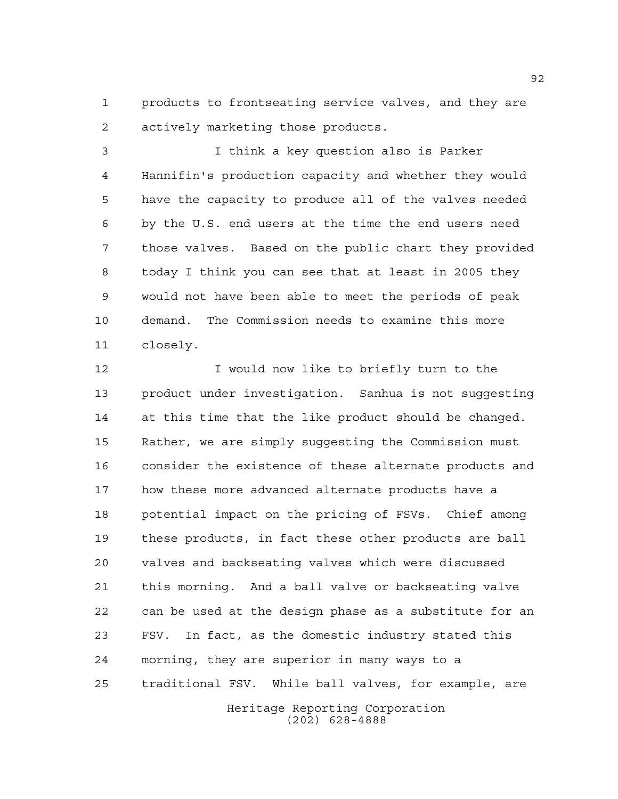products to frontseating service valves, and they are actively marketing those products.

 I think a key question also is Parker Hannifin's production capacity and whether they would have the capacity to produce all of the valves needed by the U.S. end users at the time the end users need those valves. Based on the public chart they provided today I think you can see that at least in 2005 they would not have been able to meet the periods of peak demand. The Commission needs to examine this more closely.

12 12 I would now like to briefly turn to the product under investigation. Sanhua is not suggesting at this time that the like product should be changed. Rather, we are simply suggesting the Commission must consider the existence of these alternate products and how these more advanced alternate products have a potential impact on the pricing of FSVs. Chief among these products, in fact these other products are ball valves and backseating valves which were discussed this morning. And a ball valve or backseating valve can be used at the design phase as a substitute for an FSV. In fact, as the domestic industry stated this morning, they are superior in many ways to a traditional FSV. While ball valves, for example, are

> Heritage Reporting Corporation (202) 628-4888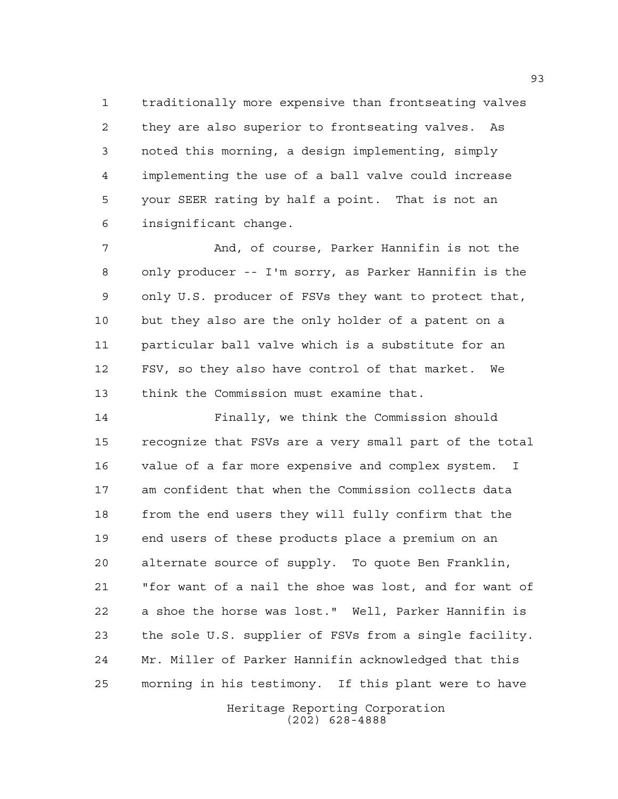traditionally more expensive than frontseating valves they are also superior to frontseating valves. As noted this morning, a design implementing, simply implementing the use of a ball valve could increase your SEER rating by half a point. That is not an insignificant change.

 And, of course, Parker Hannifin is not the only producer -- I'm sorry, as Parker Hannifin is the only U.S. producer of FSVs they want to protect that, but they also are the only holder of a patent on a particular ball valve which is a substitute for an FSV, so they also have control of that market. We think the Commission must examine that.

 Finally, we think the Commission should recognize that FSVs are a very small part of the total value of a far more expensive and complex system. I am confident that when the Commission collects data from the end users they will fully confirm that the end users of these products place a premium on an alternate source of supply. To quote Ben Franklin, "for want of a nail the shoe was lost, and for want of a shoe the horse was lost." Well, Parker Hannifin is the sole U.S. supplier of FSVs from a single facility. Mr. Miller of Parker Hannifin acknowledged that this morning in his testimony. If this plant were to have

> Heritage Reporting Corporation (202) 628-4888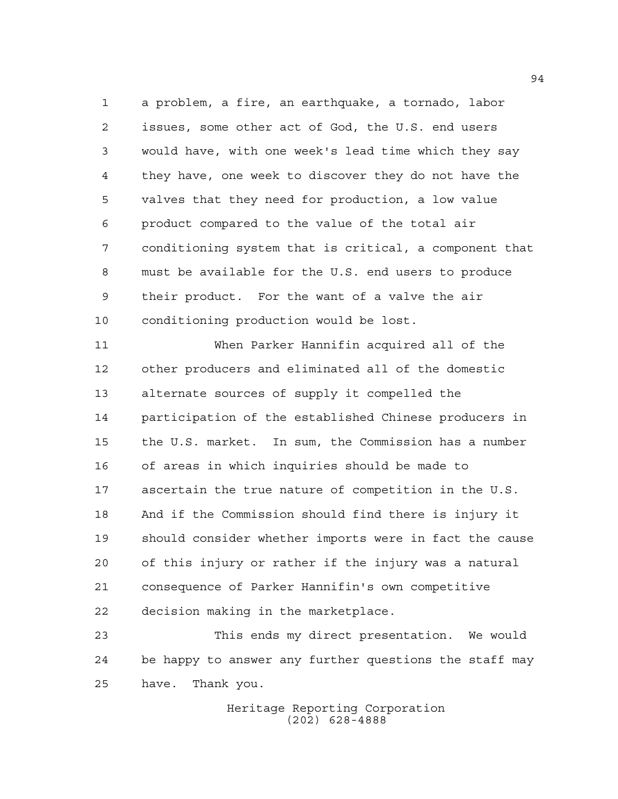a problem, a fire, an earthquake, a tornado, labor issues, some other act of God, the U.S. end users would have, with one week's lead time which they say they have, one week to discover they do not have the valves that they need for production, a low value product compared to the value of the total air conditioning system that is critical, a component that must be available for the U.S. end users to produce their product. For the want of a valve the air conditioning production would be lost.

 When Parker Hannifin acquired all of the other producers and eliminated all of the domestic alternate sources of supply it compelled the participation of the established Chinese producers in the U.S. market. In sum, the Commission has a number of areas in which inquiries should be made to ascertain the true nature of competition in the U.S. And if the Commission should find there is injury it should consider whether imports were in fact the cause of this injury or rather if the injury was a natural consequence of Parker Hannifin's own competitive decision making in the marketplace.

 This ends my direct presentation. We would be happy to answer any further questions the staff may have. Thank you.

> Heritage Reporting Corporation (202) 628-4888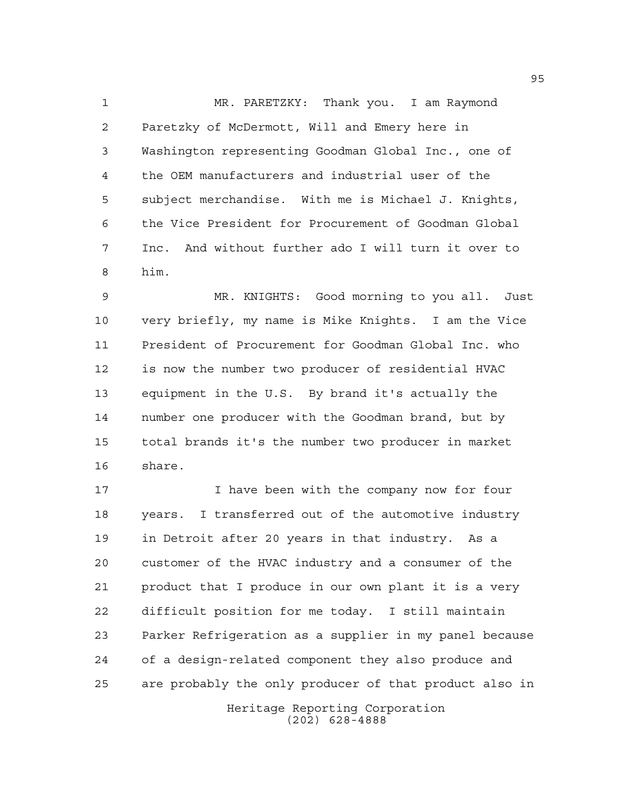MR. PARETZKY: Thank you. I am Raymond Paretzky of McDermott, Will and Emery here in Washington representing Goodman Global Inc., one of the OEM manufacturers and industrial user of the subject merchandise. With me is Michael J. Knights, the Vice President for Procurement of Goodman Global Inc. And without further ado I will turn it over to him.

 MR. KNIGHTS: Good morning to you all. Just very briefly, my name is Mike Knights. I am the Vice President of Procurement for Goodman Global Inc. who is now the number two producer of residential HVAC equipment in the U.S. By brand it's actually the number one producer with the Goodman brand, but by total brands it's the number two producer in market share.

Heritage Reporting Corporation 17 Thave been with the company now for four years. I transferred out of the automotive industry in Detroit after 20 years in that industry. As a customer of the HVAC industry and a consumer of the product that I produce in our own plant it is a very difficult position for me today. I still maintain Parker Refrigeration as a supplier in my panel because of a design-related component they also produce and are probably the only producer of that product also in

(202) 628-4888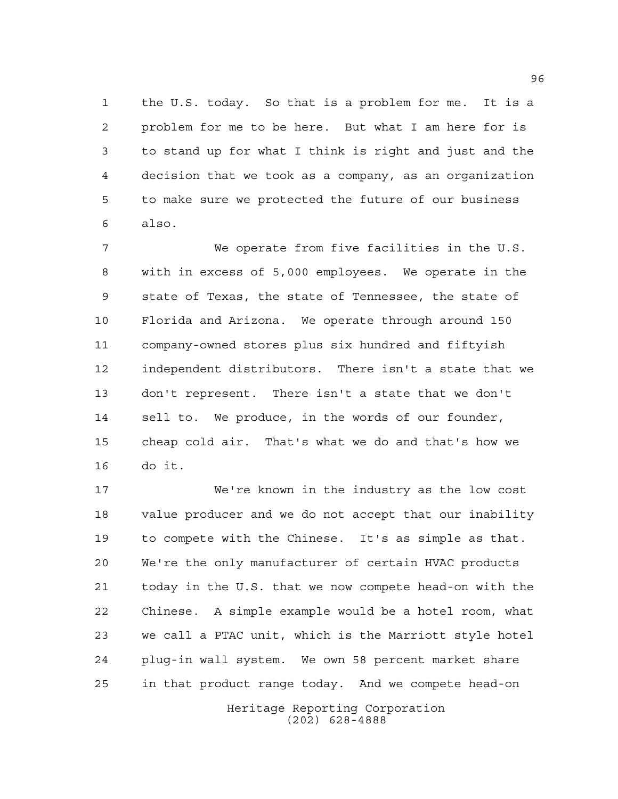the U.S. today. So that is a problem for me. It is a problem for me to be here. But what I am here for is to stand up for what I think is right and just and the decision that we took as a company, as an organization to make sure we protected the future of our business also.

 We operate from five facilities in the U.S. with in excess of 5,000 employees. We operate in the state of Texas, the state of Tennessee, the state of Florida and Arizona. We operate through around 150 company-owned stores plus six hundred and fiftyish independent distributors. There isn't a state that we don't represent. There isn't a state that we don't sell to. We produce, in the words of our founder, cheap cold air. That's what we do and that's how we do it.

 We're known in the industry as the low cost value producer and we do not accept that our inability to compete with the Chinese. It's as simple as that. We're the only manufacturer of certain HVAC products today in the U.S. that we now compete head-on with the Chinese. A simple example would be a hotel room, what we call a PTAC unit, which is the Marriott style hotel plug-in wall system. We own 58 percent market share in that product range today. And we compete head-on

> Heritage Reporting Corporation (202) 628-4888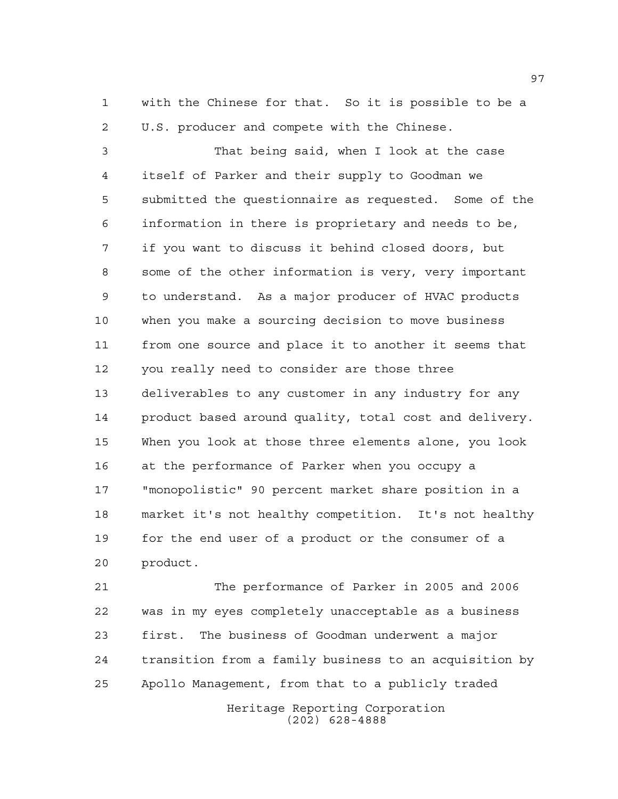with the Chinese for that. So it is possible to be a U.S. producer and compete with the Chinese.

 That being said, when I look at the case itself of Parker and their supply to Goodman we submitted the questionnaire as requested. Some of the information in there is proprietary and needs to be, if you want to discuss it behind closed doors, but some of the other information is very, very important to understand. As a major producer of HVAC products when you make a sourcing decision to move business from one source and place it to another it seems that you really need to consider are those three deliverables to any customer in any industry for any product based around quality, total cost and delivery. When you look at those three elements alone, you look at the performance of Parker when you occupy a "monopolistic" 90 percent market share position in a market it's not healthy competition. It's not healthy for the end user of a product or the consumer of a product.

 The performance of Parker in 2005 and 2006 was in my eyes completely unacceptable as a business first. The business of Goodman underwent a major transition from a family business to an acquisition by Apollo Management, from that to a publicly traded

Heritage Reporting Corporation (202) 628-4888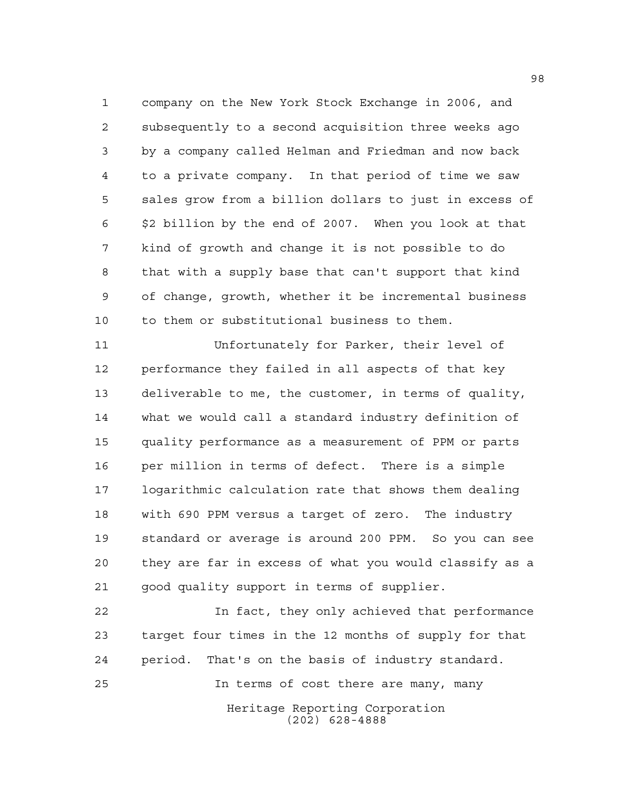company on the New York Stock Exchange in 2006, and subsequently to a second acquisition three weeks ago by a company called Helman and Friedman and now back to a private company. In that period of time we saw sales grow from a billion dollars to just in excess of \$2 billion by the end of 2007. When you look at that kind of growth and change it is not possible to do that with a supply base that can't support that kind of change, growth, whether it be incremental business to them or substitutional business to them.

 Unfortunately for Parker, their level of performance they failed in all aspects of that key deliverable to me, the customer, in terms of quality, what we would call a standard industry definition of quality performance as a measurement of PPM or parts per million in terms of defect. There is a simple logarithmic calculation rate that shows them dealing with 690 PPM versus a target of zero. The industry standard or average is around 200 PPM. So you can see they are far in excess of what you would classify as a good quality support in terms of supplier.

 In fact, they only achieved that performance target four times in the 12 months of supply for that period. That's on the basis of industry standard. In terms of cost there are many, many

Heritage Reporting Corporation (202) 628-4888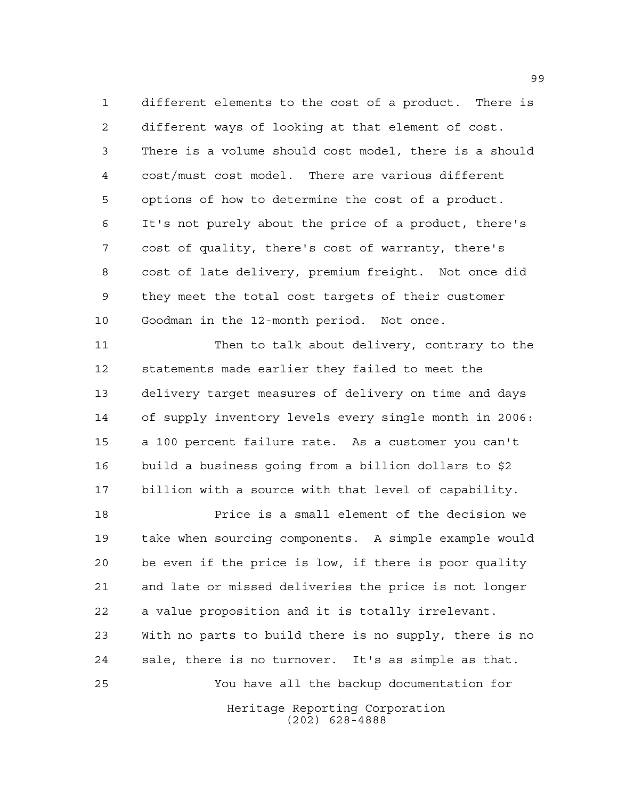different elements to the cost of a product. There is different ways of looking at that element of cost. There is a volume should cost model, there is a should cost/must cost model. There are various different options of how to determine the cost of a product. It's not purely about the price of a product, there's cost of quality, there's cost of warranty, there's cost of late delivery, premium freight. Not once did they meet the total cost targets of their customer Goodman in the 12-month period. Not once.

 Then to talk about delivery, contrary to the statements made earlier they failed to meet the delivery target measures of delivery on time and days of supply inventory levels every single month in 2006: a 100 percent failure rate. As a customer you can't build a business going from a billion dollars to \$2 billion with a source with that level of capability.

Heritage Reporting Corporation (202) 628-4888 Price is a small element of the decision we take when sourcing components. A simple example would be even if the price is low, if there is poor quality and late or missed deliveries the price is not longer a value proposition and it is totally irrelevant. With no parts to build there is no supply, there is no sale, there is no turnover. It's as simple as that. You have all the backup documentation for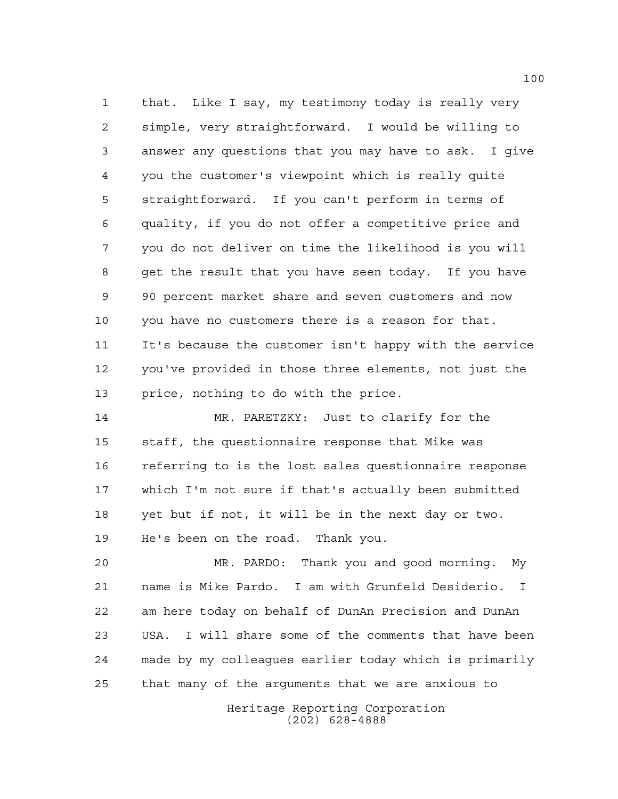that. Like I say, my testimony today is really very simple, very straightforward. I would be willing to answer any questions that you may have to ask. I give you the customer's viewpoint which is really quite straightforward. If you can't perform in terms of quality, if you do not offer a competitive price and you do not deliver on time the likelihood is you will get the result that you have seen today. If you have 90 percent market share and seven customers and now you have no customers there is a reason for that. It's because the customer isn't happy with the service you've provided in those three elements, not just the price, nothing to do with the price.

 MR. PARETZKY: Just to clarify for the staff, the questionnaire response that Mike was referring to is the lost sales questionnaire response which I'm not sure if that's actually been submitted yet but if not, it will be in the next day or two. He's been on the road. Thank you.

 MR. PARDO: Thank you and good morning. My name is Mike Pardo. I am with Grunfeld Desiderio. I am here today on behalf of DunAn Precision and DunAn USA. I will share some of the comments that have been made by my colleagues earlier today which is primarily that many of the arguments that we are anxious to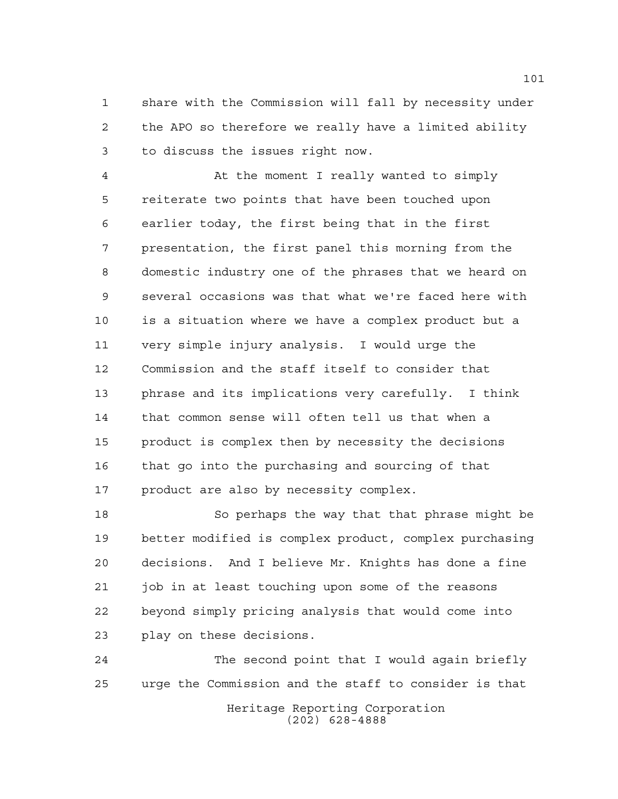share with the Commission will fall by necessity under the APO so therefore we really have a limited ability to discuss the issues right now.

 At the moment I really wanted to simply reiterate two points that have been touched upon earlier today, the first being that in the first presentation, the first panel this morning from the domestic industry one of the phrases that we heard on several occasions was that what we're faced here with is a situation where we have a complex product but a very simple injury analysis. I would urge the Commission and the staff itself to consider that phrase and its implications very carefully. I think that common sense will often tell us that when a product is complex then by necessity the decisions that go into the purchasing and sourcing of that product are also by necessity complex.

 So perhaps the way that that phrase might be better modified is complex product, complex purchasing decisions. And I believe Mr. Knights has done a fine job in at least touching upon some of the reasons beyond simply pricing analysis that would come into play on these decisions.

Heritage Reporting Corporation (202) 628-4888 The second point that I would again briefly urge the Commission and the staff to consider is that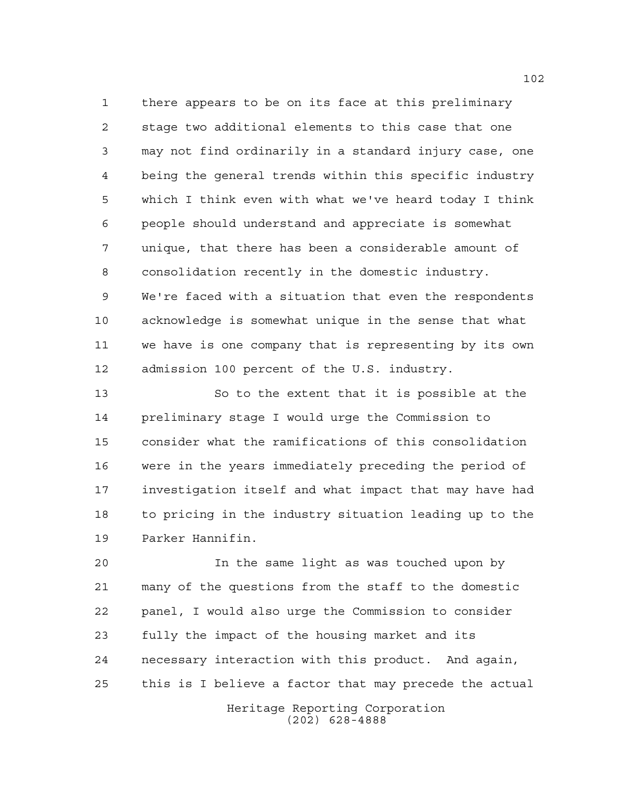there appears to be on its face at this preliminary stage two additional elements to this case that one may not find ordinarily in a standard injury case, one being the general trends within this specific industry which I think even with what we've heard today I think people should understand and appreciate is somewhat unique, that there has been a considerable amount of consolidation recently in the domestic industry. We're faced with a situation that even the respondents acknowledge is somewhat unique in the sense that what we have is one company that is representing by its own admission 100 percent of the U.S. industry.

 So to the extent that it is possible at the preliminary stage I would urge the Commission to consider what the ramifications of this consolidation were in the years immediately preceding the period of investigation itself and what impact that may have had to pricing in the industry situation leading up to the Parker Hannifin.

 In the same light as was touched upon by many of the questions from the staff to the domestic panel, I would also urge the Commission to consider fully the impact of the housing market and its necessary interaction with this product. And again, this is I believe a factor that may precede the actual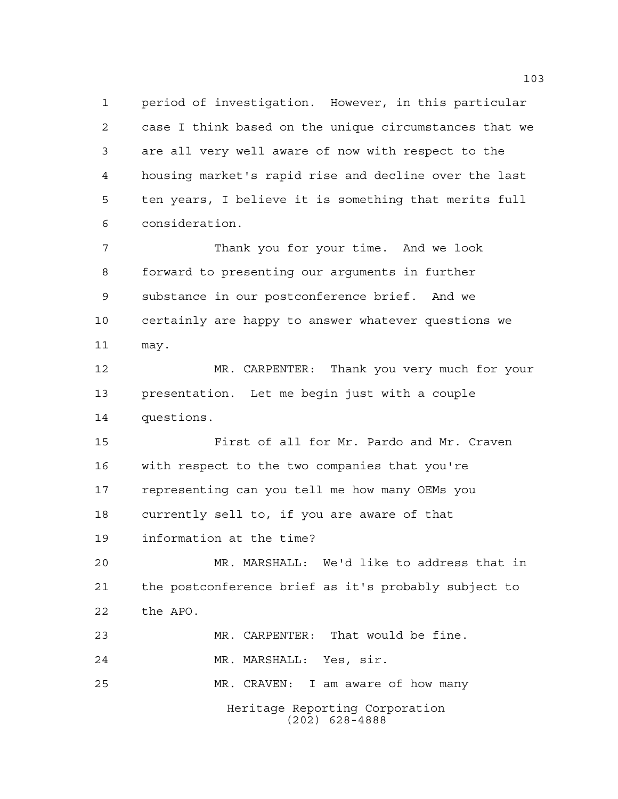period of investigation. However, in this particular case I think based on the unique circumstances that we are all very well aware of now with respect to the housing market's rapid rise and decline over the last ten years, I believe it is something that merits full consideration.

 Thank you for your time. And we look forward to presenting our arguments in further substance in our postconference brief. And we certainly are happy to answer whatever questions we may.

 MR. CARPENTER: Thank you very much for your presentation. Let me begin just with a couple questions.

 First of all for Mr. Pardo and Mr. Craven with respect to the two companies that you're representing can you tell me how many OEMs you currently sell to, if you are aware of that information at the time?

 MR. MARSHALL: We'd like to address that in the postconference brief as it's probably subject to the APO.

Heritage Reporting Corporation (202) 628-4888 MR. CARPENTER: That would be fine. MR. MARSHALL: Yes, sir. MR. CRAVEN: I am aware of how many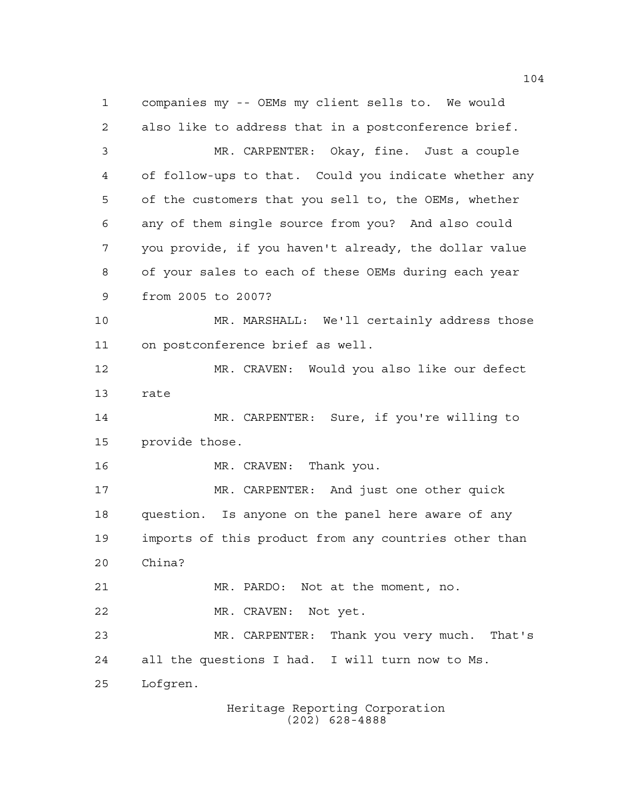companies my -- OEMs my client sells to. We would also like to address that in a postconference brief. MR. CARPENTER: Okay, fine. Just a couple of follow-ups to that. Could you indicate whether any of the customers that you sell to, the OEMs, whether any of them single source from you? And also could you provide, if you haven't already, the dollar value of your sales to each of these OEMs during each year from 2005 to 2007? MR. MARSHALL: We'll certainly address those on postconference brief as well. MR. CRAVEN: Would you also like our defect rate MR. CARPENTER: Sure, if you're willing to provide those. 16 MR. CRAVEN: Thank you. MR. CARPENTER: And just one other quick question. Is anyone on the panel here aware of any imports of this product from any countries other than China? MR. PARDO: Not at the moment, no. MR. CRAVEN: Not yet. MR. CARPENTER: Thank you very much. That's all the questions I had. I will turn now to Ms. Lofgren.

Heritage Reporting Corporation (202) 628-4888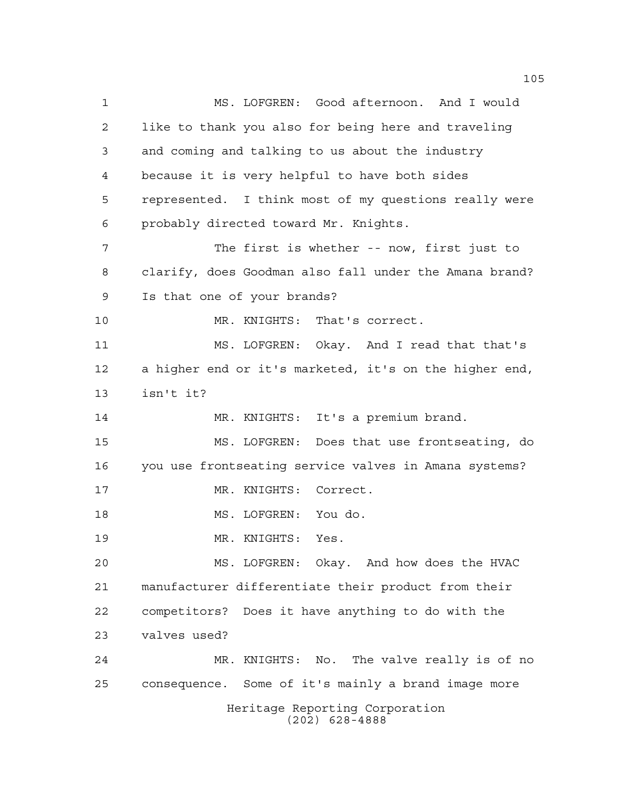Heritage Reporting Corporation (202) 628-4888 MS. LOFGREN: Good afternoon. And I would like to thank you also for being here and traveling and coming and talking to us about the industry because it is very helpful to have both sides represented. I think most of my questions really were probably directed toward Mr. Knights. The first is whether -- now, first just to clarify, does Goodman also fall under the Amana brand? Is that one of your brands? MR. KNIGHTS: That's correct. MS. LOFGREN: Okay. And I read that that's a higher end or it's marketed, it's on the higher end, isn't it? 14 MR. KNIGHTS: It's a premium brand. MS. LOFGREN: Does that use frontseating, do you use frontseating service valves in Amana systems? MR. KNIGHTS: Correct. MS. LOFGREN: You do. MR. KNIGHTS: Yes. MS. LOFGREN: Okay. And how does the HVAC manufacturer differentiate their product from their competitors? Does it have anything to do with the valves used? MR. KNIGHTS: No. The valve really is of no consequence. Some of it's mainly a brand image more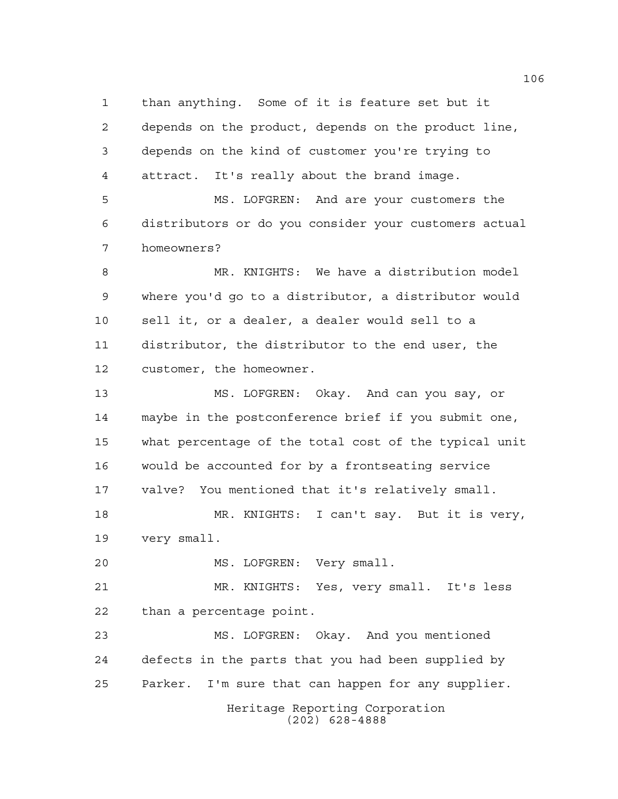than anything. Some of it is feature set but it depends on the product, depends on the product line, depends on the kind of customer you're trying to attract. It's really about the brand image.

 MS. LOFGREN: And are your customers the distributors or do you consider your customers actual homeowners?

 MR. KNIGHTS: We have a distribution model where you'd go to a distributor, a distributor would sell it, or a dealer, a dealer would sell to a distributor, the distributor to the end user, the customer, the homeowner.

 MS. LOFGREN: Okay. And can you say, or maybe in the postconference brief if you submit one, what percentage of the total cost of the typical unit would be accounted for by a frontseating service valve? You mentioned that it's relatively small. MR. KNIGHTS: I can't say. But it is very,

very small.

MS. LOFGREN: Very small.

 MR. KNIGHTS: Yes, very small. It's less than a percentage point.

Heritage Reporting Corporation MS. LOFGREN: Okay. And you mentioned defects in the parts that you had been supplied by Parker. I'm sure that can happen for any supplier.

(202) 628-4888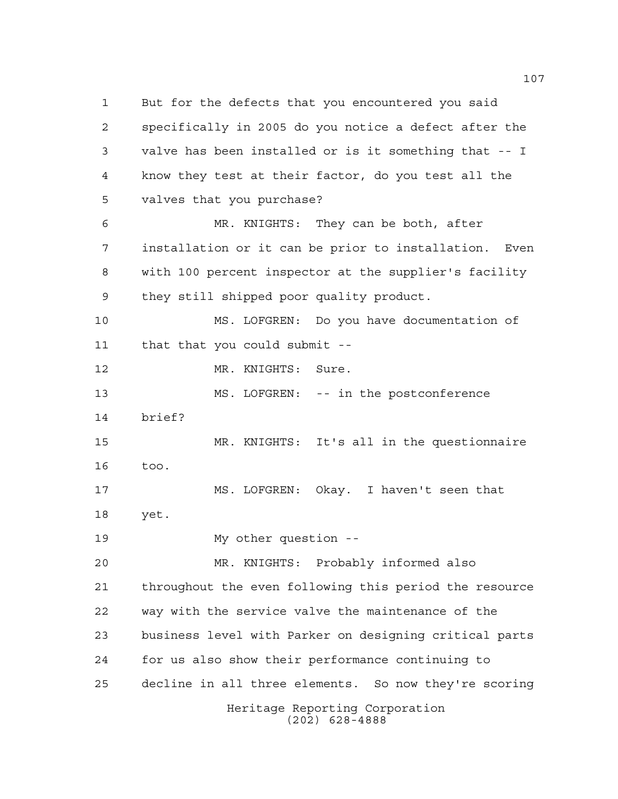Heritage Reporting Corporation (202) 628-4888 But for the defects that you encountered you said specifically in 2005 do you notice a defect after the valve has been installed or is it something that -- I know they test at their factor, do you test all the valves that you purchase? MR. KNIGHTS: They can be both, after installation or it can be prior to installation. Even with 100 percent inspector at the supplier's facility they still shipped poor quality product. MS. LOFGREN: Do you have documentation of that that you could submit -- 12 MR. KNIGHTS: Sure. MS. LOFGREN: -- in the postconference brief? MR. KNIGHTS: It's all in the questionnaire too. MS. LOFGREN: Okay. I haven't seen that yet. My other question -- MR. KNIGHTS: Probably informed also throughout the even following this period the resource way with the service valve the maintenance of the business level with Parker on designing critical parts for us also show their performance continuing to decline in all three elements. So now they're scoring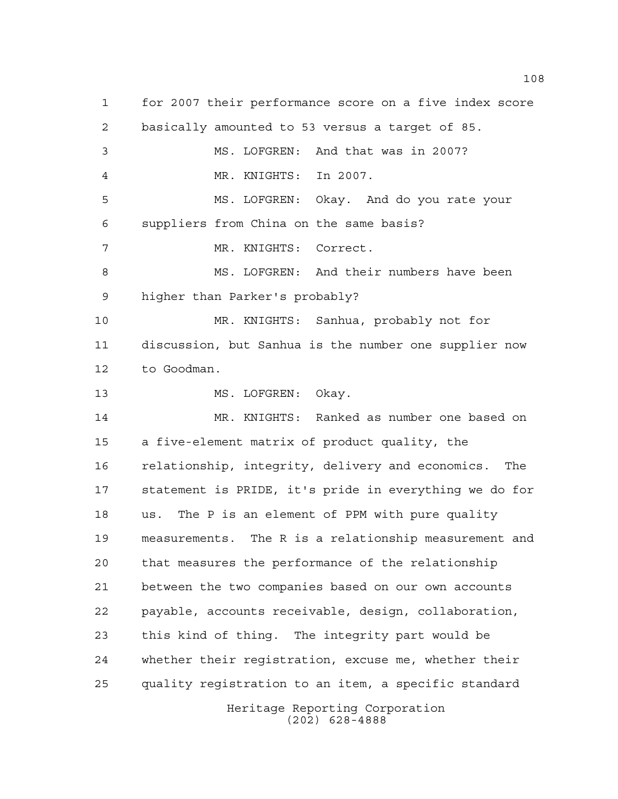Heritage Reporting Corporation for 2007 their performance score on a five index score basically amounted to 53 versus a target of 85. MS. LOFGREN: And that was in 2007? MR. KNIGHTS: In 2007. MS. LOFGREN: Okay. And do you rate your suppliers from China on the same basis? MR. KNIGHTS: Correct. 8 MS. LOFGREN: And their numbers have been higher than Parker's probably? MR. KNIGHTS: Sanhua, probably not for discussion, but Sanhua is the number one supplier now to Goodman. 13 MS. LOFGREN: Okay. MR. KNIGHTS: Ranked as number one based on a five-element matrix of product quality, the relationship, integrity, delivery and economics. The statement is PRIDE, it's pride in everything we do for us. The P is an element of PPM with pure quality measurements. The R is a relationship measurement and that measures the performance of the relationship between the two companies based on our own accounts payable, accounts receivable, design, collaboration, this kind of thing. The integrity part would be whether their registration, excuse me, whether their quality registration to an item, a specific standard

(202) 628-4888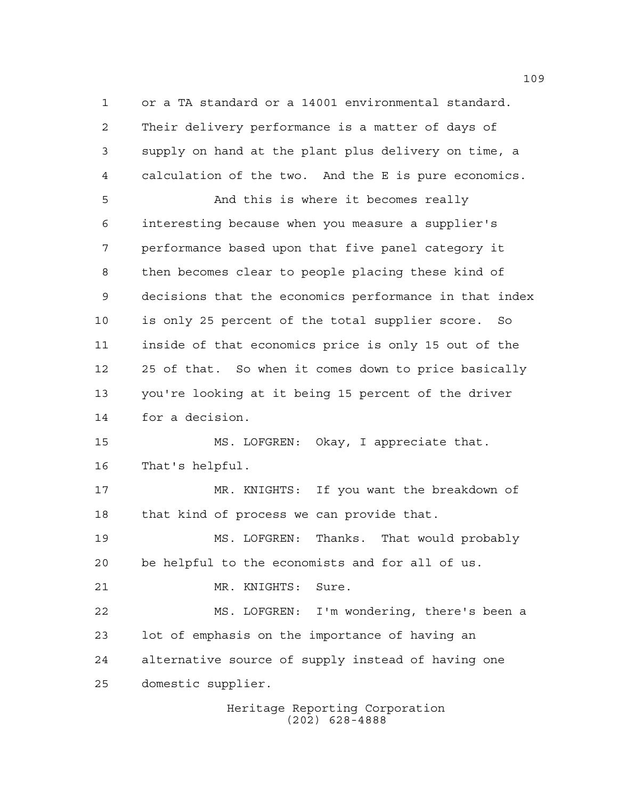or a TA standard or a 14001 environmental standard. Their delivery performance is a matter of days of supply on hand at the plant plus delivery on time, a calculation of the two. And the E is pure economics.

5 And this is where it becomes really interesting because when you measure a supplier's performance based upon that five panel category it then becomes clear to people placing these kind of decisions that the economics performance in that index is only 25 percent of the total supplier score. So inside of that economics price is only 15 out of the 25 of that. So when it comes down to price basically you're looking at it being 15 percent of the driver for a decision.

 MS. LOFGREN: Okay, I appreciate that. That's helpful.

 MR. KNIGHTS: If you want the breakdown of that kind of process we can provide that.

 MS. LOFGREN: Thanks. That would probably be helpful to the economists and for all of us.

MR. KNIGHTS: Sure.

 MS. LOFGREN: I'm wondering, there's been a lot of emphasis on the importance of having an alternative source of supply instead of having one domestic supplier.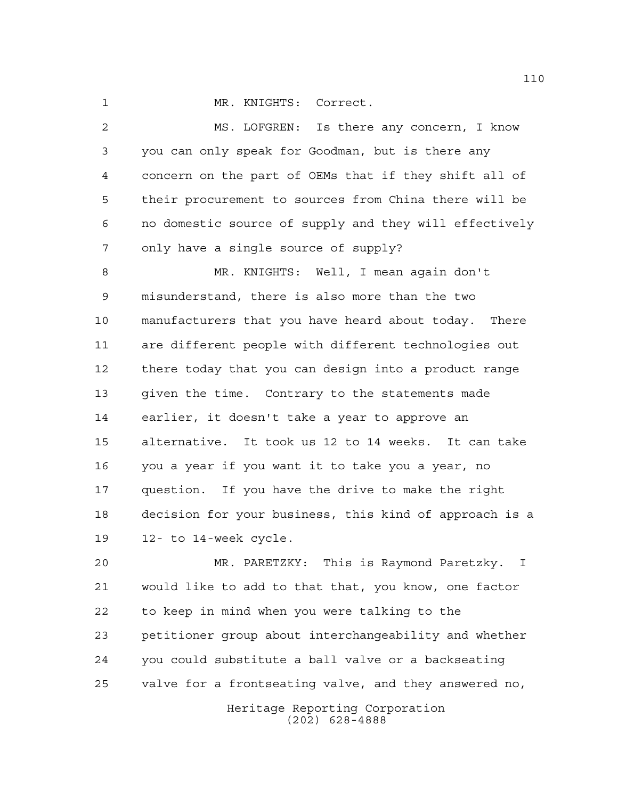1 MR. KNIGHTS: Correct.

 MS. LOFGREN: Is there any concern, I know you can only speak for Goodman, but is there any concern on the part of OEMs that if they shift all of their procurement to sources from China there will be no domestic source of supply and they will effectively only have a single source of supply?

 MR. KNIGHTS: Well, I mean again don't misunderstand, there is also more than the two manufacturers that you have heard about today. There are different people with different technologies out there today that you can design into a product range given the time. Contrary to the statements made earlier, it doesn't take a year to approve an alternative. It took us 12 to 14 weeks. It can take you a year if you want it to take you a year, no question. If you have the drive to make the right decision for your business, this kind of approach is a 12- to 14-week cycle.

 MR. PARETZKY: This is Raymond Paretzky. I would like to add to that that, you know, one factor to keep in mind when you were talking to the petitioner group about interchangeability and whether you could substitute a ball valve or a backseating valve for a frontseating valve, and they answered no,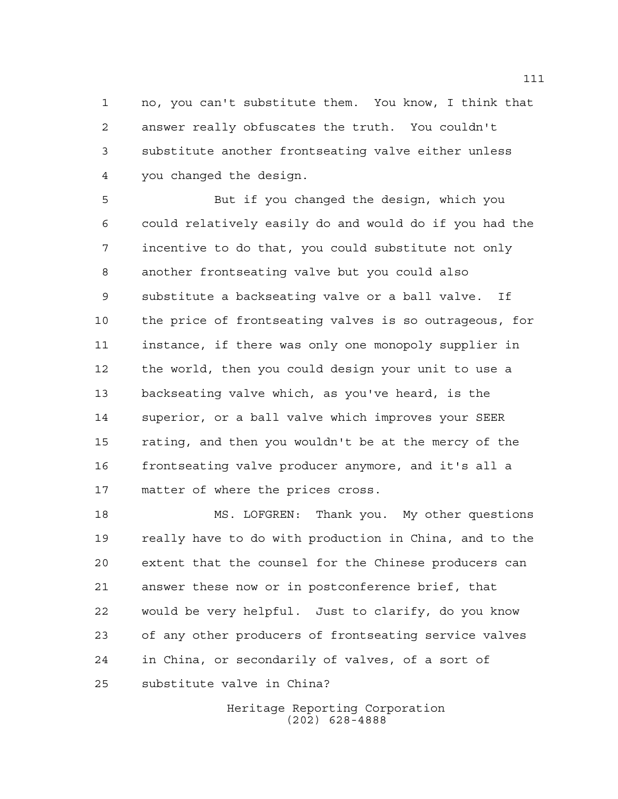no, you can't substitute them. You know, I think that answer really obfuscates the truth. You couldn't substitute another frontseating valve either unless you changed the design.

 But if you changed the design, which you could relatively easily do and would do if you had the incentive to do that, you could substitute not only another frontseating valve but you could also substitute a backseating valve or a ball valve. If the price of frontseating valves is so outrageous, for instance, if there was only one monopoly supplier in the world, then you could design your unit to use a backseating valve which, as you've heard, is the superior, or a ball valve which improves your SEER rating, and then you wouldn't be at the mercy of the frontseating valve producer anymore, and it's all a matter of where the prices cross.

 MS. LOFGREN: Thank you. My other questions really have to do with production in China, and to the extent that the counsel for the Chinese producers can answer these now or in postconference brief, that would be very helpful. Just to clarify, do you know of any other producers of frontseating service valves in China, or secondarily of valves, of a sort of substitute valve in China?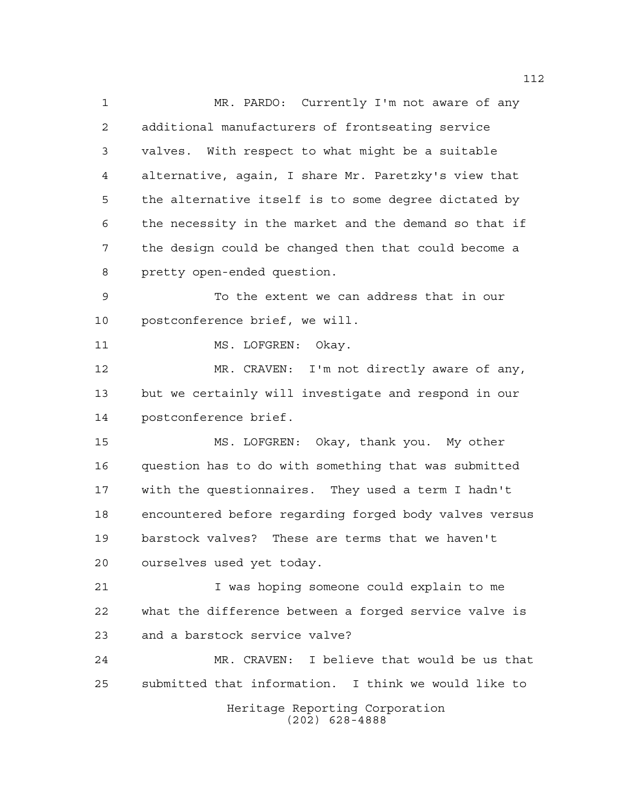Heritage Reporting Corporation (202) 628-4888 MR. PARDO: Currently I'm not aware of any additional manufacturers of frontseating service valves. With respect to what might be a suitable alternative, again, I share Mr. Paretzky's view that the alternative itself is to some degree dictated by the necessity in the market and the demand so that if the design could be changed then that could become a pretty open-ended question. To the extent we can address that in our postconference brief, we will. 11 MS. LOFGREN: Okay. 12 MR. CRAVEN: I'm not directly aware of any, but we certainly will investigate and respond in our postconference brief. MS. LOFGREN: Okay, thank you. My other question has to do with something that was submitted with the questionnaires. They used a term I hadn't encountered before regarding forged body valves versus barstock valves? These are terms that we haven't ourselves used yet today. I was hoping someone could explain to me what the difference between a forged service valve is and a barstock service valve? MR. CRAVEN: I believe that would be us that submitted that information. I think we would like to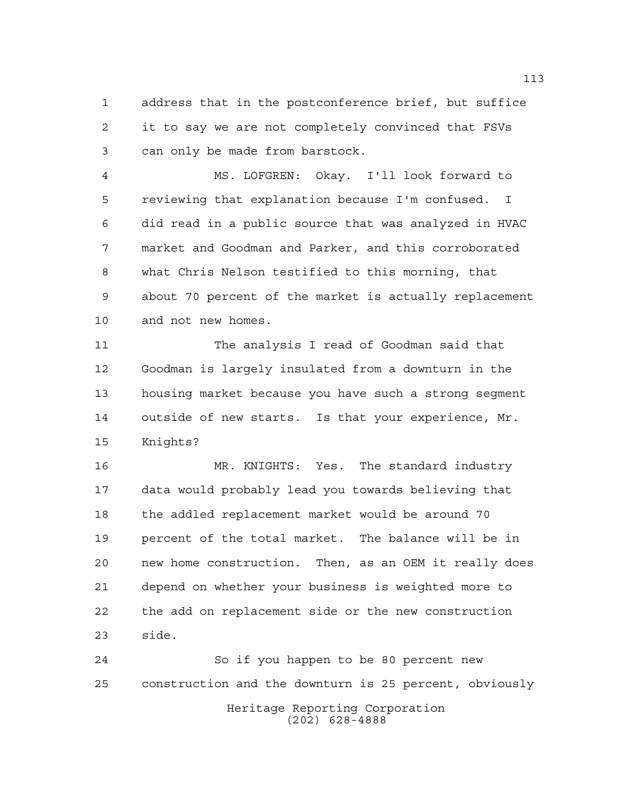address that in the postconference brief, but suffice it to say we are not completely convinced that FSVs can only be made from barstock.

 MS. LOFGREN: Okay. I'll look forward to reviewing that explanation because I'm confused. I did read in a public source that was analyzed in HVAC market and Goodman and Parker, and this corroborated what Chris Nelson testified to this morning, that about 70 percent of the market is actually replacement and not new homes.

 The analysis I read of Goodman said that Goodman is largely insulated from a downturn in the housing market because you have such a strong segment outside of new starts. Is that your experience, Mr. Knights?

 MR. KNIGHTS: Yes. The standard industry data would probably lead you towards believing that the addled replacement market would be around 70 percent of the total market. The balance will be in new home construction. Then, as an OEM it really does depend on whether your business is weighted more to the add on replacement side or the new construction side.

Heritage Reporting Corporation (202) 628-4888 So if you happen to be 80 percent new construction and the downturn is 25 percent, obviously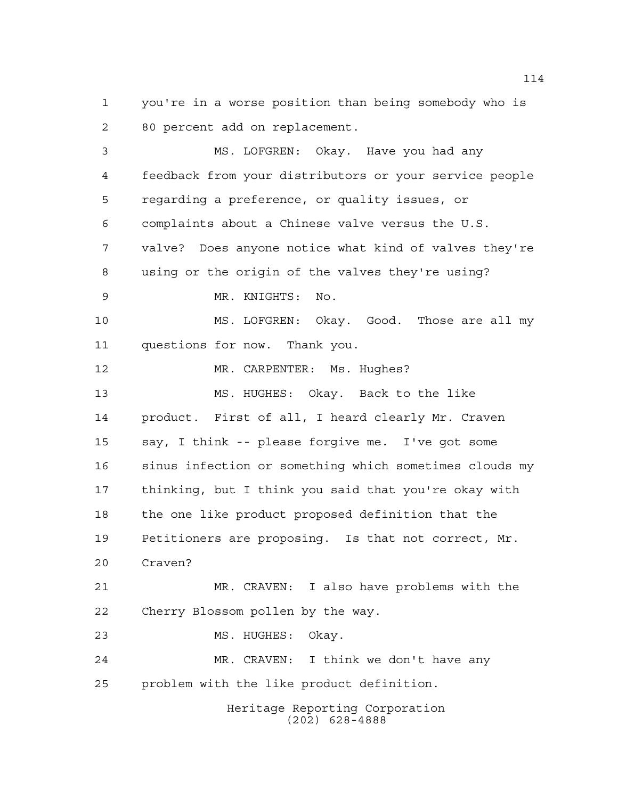you're in a worse position than being somebody who is 80 percent add on replacement.

Heritage Reporting Corporation (202) 628-4888 MS. LOFGREN: Okay. Have you had any feedback from your distributors or your service people regarding a preference, or quality issues, or complaints about a Chinese valve versus the U.S. valve? Does anyone notice what kind of valves they're using or the origin of the valves they're using? MR. KNIGHTS: No. MS. LOFGREN: Okay. Good. Those are all my questions for now. Thank you. MR. CARPENTER: Ms. Hughes? MS. HUGHES: Okay. Back to the like product. First of all, I heard clearly Mr. Craven say, I think -- please forgive me. I've got some sinus infection or something which sometimes clouds my thinking, but I think you said that you're okay with the one like product proposed definition that the Petitioners are proposing. Is that not correct, Mr. Craven? MR. CRAVEN: I also have problems with the Cherry Blossom pollen by the way. 23 MS. HUGHES: Okay. MR. CRAVEN: I think we don't have any problem with the like product definition.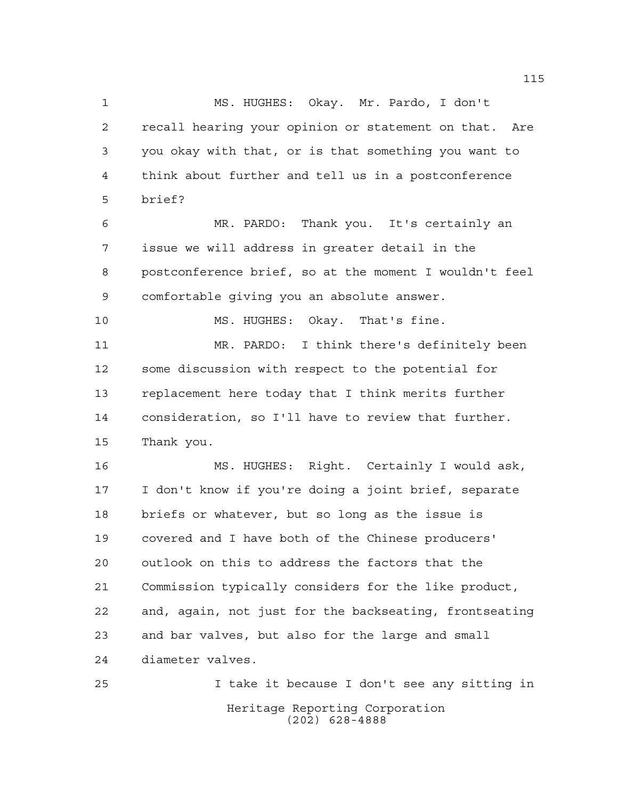MS. HUGHES: Okay. Mr. Pardo, I don't recall hearing your opinion or statement on that. Are you okay with that, or is that something you want to think about further and tell us in a postconference brief? MR. PARDO: Thank you. It's certainly an issue we will address in greater detail in the postconference brief, so at the moment I wouldn't feel comfortable giving you an absolute answer. MS. HUGHES: Okay. That's fine. MR. PARDO: I think there's definitely been some discussion with respect to the potential for replacement here today that I think merits further consideration, so I'll have to review that further. Thank you. MS. HUGHES: Right. Certainly I would ask, I don't know if you're doing a joint brief, separate briefs or whatever, but so long as the issue is covered and I have both of the Chinese producers' outlook on this to address the factors that the Commission typically considers for the like product, and, again, not just for the backseating, frontseating and bar valves, but also for the large and small diameter valves. I take it because I don't see any sitting in

> Heritage Reporting Corporation (202) 628-4888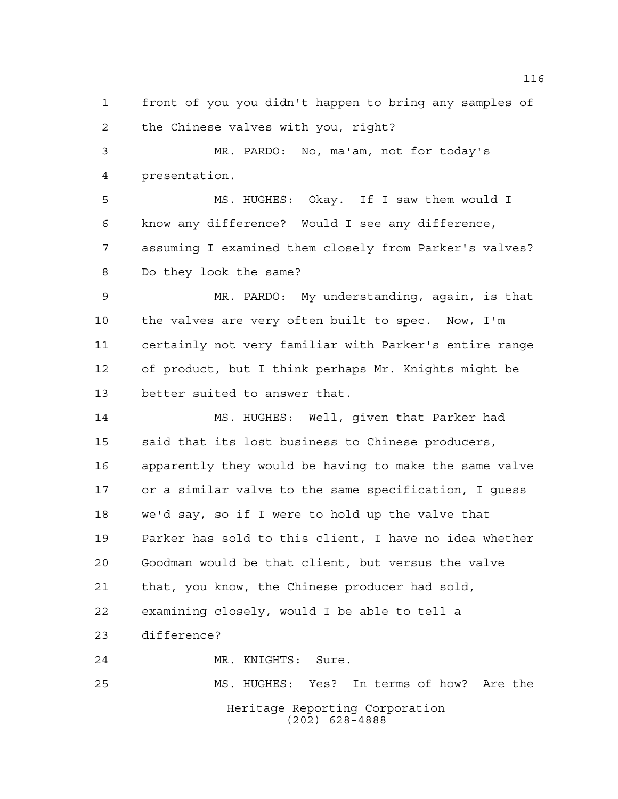front of you you didn't happen to bring any samples of the Chinese valves with you, right?

 MR. PARDO: No, ma'am, not for today's presentation.

 MS. HUGHES: Okay. If I saw them would I know any difference? Would I see any difference, assuming I examined them closely from Parker's valves? Do they look the same?

 MR. PARDO: My understanding, again, is that the valves are very often built to spec. Now, I'm certainly not very familiar with Parker's entire range 12 of product, but I think perhaps Mr. Knights might be better suited to answer that.

 MS. HUGHES: Well, given that Parker had said that its lost business to Chinese producers, apparently they would be having to make the same valve or a similar valve to the same specification, I guess we'd say, so if I were to hold up the valve that Parker has sold to this client, I have no idea whether Goodman would be that client, but versus the valve that, you know, the Chinese producer had sold, examining closely, would I be able to tell a difference?

MR. KNIGHTS: Sure.

Heritage Reporting Corporation (202) 628-4888 MS. HUGHES: Yes? In terms of how? Are the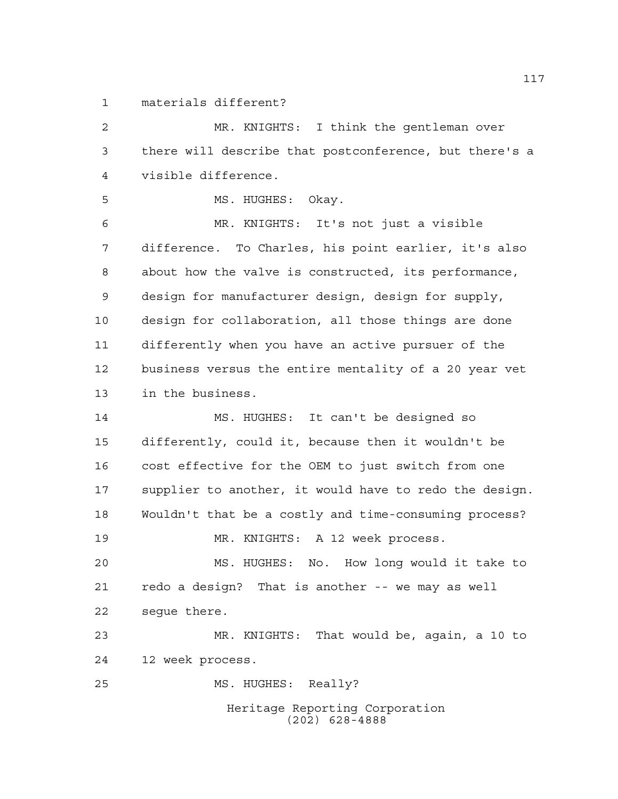materials different?

 MR. KNIGHTS: I think the gentleman over there will describe that postconference, but there's a visible difference.

5 MS. HUGHES: Okay.

 MR. KNIGHTS: It's not just a visible difference. To Charles, his point earlier, it's also about how the valve is constructed, its performance, design for manufacturer design, design for supply, design for collaboration, all those things are done differently when you have an active pursuer of the business versus the entire mentality of a 20 year vet in the business.

 MS. HUGHES: It can't be designed so differently, could it, because then it wouldn't be cost effective for the OEM to just switch from one supplier to another, it would have to redo the design. Wouldn't that be a costly and time-consuming process? MR. KNIGHTS: A 12 week process.

 MS. HUGHES: No. How long would it take to redo a design? That is another -- we may as well segue there.

 MR. KNIGHTS: That would be, again, a 10 to 12 week process.

MS. HUGHES: Really?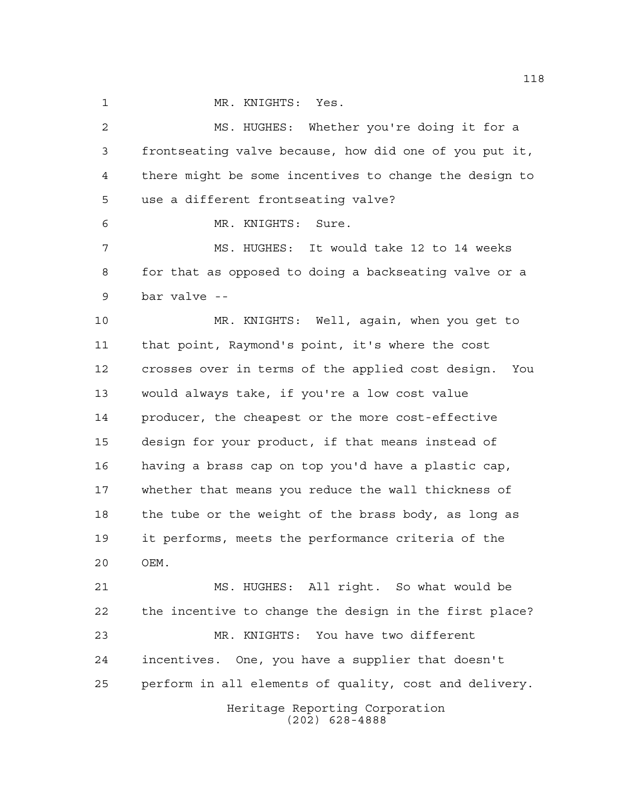1 MR. KNIGHTS: Yes.

 MS. HUGHES: Whether you're doing it for a frontseating valve because, how did one of you put it, there might be some incentives to change the design to use a different frontseating valve? MR. KNIGHTS: Sure. MS. HUGHES: It would take 12 to 14 weeks for that as opposed to doing a backseating valve or a bar valve --

 MR. KNIGHTS: Well, again, when you get to that point, Raymond's point, it's where the cost crosses over in terms of the applied cost design. You would always take, if you're a low cost value producer, the cheapest or the more cost-effective design for your product, if that means instead of having a brass cap on top you'd have a plastic cap, whether that means you reduce the wall thickness of the tube or the weight of the brass body, as long as it performs, meets the performance criteria of the OEM.

 MS. HUGHES: All right. So what would be the incentive to change the design in the first place? MR. KNIGHTS: You have two different incentives. One, you have a supplier that doesn't perform in all elements of quality, cost and delivery.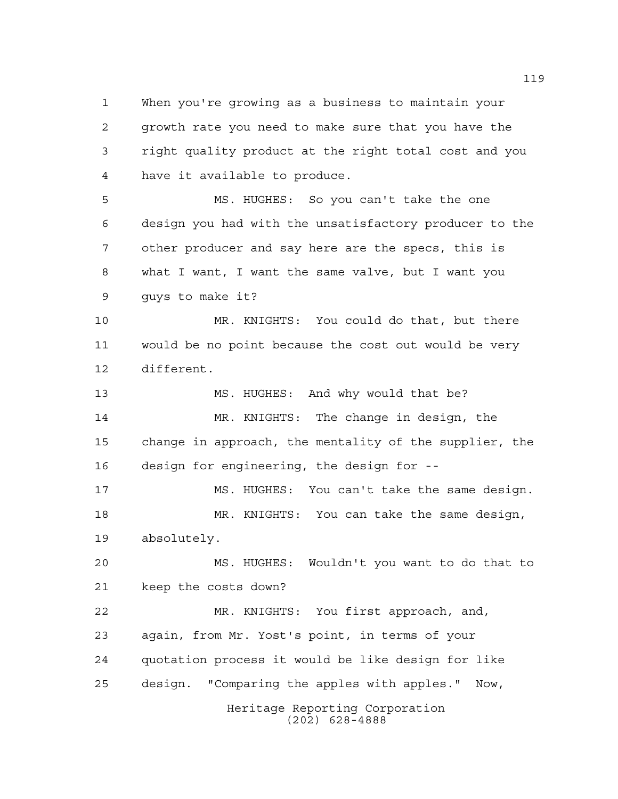When you're growing as a business to maintain your growth rate you need to make sure that you have the right quality product at the right total cost and you have it available to produce.

 MS. HUGHES: So you can't take the one design you had with the unsatisfactory producer to the other producer and say here are the specs, this is what I want, I want the same valve, but I want you guys to make it?

 MR. KNIGHTS: You could do that, but there would be no point because the cost out would be very different.

 MS. HUGHES: And why would that be? MR. KNIGHTS: The change in design, the change in approach, the mentality of the supplier, the design for engineering, the design for --

 MS. HUGHES: You can't take the same design. MR. KNIGHTS: You can take the same design, absolutely.

 MS. HUGHES: Wouldn't you want to do that to keep the costs down?

Heritage Reporting Corporation MR. KNIGHTS: You first approach, and, again, from Mr. Yost's point, in terms of your quotation process it would be like design for like design. "Comparing the apples with apples." Now,

(202) 628-4888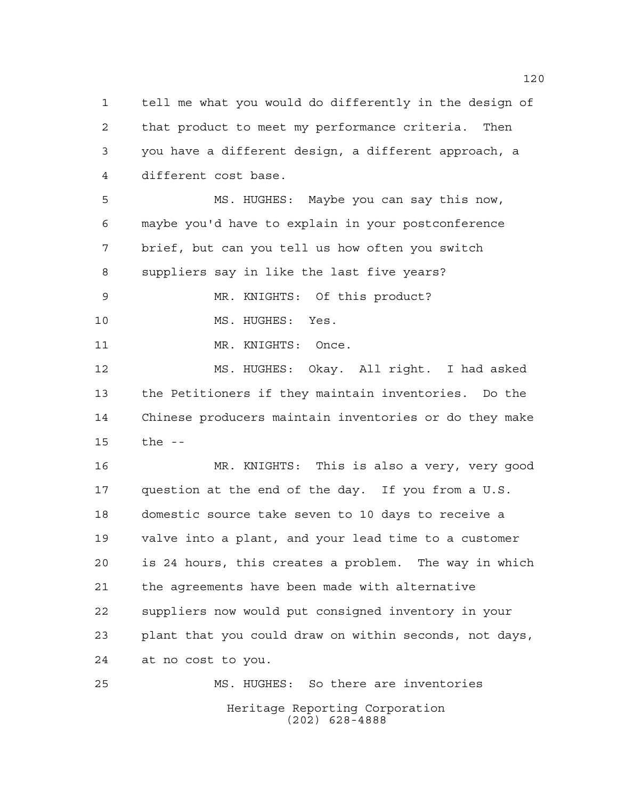tell me what you would do differently in the design of that product to meet my performance criteria. Then you have a different design, a different approach, a different cost base.

 MS. HUGHES: Maybe you can say this now, maybe you'd have to explain in your postconference brief, but can you tell us how often you switch suppliers say in like the last five years?

 MR. KNIGHTS: Of this product? 10 MS. HUGHES: Yes.

11 MR. KNIGHTS: Once.

 MS. HUGHES: Okay. All right. I had asked the Petitioners if they maintain inventories. Do the Chinese producers maintain inventories or do they make the --

 MR. KNIGHTS: This is also a very, very good question at the end of the day. If you from a U.S. domestic source take seven to 10 days to receive a valve into a plant, and your lead time to a customer is 24 hours, this creates a problem. The way in which the agreements have been made with alternative suppliers now would put consigned inventory in your plant that you could draw on within seconds, not days, at no cost to you.

Heritage Reporting Corporation (202) 628-4888 MS. HUGHES: So there are inventories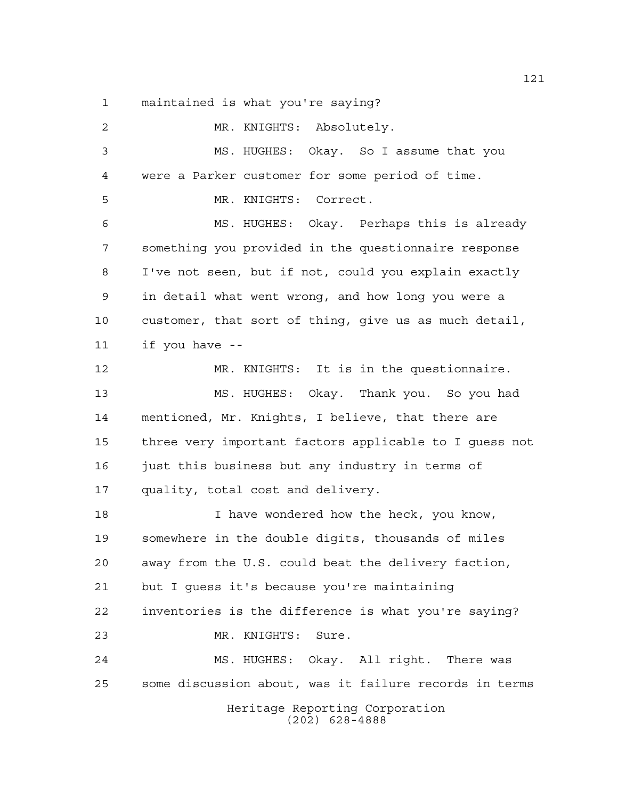maintained is what you're saying?

Heritage Reporting Corporation (202) 628-4888 MR. KNIGHTS: Absolutely. MS. HUGHES: Okay. So I assume that you were a Parker customer for some period of time. MR. KNIGHTS: Correct. MS. HUGHES: Okay. Perhaps this is already something you provided in the questionnaire response I've not seen, but if not, could you explain exactly in detail what went wrong, and how long you were a customer, that sort of thing, give us as much detail, if you have -- MR. KNIGHTS: It is in the questionnaire. MS. HUGHES: Okay. Thank you. So you had mentioned, Mr. Knights, I believe, that there are three very important factors applicable to I guess not just this business but any industry in terms of quality, total cost and delivery. I have wondered how the heck, you know, somewhere in the double digits, thousands of miles away from the U.S. could beat the delivery faction, but I guess it's because you're maintaining inventories is the difference is what you're saying? MR. KNIGHTS: Sure. MS. HUGHES: Okay. All right. There was some discussion about, was it failure records in terms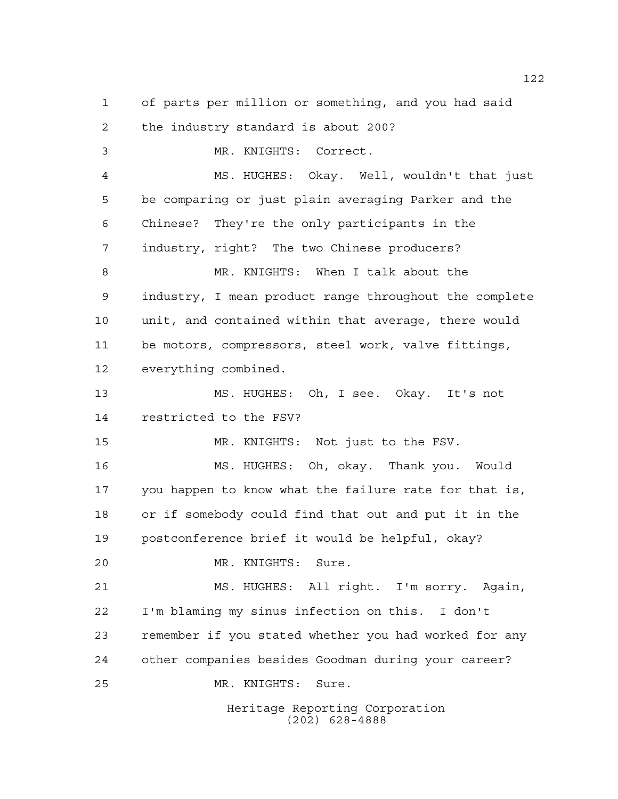of parts per million or something, and you had said the industry standard is about 200? MR. KNIGHTS: Correct. MS. HUGHES: Okay. Well, wouldn't that just be comparing or just plain averaging Parker and the Chinese? They're the only participants in the industry, right? The two Chinese producers? MR. KNIGHTS: When I talk about the industry, I mean product range throughout the complete unit, and contained within that average, there would be motors, compressors, steel work, valve fittings, everything combined. MS. HUGHES: Oh, I see. Okay. It's not restricted to the FSV? MR. KNIGHTS: Not just to the FSV. MS. HUGHES: Oh, okay. Thank you. Would you happen to know what the failure rate for that is, or if somebody could find that out and put it in the postconference brief it would be helpful, okay? MR. KNIGHTS: Sure. MS. HUGHES: All right. I'm sorry. Again, I'm blaming my sinus infection on this. I don't remember if you stated whether you had worked for any other companies besides Goodman during your career? MR. KNIGHTS: Sure.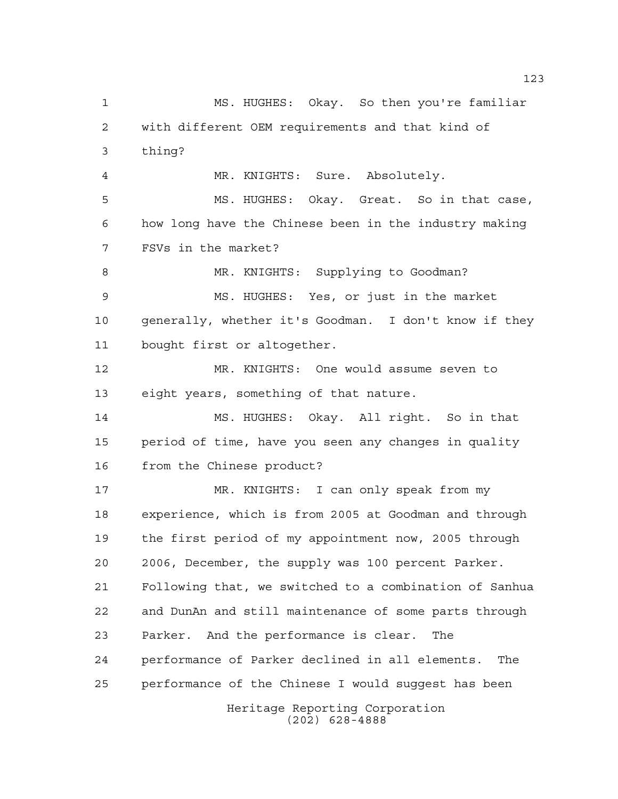Heritage Reporting Corporation MS. HUGHES: Okay. So then you're familiar with different OEM requirements and that kind of thing? MR. KNIGHTS: Sure. Absolutely. MS. HUGHES: Okay. Great. So in that case, how long have the Chinese been in the industry making FSVs in the market? 8 MR. KNIGHTS: Supplying to Goodman? MS. HUGHES: Yes, or just in the market generally, whether it's Goodman. I don't know if they bought first or altogether. MR. KNIGHTS: One would assume seven to eight years, something of that nature. MS. HUGHES: Okay. All right. So in that period of time, have you seen any changes in quality from the Chinese product? MR. KNIGHTS: I can only speak from my experience, which is from 2005 at Goodman and through the first period of my appointment now, 2005 through 2006, December, the supply was 100 percent Parker. Following that, we switched to a combination of Sanhua and DunAn and still maintenance of some parts through Parker. And the performance is clear. The performance of Parker declined in all elements. The performance of the Chinese I would suggest has been

(202) 628-4888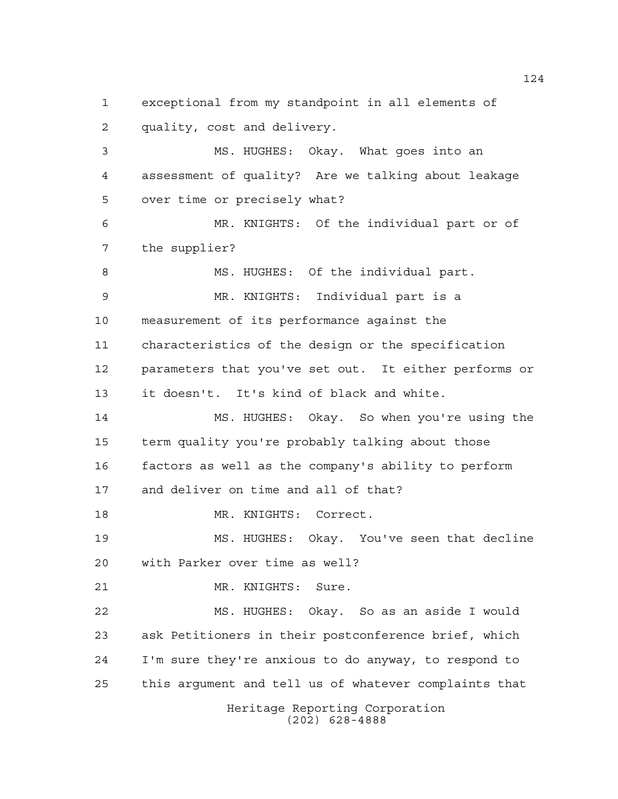Heritage Reporting Corporation (202) 628-4888 exceptional from my standpoint in all elements of quality, cost and delivery. MS. HUGHES: Okay. What goes into an assessment of quality? Are we talking about leakage over time or precisely what? MR. KNIGHTS: Of the individual part or of the supplier? 8 MS. HUGHES: Of the individual part. MR. KNIGHTS: Individual part is a measurement of its performance against the characteristics of the design or the specification parameters that you've set out. It either performs or it doesn't. It's kind of black and white. MS. HUGHES: Okay. So when you're using the term quality you're probably talking about those factors as well as the company's ability to perform and deliver on time and all of that? MR. KNIGHTS: Correct. MS. HUGHES: Okay. You've seen that decline with Parker over time as well? MR. KNIGHTS: Sure. MS. HUGHES: Okay. So as an aside I would ask Petitioners in their postconference brief, which I'm sure they're anxious to do anyway, to respond to this argument and tell us of whatever complaints that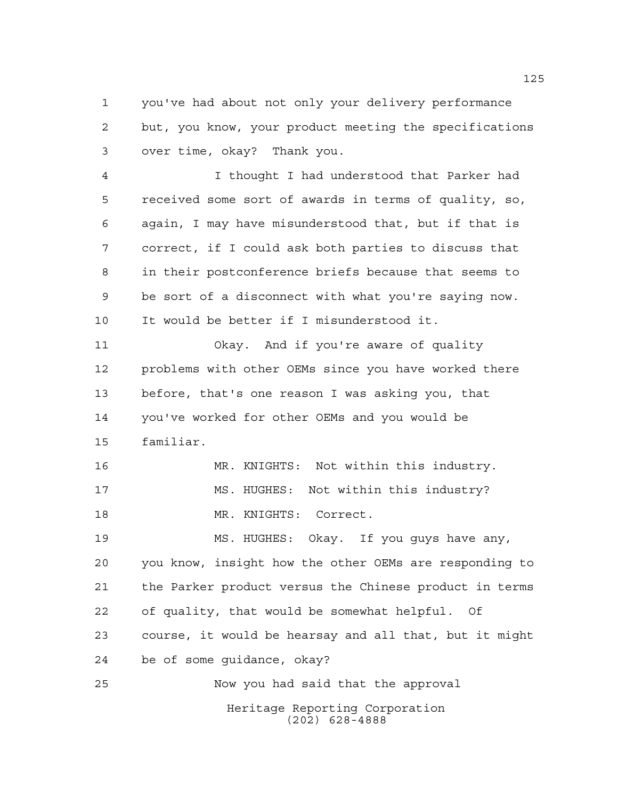you've had about not only your delivery performance but, you know, your product meeting the specifications over time, okay? Thank you.

 I thought I had understood that Parker had received some sort of awards in terms of quality, so, again, I may have misunderstood that, but if that is correct, if I could ask both parties to discuss that in their postconference briefs because that seems to be sort of a disconnect with what you're saying now. It would be better if I misunderstood it.

 Okay. And if you're aware of quality problems with other OEMs since you have worked there before, that's one reason I was asking you, that you've worked for other OEMs and you would be familiar.

 MR. KNIGHTS: Not within this industry. MS. HUGHES: Not within this industry? MR. KNIGHTS: Correct.

 MS. HUGHES: Okay. If you guys have any, you know, insight how the other OEMs are responding to the Parker product versus the Chinese product in terms of quality, that would be somewhat helpful. Of course, it would be hearsay and all that, but it might be of some guidance, okay? Now you had said that the approval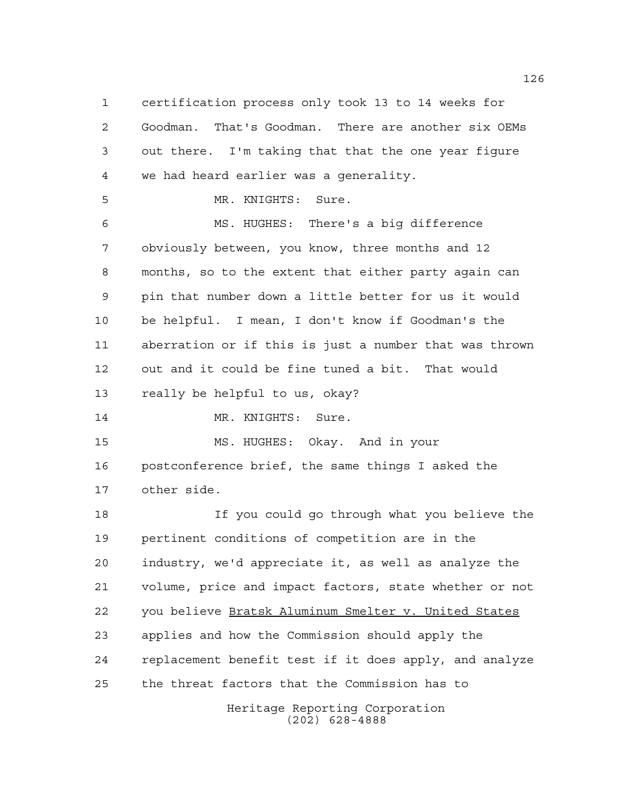Heritage Reporting Corporation certification process only took 13 to 14 weeks for Goodman. That's Goodman. There are another six OEMs out there. I'm taking that that the one year figure we had heard earlier was a generality. MR. KNIGHTS: Sure. MS. HUGHES: There's a big difference obviously between, you know, three months and 12 months, so to the extent that either party again can pin that number down a little better for us it would be helpful. I mean, I don't know if Goodman's the aberration or if this is just a number that was thrown out and it could be fine tuned a bit. That would really be helpful to us, okay? 14 MR. KNIGHTS: Sure. MS. HUGHES: Okay. And in your postconference brief, the same things I asked the other side. If you could go through what you believe the pertinent conditions of competition are in the industry, we'd appreciate it, as well as analyze the volume, price and impact factors, state whether or not you believe Bratsk Aluminum Smelter v. United States applies and how the Commission should apply the replacement benefit test if it does apply, and analyze the threat factors that the Commission has to

(202) 628-4888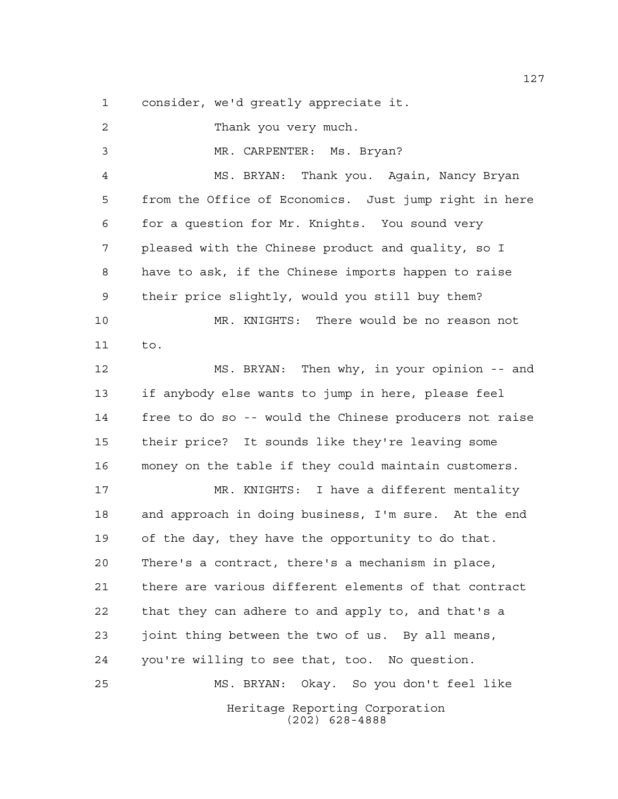consider, we'd greatly appreciate it.

Heritage Reporting Corporation (202) 628-4888 Thank you very much. MR. CARPENTER: Ms. Bryan? MS. BRYAN: Thank you. Again, Nancy Bryan from the Office of Economics. Just jump right in here for a question for Mr. Knights. You sound very pleased with the Chinese product and quality, so I have to ask, if the Chinese imports happen to raise their price slightly, would you still buy them? MR. KNIGHTS: There would be no reason not to. MS. BRYAN: Then why, in your opinion -- and if anybody else wants to jump in here, please feel free to do so -- would the Chinese producers not raise their price? It sounds like they're leaving some money on the table if they could maintain customers. MR. KNIGHTS: I have a different mentality and approach in doing business, I'm sure. At the end of the day, they have the opportunity to do that. There's a contract, there's a mechanism in place, there are various different elements of that contract that they can adhere to and apply to, and that's a joint thing between the two of us. By all means, you're willing to see that, too. No question. MS. BRYAN: Okay. So you don't feel like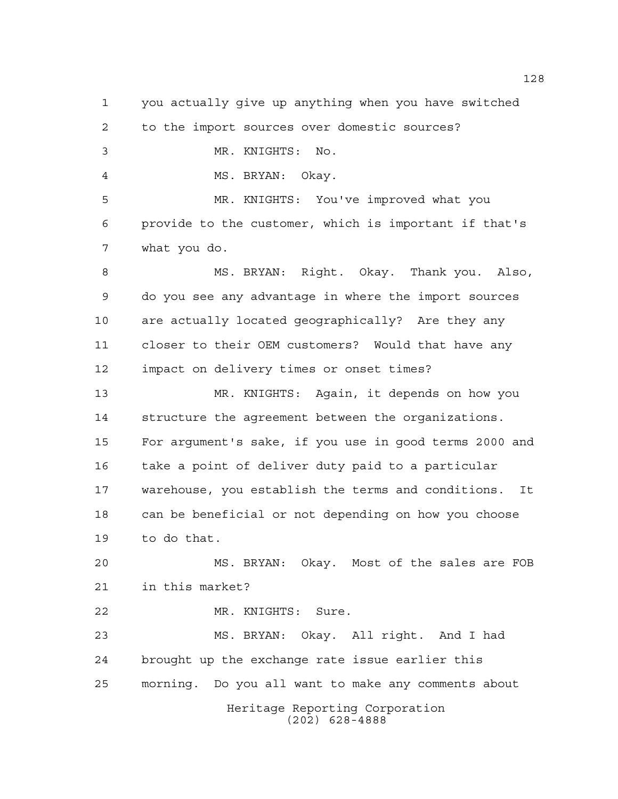Heritage Reporting Corporation (202) 628-4888 you actually give up anything when you have switched to the import sources over domestic sources? MR. KNIGHTS: No. MS. BRYAN: Okay. MR. KNIGHTS: You've improved what you provide to the customer, which is important if that's what you do. MS. BRYAN: Right. Okay. Thank you. Also, do you see any advantage in where the import sources are actually located geographically? Are they any closer to their OEM customers? Would that have any impact on delivery times or onset times? MR. KNIGHTS: Again, it depends on how you structure the agreement between the organizations. For argument's sake, if you use in good terms 2000 and take a point of deliver duty paid to a particular warehouse, you establish the terms and conditions. It can be beneficial or not depending on how you choose to do that. MS. BRYAN: Okay. Most of the sales are FOB in this market? MR. KNIGHTS: Sure. MS. BRYAN: Okay. All right. And I had brought up the exchange rate issue earlier this morning. Do you all want to make any comments about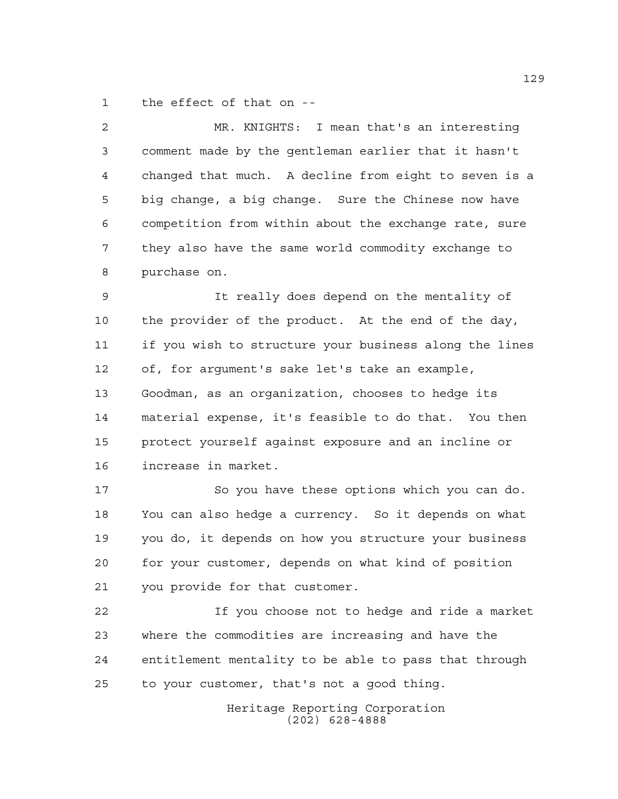the effect of that on --

 MR. KNIGHTS: I mean that's an interesting comment made by the gentleman earlier that it hasn't changed that much. A decline from eight to seven is a big change, a big change. Sure the Chinese now have competition from within about the exchange rate, sure they also have the same world commodity exchange to purchase on.

 It really does depend on the mentality of the provider of the product. At the end of the day, if you wish to structure your business along the lines of, for argument's sake let's take an example, Goodman, as an organization, chooses to hedge its material expense, it's feasible to do that. You then protect yourself against exposure and an incline or increase in market.

 So you have these options which you can do. You can also hedge a currency. So it depends on what you do, it depends on how you structure your business for your customer, depends on what kind of position you provide for that customer.

 If you choose not to hedge and ride a market where the commodities are increasing and have the entitlement mentality to be able to pass that through to your customer, that's not a good thing.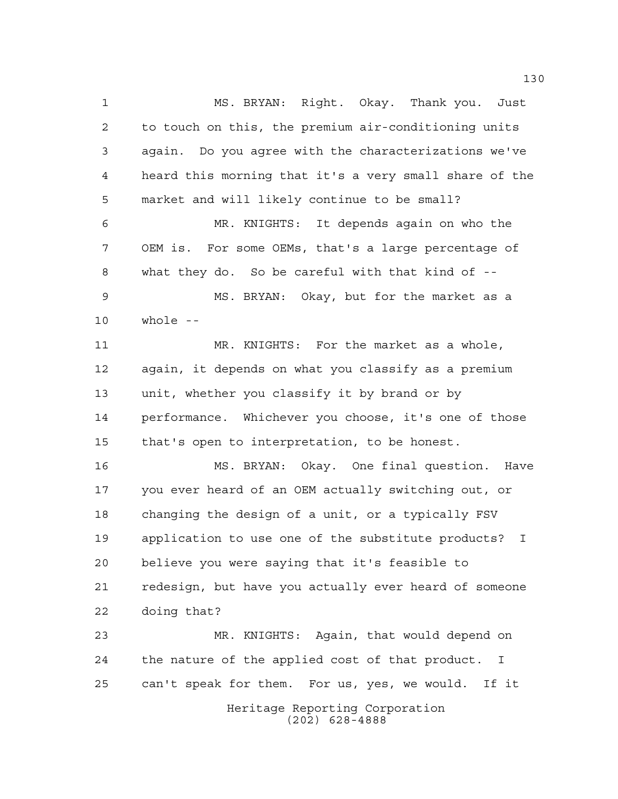MS. BRYAN: Right. Okay. Thank you. Just to touch on this, the premium air-conditioning units again. Do you agree with the characterizations we've heard this morning that it's a very small share of the market and will likely continue to be small? MR. KNIGHTS: It depends again on who the OEM is. For some OEMs, that's a large percentage of what they do. So be careful with that kind of -- MS. BRYAN: Okay, but for the market as a whole -- MR. KNIGHTS: For the market as a whole, again, it depends on what you classify as a premium unit, whether you classify it by brand or by performance. Whichever you choose, it's one of those that's open to interpretation, to be honest. MS. BRYAN: Okay. One final question. Have you ever heard of an OEM actually switching out, or changing the design of a unit, or a typically FSV application to use one of the substitute products? I believe you were saying that it's feasible to redesign, but have you actually ever heard of someone doing that? MR. KNIGHTS: Again, that would depend on the nature of the applied cost of that product. I can't speak for them. For us, yes, we would. If it

> Heritage Reporting Corporation (202) 628-4888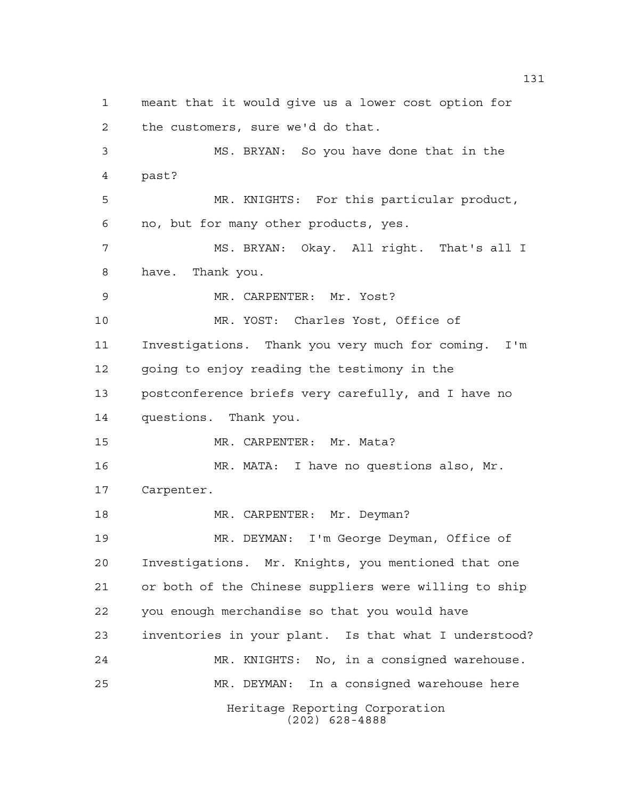Heritage Reporting Corporation (202) 628-4888 meant that it would give us a lower cost option for the customers, sure we'd do that. MS. BRYAN: So you have done that in the past? MR. KNIGHTS: For this particular product, no, but for many other products, yes. MS. BRYAN: Okay. All right. That's all I have. Thank you. MR. CARPENTER: Mr. Yost? MR. YOST: Charles Yost, Office of Investigations. Thank you very much for coming. I'm going to enjoy reading the testimony in the postconference briefs very carefully, and I have no questions. Thank you. MR. CARPENTER: Mr. Mata? MR. MATA: I have no questions also, Mr. Carpenter. 18 MR. CARPENTER: Mr. Deyman? MR. DEYMAN: I'm George Deyman, Office of Investigations. Mr. Knights, you mentioned that one or both of the Chinese suppliers were willing to ship you enough merchandise so that you would have inventories in your plant. Is that what I understood? MR. KNIGHTS: No, in a consigned warehouse. MR. DEYMAN: In a consigned warehouse here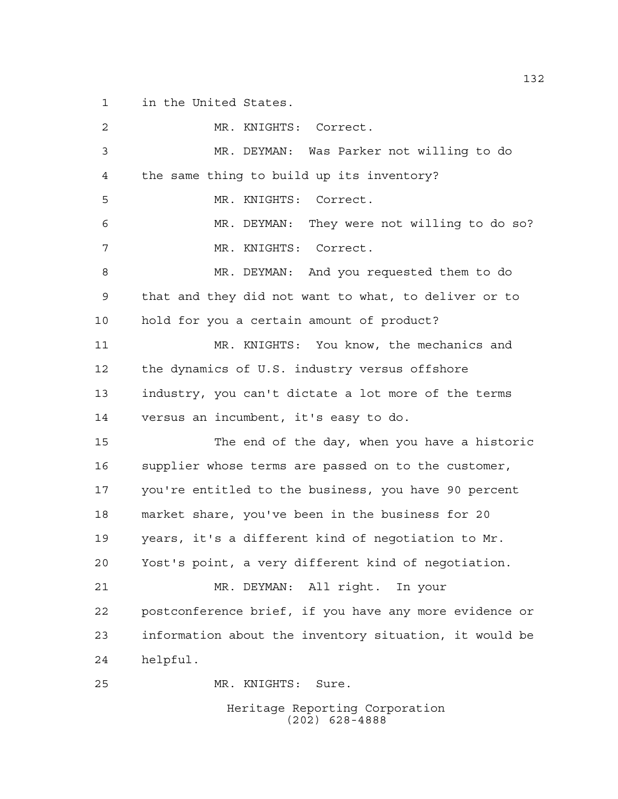in the United States.

| 2  | MR. KNIGHTS: Correct.                                  |
|----|--------------------------------------------------------|
| 3  | MR. DEYMAN: Was Parker not willing to do               |
| 4  | the same thing to build up its inventory?              |
| 5  | MR. KNIGHTS:<br>Correct.                               |
| 6  | MR. DEYMAN: They were not willing to do so?            |
| 7  | MR. KNIGHTS: Correct.                                  |
| 8  | MR. DEYMAN: And you requested them to do               |
| 9  | that and they did not want to what, to deliver or to   |
| 10 | hold for you a certain amount of product?              |
| 11 | MR. KNIGHTS: You know, the mechanics and               |
| 12 | the dynamics of U.S. industry versus offshore          |
| 13 | industry, you can't dictate a lot more of the terms    |
| 14 | versus an incumbent, it's easy to do.                  |
| 15 | The end of the day, when you have a historic           |
| 16 | supplier whose terms are passed on to the customer,    |
| 17 | you're entitled to the business, you have 90 percent   |
| 18 | market share, you've been in the business for 20       |
| 19 | years, it's a different kind of negotiation to Mr.     |
| 20 | Yost's point, a very different kind of negotiation.    |
| 21 | MR. DEYMAN: All right. In your                         |
| 22 | postconference brief, if you have any more evidence or |
| 23 | information about the inventory situation, it would be |
| 24 | helpful.                                               |
| 25 | MR. KNIGHTS: Sure.                                     |
|    | Heritage Reporting Corporation                         |

(202) 628-4888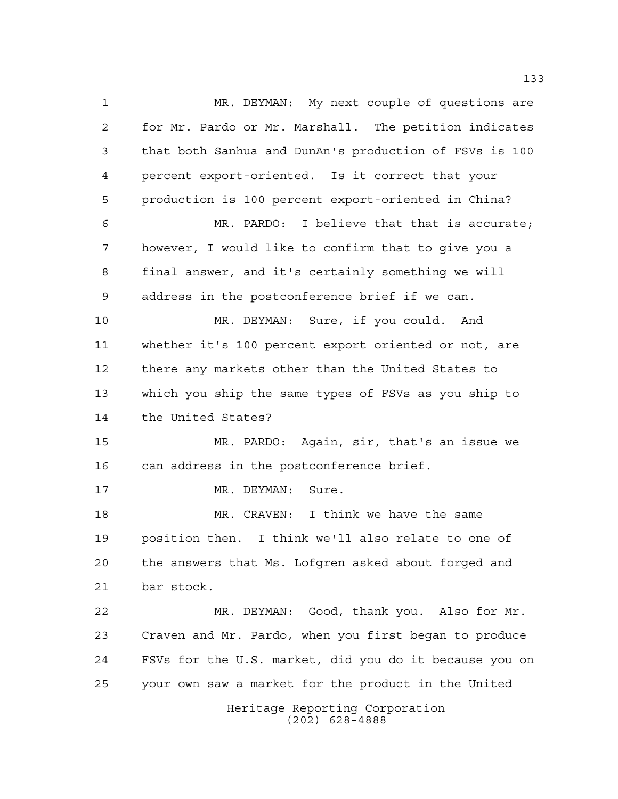Heritage Reporting Corporation (202) 628-4888 MR. DEYMAN: My next couple of questions are for Mr. Pardo or Mr. Marshall. The petition indicates that both Sanhua and DunAn's production of FSVs is 100 percent export-oriented. Is it correct that your production is 100 percent export-oriented in China? MR. PARDO: I believe that that is accurate; however, I would like to confirm that to give you a final answer, and it's certainly something we will address in the postconference brief if we can. MR. DEYMAN: Sure, if you could. And whether it's 100 percent export oriented or not, are there any markets other than the United States to which you ship the same types of FSVs as you ship to the United States? MR. PARDO: Again, sir, that's an issue we 16 can address in the postconference brief. 17 MR. DEYMAN: Sure. MR. CRAVEN: I think we have the same position then. I think we'll also relate to one of the answers that Ms. Lofgren asked about forged and bar stock. MR. DEYMAN: Good, thank you. Also for Mr. Craven and Mr. Pardo, when you first began to produce FSVs for the U.S. market, did you do it because you on your own saw a market for the product in the United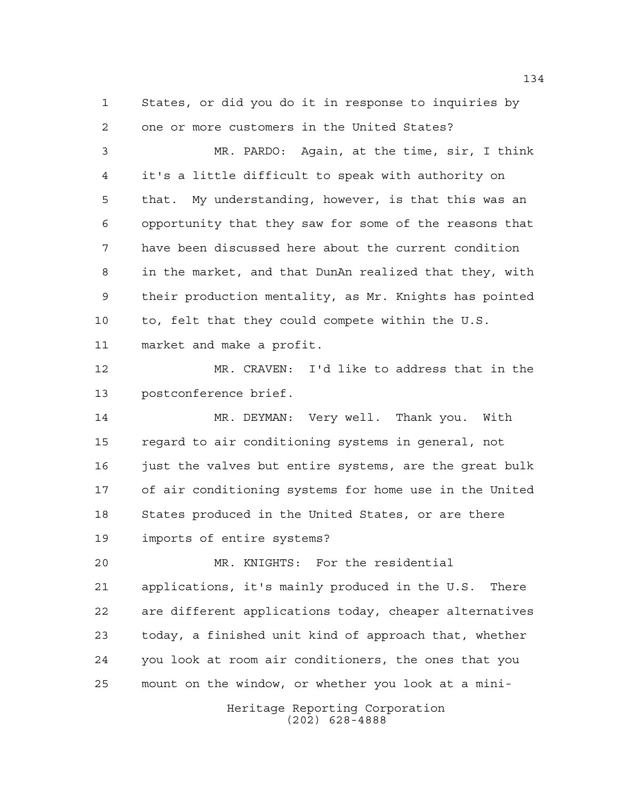States, or did you do it in response to inquiries by one or more customers in the United States?

 MR. PARDO: Again, at the time, sir, I think it's a little difficult to speak with authority on that. My understanding, however, is that this was an opportunity that they saw for some of the reasons that have been discussed here about the current condition in the market, and that DunAn realized that they, with their production mentality, as Mr. Knights has pointed to, felt that they could compete within the U.S. market and make a profit.

 MR. CRAVEN: I'd like to address that in the postconference brief.

 MR. DEYMAN: Very well. Thank you. With regard to air conditioning systems in general, not 16 just the valves but entire systems, are the great bulk of air conditioning systems for home use in the United States produced in the United States, or are there imports of entire systems?

 MR. KNIGHTS: For the residential applications, it's mainly produced in the U.S. There are different applications today, cheaper alternatives today, a finished unit kind of approach that, whether you look at room air conditioners, the ones that you mount on the window, or whether you look at a mini-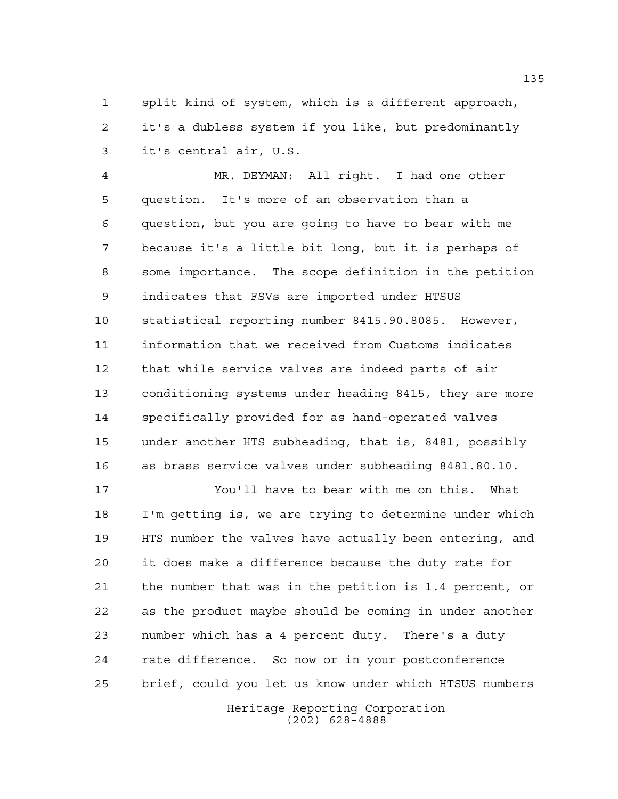split kind of system, which is a different approach, it's a dubless system if you like, but predominantly it's central air, U.S.

 MR. DEYMAN: All right. I had one other question. It's more of an observation than a question, but you are going to have to bear with me because it's a little bit long, but it is perhaps of some importance. The scope definition in the petition indicates that FSVs are imported under HTSUS statistical reporting number 8415.90.8085. However, information that we received from Customs indicates that while service valves are indeed parts of air conditioning systems under heading 8415, they are more specifically provided for as hand-operated valves under another HTS subheading, that is, 8481, possibly as brass service valves under subheading 8481.80.10.

 You'll have to bear with me on this. What I'm getting is, we are trying to determine under which HTS number the valves have actually been entering, and it does make a difference because the duty rate for the number that was in the petition is 1.4 percent, or as the product maybe should be coming in under another number which has a 4 percent duty. There's a duty rate difference. So now or in your postconference brief, could you let us know under which HTSUS numbers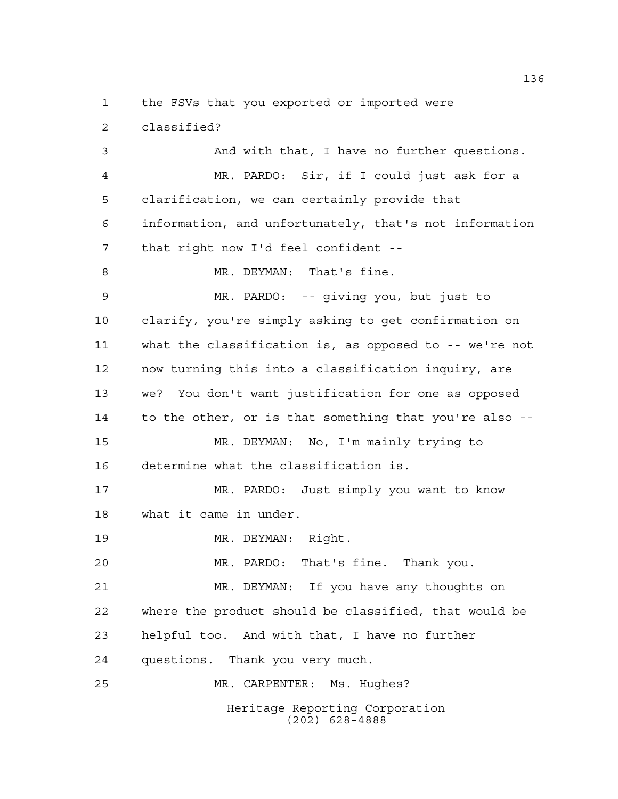the FSVs that you exported or imported were

classified?

Heritage Reporting Corporation (202) 628-4888 And with that, I have no further questions. MR. PARDO: Sir, if I could just ask for a clarification, we can certainly provide that information, and unfortunately, that's not information that right now I'd feel confident -- 8 MR. DEYMAN: That's fine. MR. PARDO: -- giving you, but just to clarify, you're simply asking to get confirmation on what the classification is, as opposed to -- we're not now turning this into a classification inquiry, are we? You don't want justification for one as opposed to the other, or is that something that you're also -- MR. DEYMAN: No, I'm mainly trying to determine what the classification is. MR. PARDO: Just simply you want to know what it came in under. MR. DEYMAN: Right. MR. PARDO: That's fine. Thank you. MR. DEYMAN: If you have any thoughts on where the product should be classified, that would be helpful too. And with that, I have no further questions. Thank you very much. MR. CARPENTER: Ms. Hughes?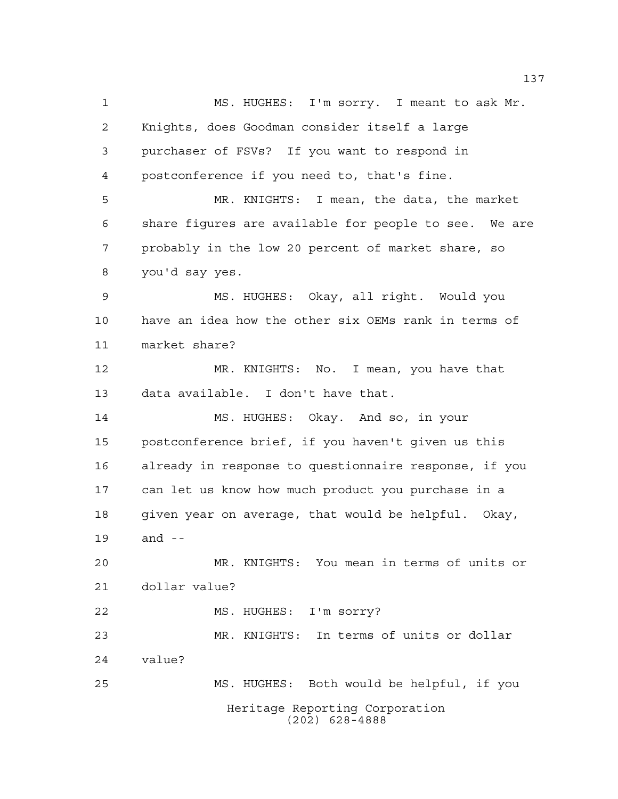Heritage Reporting Corporation (202) 628-4888 MS. HUGHES: I'm sorry. I meant to ask Mr. Knights, does Goodman consider itself a large purchaser of FSVs? If you want to respond in postconference if you need to, that's fine. MR. KNIGHTS: I mean, the data, the market share figures are available for people to see. We are probably in the low 20 percent of market share, so you'd say yes. MS. HUGHES: Okay, all right. Would you have an idea how the other six OEMs rank in terms of market share? MR. KNIGHTS: No. I mean, you have that data available. I don't have that. MS. HUGHES: Okay. And so, in your postconference brief, if you haven't given us this already in response to questionnaire response, if you can let us know how much product you purchase in a given year on average, that would be helpful. Okay, and -- MR. KNIGHTS: You mean in terms of units or dollar value? MS. HUGHES: I'm sorry? MR. KNIGHTS: In terms of units or dollar value? MS. HUGHES: Both would be helpful, if you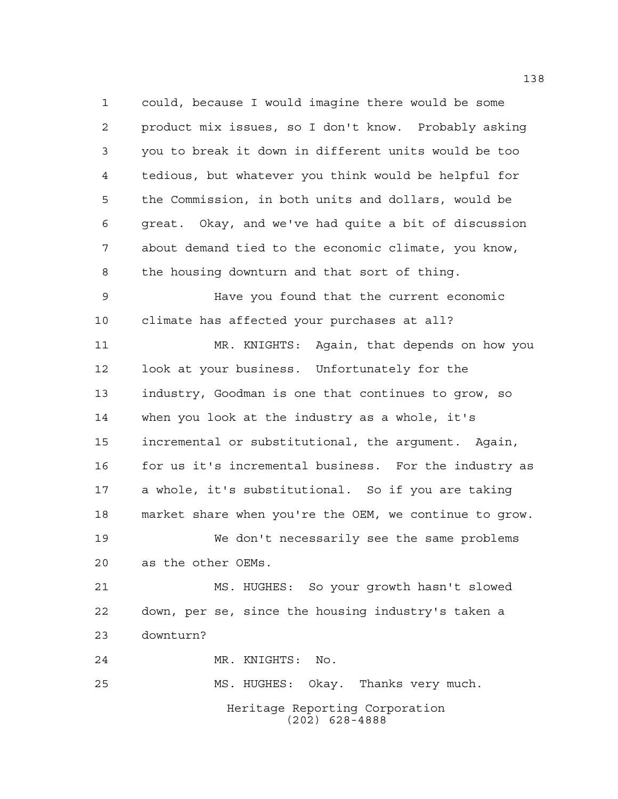Heritage Reporting Corporation (202) 628-4888 could, because I would imagine there would be some product mix issues, so I don't know. Probably asking you to break it down in different units would be too tedious, but whatever you think would be helpful for the Commission, in both units and dollars, would be great. Okay, and we've had quite a bit of discussion about demand tied to the economic climate, you know, the housing downturn and that sort of thing. Have you found that the current economic climate has affected your purchases at all? MR. KNIGHTS: Again, that depends on how you look at your business. Unfortunately for the industry, Goodman is one that continues to grow, so when you look at the industry as a whole, it's incremental or substitutional, the argument. Again, 16 for us it's incremental business. For the industry as a whole, it's substitutional. So if you are taking market share when you're the OEM, we continue to grow. We don't necessarily see the same problems as the other OEMs. MS. HUGHES: So your growth hasn't slowed down, per se, since the housing industry's taken a downturn? MR. KNIGHTS: No. MS. HUGHES: Okay. Thanks very much.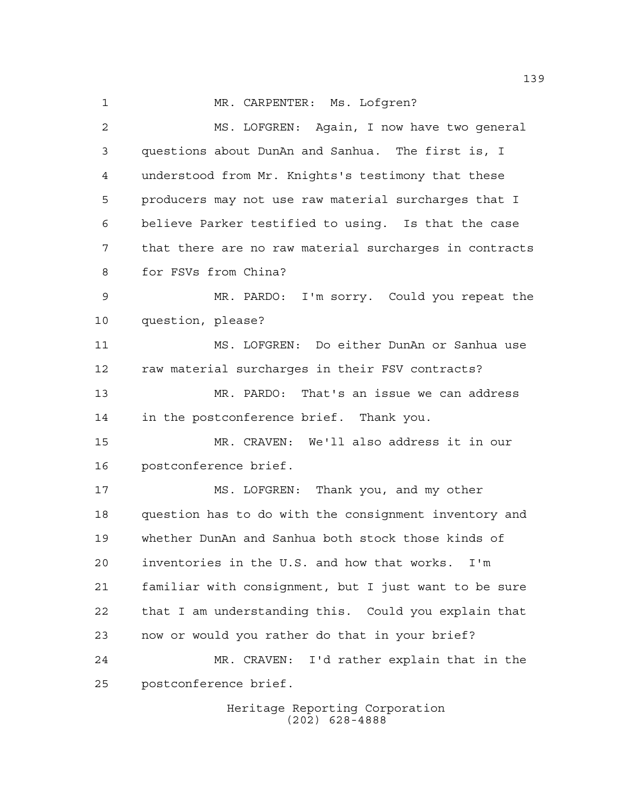1 MR. CARPENTER: Ms. Lofgren?

 MS. LOFGREN: Again, I now have two general questions about DunAn and Sanhua. The first is, I understood from Mr. Knights's testimony that these producers may not use raw material surcharges that I believe Parker testified to using. Is that the case that there are no raw material surcharges in contracts for FSVs from China? MR. PARDO: I'm sorry. Could you repeat the question, please? MS. LOFGREN: Do either DunAn or Sanhua use raw material surcharges in their FSV contracts? MR. PARDO: That's an issue we can address in the postconference brief. Thank you. MR. CRAVEN: We'll also address it in our postconference brief. MS. LOFGREN: Thank you, and my other question has to do with the consignment inventory and whether DunAn and Sanhua both stock those kinds of inventories in the U.S. and how that works. I'm familiar with consignment, but I just want to be sure that I am understanding this. Could you explain that now or would you rather do that in your brief? MR. CRAVEN: I'd rather explain that in the postconference brief.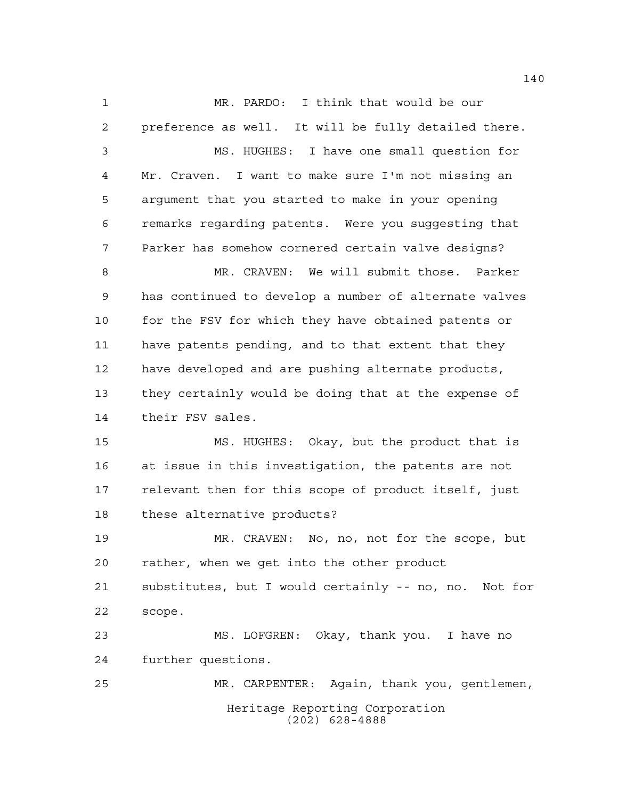Heritage Reporting Corporation (202) 628-4888 MR. PARDO: I think that would be our preference as well. It will be fully detailed there. MS. HUGHES: I have one small question for Mr. Craven. I want to make sure I'm not missing an argument that you started to make in your opening remarks regarding patents. Were you suggesting that Parker has somehow cornered certain valve designs? MR. CRAVEN: We will submit those. Parker has continued to develop a number of alternate valves 10 for the FSV for which they have obtained patents or have patents pending, and to that extent that they have developed and are pushing alternate products, they certainly would be doing that at the expense of their FSV sales. MS. HUGHES: Okay, but the product that is at issue in this investigation, the patents are not relevant then for this scope of product itself, just these alternative products? MR. CRAVEN: No, no, not for the scope, but rather, when we get into the other product substitutes, but I would certainly -- no, no. Not for scope. MS. LOFGREN: Okay, thank you. I have no further questions. MR. CARPENTER: Again, thank you, gentlemen,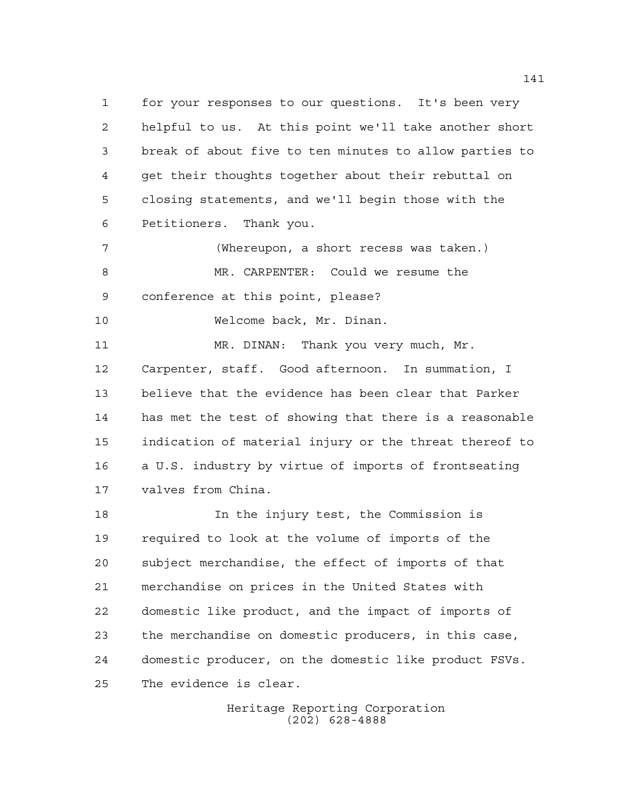for your responses to our questions. It's been very helpful to us. At this point we'll take another short break of about five to ten minutes to allow parties to get their thoughts together about their rebuttal on closing statements, and we'll begin those with the Petitioners. Thank you.

 (Whereupon, a short recess was taken.) MR. CARPENTER: Could we resume the conference at this point, please?

Welcome back, Mr. Dinan.

 MR. DINAN: Thank you very much, Mr. Carpenter, staff. Good afternoon. In summation, I believe that the evidence has been clear that Parker has met the test of showing that there is a reasonable indication of material injury or the threat thereof to a U.S. industry by virtue of imports of frontseating valves from China.

 In the injury test, the Commission is required to look at the volume of imports of the subject merchandise, the effect of imports of that merchandise on prices in the United States with domestic like product, and the impact of imports of the merchandise on domestic producers, in this case, domestic producer, on the domestic like product FSVs. The evidence is clear.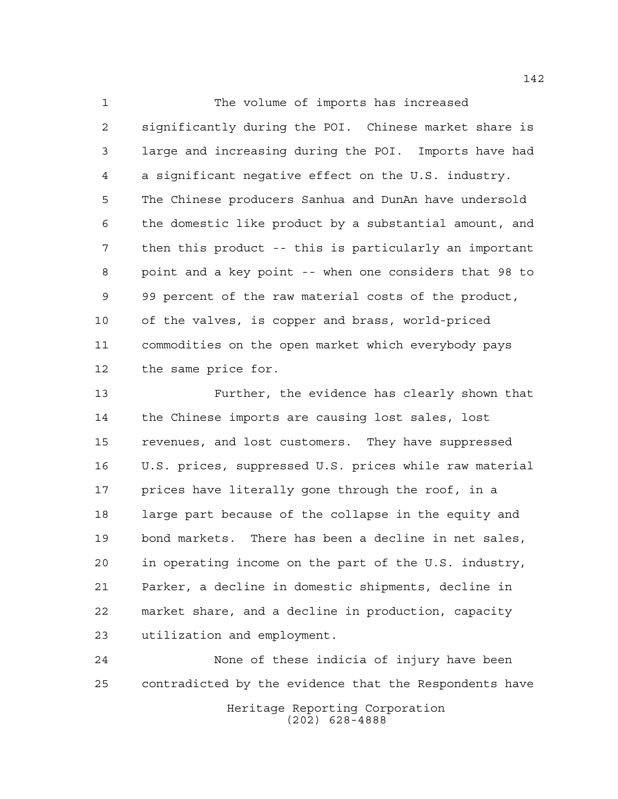1 The volume of imports has increased significantly during the POI. Chinese market share is large and increasing during the POI. Imports have had a significant negative effect on the U.S. industry. The Chinese producers Sanhua and DunAn have undersold the domestic like product by a substantial amount, and then this product -- this is particularly an important point and a key point -- when one considers that 98 to 99 percent of the raw material costs of the product, of the valves, is copper and brass, world-priced commodities on the open market which everybody pays the same price for.

 Further, the evidence has clearly shown that the Chinese imports are causing lost sales, lost revenues, and lost customers. They have suppressed U.S. prices, suppressed U.S. prices while raw material prices have literally gone through the roof, in a large part because of the collapse in the equity and bond markets. There has been a decline in net sales, in operating income on the part of the U.S. industry, Parker, a decline in domestic shipments, decline in market share, and a decline in production, capacity utilization and employment.

Heritage Reporting Corporation (202) 628-4888 None of these indicia of injury have been contradicted by the evidence that the Respondents have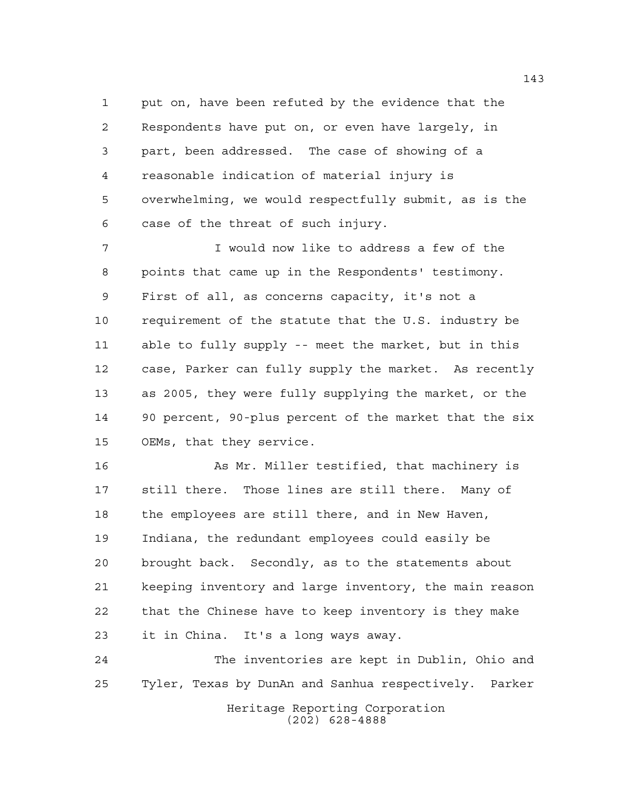put on, have been refuted by the evidence that the Respondents have put on, or even have largely, in part, been addressed. The case of showing of a reasonable indication of material injury is overwhelming, we would respectfully submit, as is the case of the threat of such injury.

 I would now like to address a few of the points that came up in the Respondents' testimony. First of all, as concerns capacity, it's not a requirement of the statute that the U.S. industry be able to fully supply -- meet the market, but in this case, Parker can fully supply the market. As recently as 2005, they were fully supplying the market, or the 90 percent, 90-plus percent of the market that the six OEMs, that they service.

16 As Mr. Miller testified, that machinery is still there. Those lines are still there. Many of the employees are still there, and in New Haven, Indiana, the redundant employees could easily be brought back. Secondly, as to the statements about keeping inventory and large inventory, the main reason that the Chinese have to keep inventory is they make it in China. It's a long ways away.

Heritage Reporting Corporation (202) 628-4888 The inventories are kept in Dublin, Ohio and Tyler, Texas by DunAn and Sanhua respectively. Parker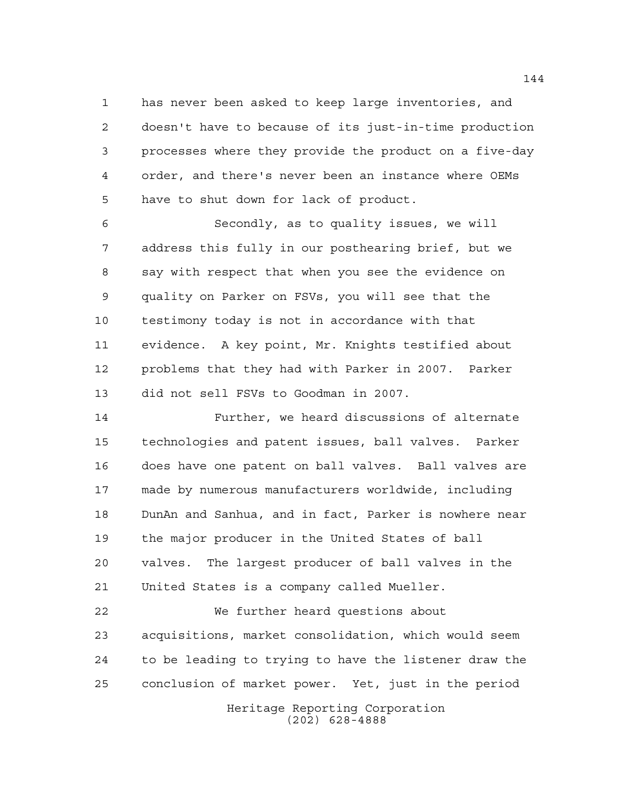has never been asked to keep large inventories, and doesn't have to because of its just-in-time production processes where they provide the product on a five-day order, and there's never been an instance where OEMs have to shut down for lack of product.

 Secondly, as to quality issues, we will address this fully in our posthearing brief, but we say with respect that when you see the evidence on quality on Parker on FSVs, you will see that the testimony today is not in accordance with that evidence. A key point, Mr. Knights testified about problems that they had with Parker in 2007. Parker did not sell FSVs to Goodman in 2007.

 Further, we heard discussions of alternate technologies and patent issues, ball valves. Parker does have one patent on ball valves. Ball valves are made by numerous manufacturers worldwide, including DunAn and Sanhua, and in fact, Parker is nowhere near the major producer in the United States of ball valves. The largest producer of ball valves in the United States is a company called Mueller.

 We further heard questions about acquisitions, market consolidation, which would seem to be leading to trying to have the listener draw the conclusion of market power. Yet, just in the period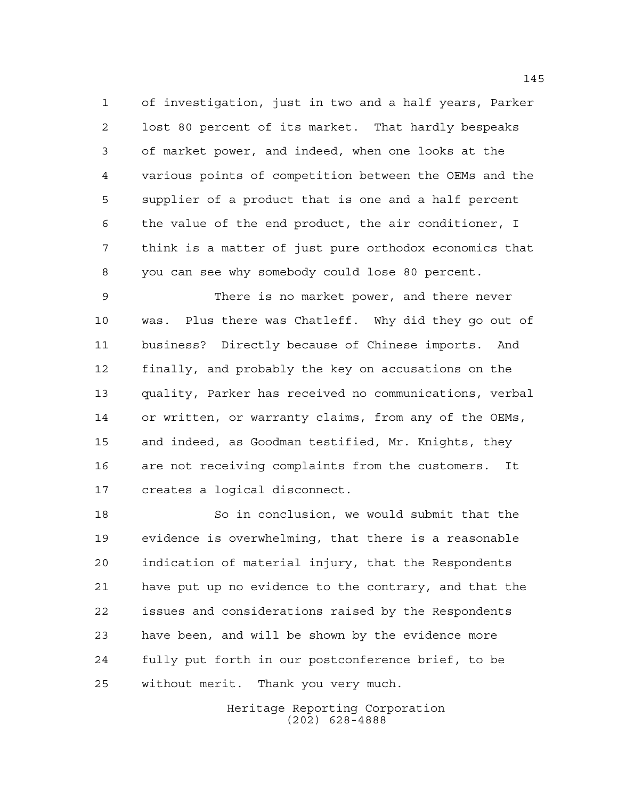of investigation, just in two and a half years, Parker lost 80 percent of its market. That hardly bespeaks of market power, and indeed, when one looks at the various points of competition between the OEMs and the supplier of a product that is one and a half percent the value of the end product, the air conditioner, I think is a matter of just pure orthodox economics that you can see why somebody could lose 80 percent.

 There is no market power, and there never was. Plus there was Chatleff. Why did they go out of business? Directly because of Chinese imports. And finally, and probably the key on accusations on the quality, Parker has received no communications, verbal or written, or warranty claims, from any of the OEMs, and indeed, as Goodman testified, Mr. Knights, they are not receiving complaints from the customers. It creates a logical disconnect.

 So in conclusion, we would submit that the evidence is overwhelming, that there is a reasonable indication of material injury, that the Respondents have put up no evidence to the contrary, and that the issues and considerations raised by the Respondents have been, and will be shown by the evidence more fully put forth in our postconference brief, to be without merit. Thank you very much.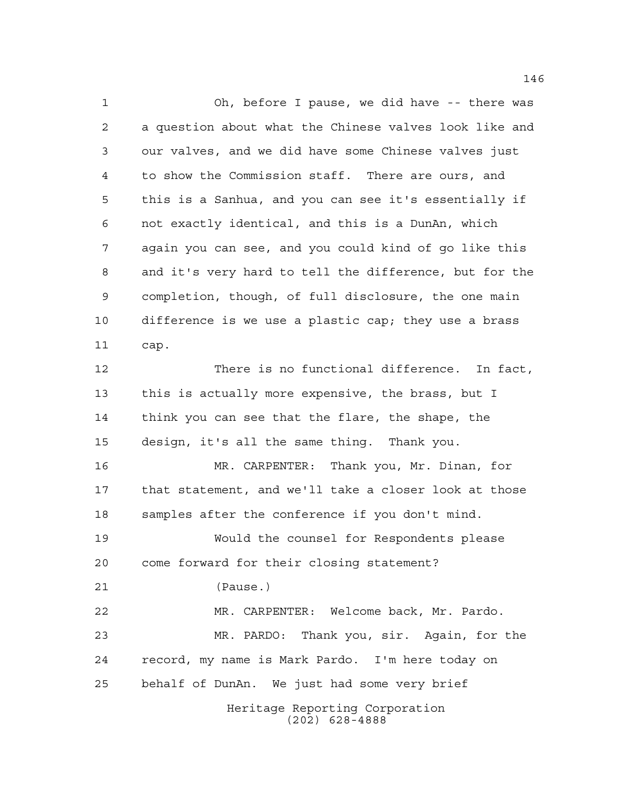Oh, before I pause, we did have -- there was a question about what the Chinese valves look like and our valves, and we did have some Chinese valves just to show the Commission staff. There are ours, and this is a Sanhua, and you can see it's essentially if not exactly identical, and this is a DunAn, which again you can see, and you could kind of go like this and it's very hard to tell the difference, but for the completion, though, of full disclosure, the one main difference is we use a plastic cap; they use a brass cap. There is no functional difference. In fact, this is actually more expensive, the brass, but I think you can see that the flare, the shape, the design, it's all the same thing. Thank you. MR. CARPENTER: Thank you, Mr. Dinan, for that statement, and we'll take a closer look at those samples after the conference if you don't mind. Would the counsel for Respondents please come forward for their closing statement? (Pause.) MR. CARPENTER: Welcome back, Mr. Pardo. MR. PARDO: Thank you, sir. Again, for the record, my name is Mark Pardo. I'm here today on

behalf of DunAn. We just had some very brief

Heritage Reporting Corporation (202) 628-4888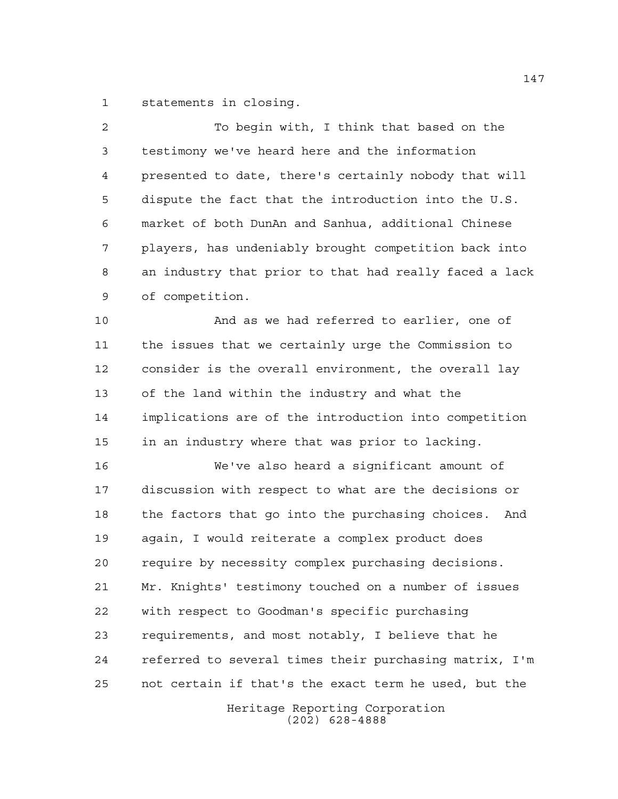statements in closing.

 To begin with, I think that based on the testimony we've heard here and the information presented to date, there's certainly nobody that will dispute the fact that the introduction into the U.S. market of both DunAn and Sanhua, additional Chinese players, has undeniably brought competition back into an industry that prior to that had really faced a lack of competition.

 And as we had referred to earlier, one of the issues that we certainly urge the Commission to consider is the overall environment, the overall lay of the land within the industry and what the implications are of the introduction into competition in an industry where that was prior to lacking.

 We've also heard a significant amount of discussion with respect to what are the decisions or the factors that go into the purchasing choices. And again, I would reiterate a complex product does require by necessity complex purchasing decisions. Mr. Knights' testimony touched on a number of issues with respect to Goodman's specific purchasing requirements, and most notably, I believe that he referred to several times their purchasing matrix, I'm not certain if that's the exact term he used, but the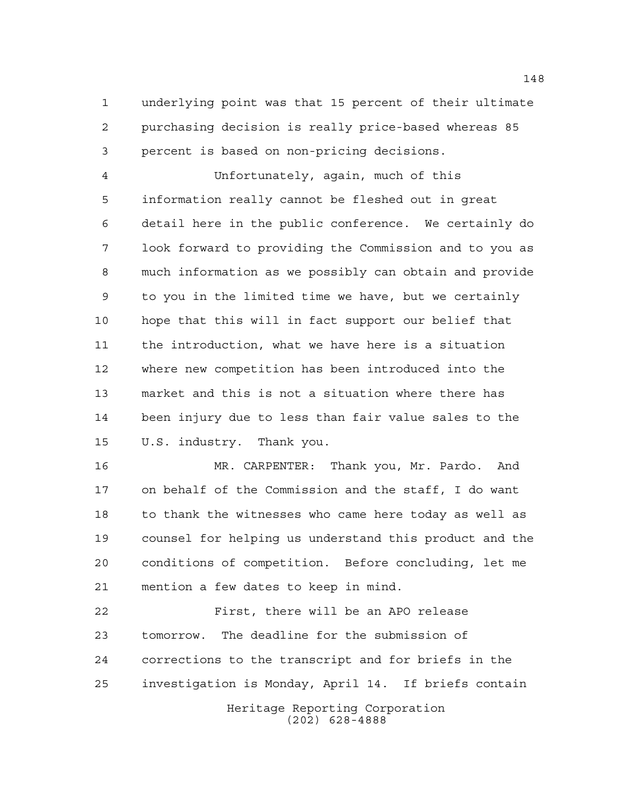underlying point was that 15 percent of their ultimate purchasing decision is really price-based whereas 85 percent is based on non-pricing decisions.

 Unfortunately, again, much of this information really cannot be fleshed out in great detail here in the public conference. We certainly do look forward to providing the Commission and to you as much information as we possibly can obtain and provide to you in the limited time we have, but we certainly hope that this will in fact support our belief that the introduction, what we have here is a situation where new competition has been introduced into the market and this is not a situation where there has been injury due to less than fair value sales to the U.S. industry. Thank you.

 MR. CARPENTER: Thank you, Mr. Pardo. And on behalf of the Commission and the staff, I do want to thank the witnesses who came here today as well as counsel for helping us understand this product and the conditions of competition. Before concluding, let me mention a few dates to keep in mind.

 First, there will be an APO release tomorrow. The deadline for the submission of corrections to the transcript and for briefs in the investigation is Monday, April 14. If briefs contain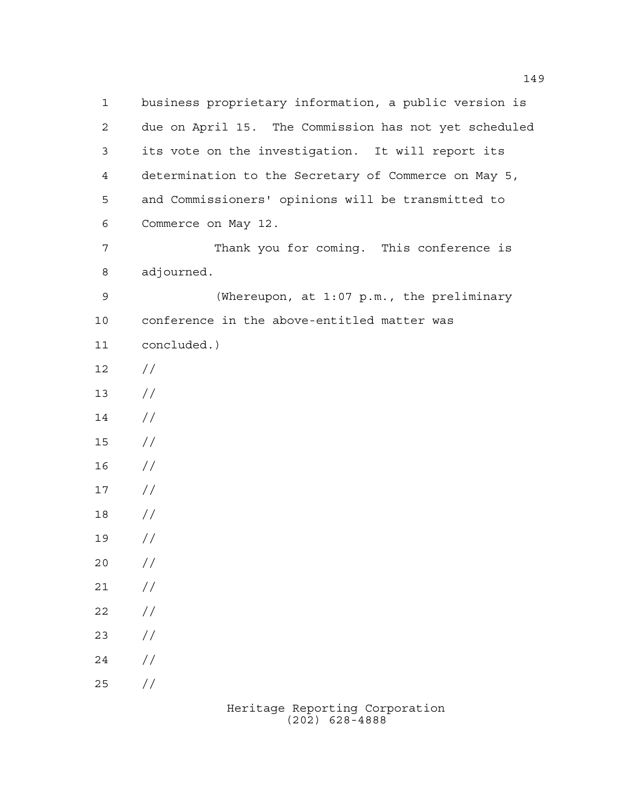business proprietary information, a public version is due on April 15. The Commission has not yet scheduled its vote on the investigation. It will report its determination to the Secretary of Commerce on May 5, and Commissioners' opinions will be transmitted to Commerce on May 12. Thank you for coming. This conference is adjourned. (Whereupon, at 1:07 p.m., the preliminary conference in the above-entitled matter was concluded.)  $12 /$  $13 / /$  // // //  $17 /$  // //  $20 /$  $21 /$  $22 / /$  $23 / /$  $24 /$  $25 / /$